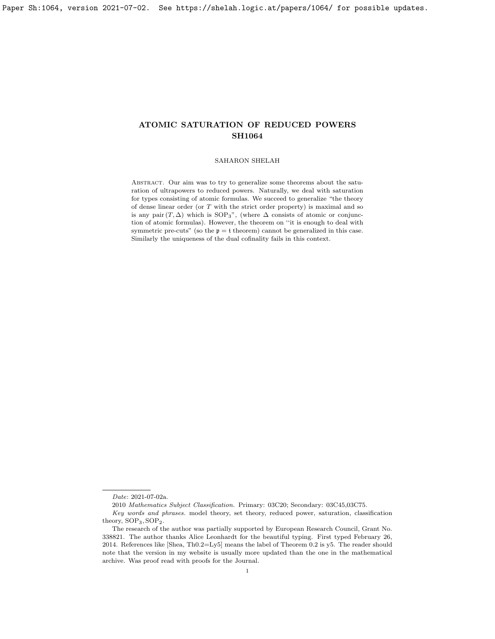# SAHARON SHELAH

Abstract. Our aim was to try to generalize some theorems about the saturation of ultrapowers to reduced powers. Naturally, we deal with saturation for types consisting of atomic formulas. We succeed to generalize "the theory of dense linear order (or T with the strict order property) is maximal and so is any pair  $(T, \Delta)$  which is SOP<sub>3</sub>", (where  $\Delta$  consists of atomic or conjunction of atomic formulas). However, the theorem on ''it is enough to deal with symmetric pre-cuts" (so the  $p = t$  theorem) cannot be generalized in this case. Similarly the uniqueness of the dual cofinality fails in this context.

Date: 2021-07-02a.

<sup>2010</sup> Mathematics Subject Classification. Primary: 03C20; Secondary: 03C45,03C75.

Key words and phrases. model theory, set theory, reduced power, saturation, classification theory, SOP3, SOP2.

The research of the author was partially supported by European Research Council, Grant No. 338821. The author thanks Alice Leonhardt for the beautiful typing. First typed February 26, 2014. References like [\[Shea,](#page-37-0) Th0.2=Ly5] means the label of Theorem 0.2 is y5. The reader should note that the version in my website is usually more updated than the one in the mathematical archive. Was proof read with proofs for the Journal.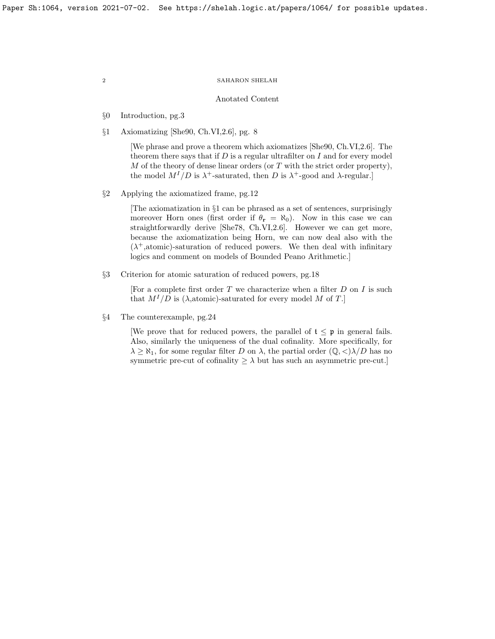## Anotated Content

- §0 Introduction, pg[.3](#page-2-0)
- §1 Axiomatizing [\[She90,](#page-37-1) Ch.VI,2.6], pg. [8](#page-7-0)

[We phrase and prove a theorem which axiomatizes [\[She90,](#page-37-1) Ch.VI,2.6]. The theorem there says that if  $D$  is a regular ultrafilter on  $I$  and for every model M of the theory of dense linear orders (or  $T$  with the strict order property), the model  $M^{I}/D$  is  $\lambda^{+}$ -saturated, then D is  $\lambda^{+}$ -good and  $\lambda$ -regular.

§2 Applying the axiomatized frame, pg[.12](#page-11-0)

[The axiomatization in §1 can be phrased as a set of sentences, surprisingly moreover Horn ones (first order if  $\theta_r = \aleph_0$ ). Now in this case we can straightforwardly derive [\[She78,](#page-37-2) Ch.VI,2.6]. However we can get more, because the axiomatization being Horn, we can now deal also with the  $(\lambda^+,$ atomic)-saturation of reduced powers. We then deal with infinitary logics and comment on models of Bounded Peano Arithmetic.]

§3 Criterion for atomic saturation of reduced powers, pg[.18](#page-18-0)

[For a complete first order T we characterize when a filter  $D$  on  $I$  is such that  $M^{I}/D$  is ( $\lambda$ , atomic)-saturated for every model M of T.

§4 The counterexample, pg[.24](#page-24-0)

[We prove that for reduced powers, the parallel of  $t \leq p$  in general fails. Also, similarly the uniqueness of the dual cofinality. More specifically, for  $\lambda \geq \aleph_1$ , for some regular filter D on  $\lambda$ , the partial order  $(\mathbb{Q}, \langle \lambda \rangle)D$  has no symmetric pre-cut of cofinality  $\geq \lambda$  but has such an asymmetric pre-cut.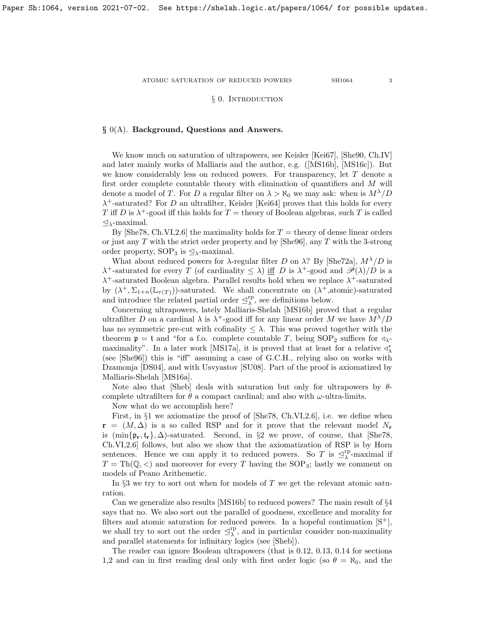ATOMIC SATURATION OF REDUCED POWERS  $$3\,$ 

# § 0. INTRODUCTION

# <span id="page-2-0"></span> $\S$  0(A). Background, Questions and Answers.

We know much on saturation of ultrapowers, see Keisler [\[Kei67\]](#page-37-3), [\[She90,](#page-37-1) Ch.IV] and later mainly works of Malliaris and the author, e.g.([\[MS16b\]](#page-37-4), [\[MS16c\]](#page-37-5)). But we know considerably less on reduced powers. For transparency, let T denote a first order complete countable theory with elimination of quantifiers and M will denote a model of T. For D a regular filter on  $\lambda > \aleph_0$  we may ask: when is  $M^{\lambda}/D$  $\lambda^+$ -saturated? For D an ultrafilter, Keisler [\[Kei64\]](#page-37-6) proves that this holds for every T iff D is  $\lambda^+$ -good iff this holds for T = theory of Boolean algebras, such T is called  $\mathcal{Q}_{\lambda}$ -maximal.

By  $[She78, Ch.VI, 2.6]$  the maximality holds for  $T =$  theory of dense linear orders or just any  $T$  with the strict order property and by [\[She96\]](#page-37-7), any  $T$  with the 3-strong order property,  $SOP_3$  is  $\leq_\lambda$ -maximal.

What about reduced powers for  $\lambda$ -regular filter D on  $\lambda$ ? By [\[She72a\]](#page-37-8),  $M^{\lambda}/D$  is  $\lambda^+$ -saturated for every T (of cardinality  $\leq \lambda$ ) if D is  $\lambda^+$ -good and  $\mathscr{P}(\lambda)/D$  is a  $\lambda^+$ -saturated Boolean algebra. Parallel results hold when we replace  $\lambda^+$ -saturated by  $(\lambda^+, \Sigma_{1+n}(\mathbb{L}_{\tau(T)}))$ -saturated. We shall concentrate on  $(\lambda^+,$ atomic)-saturated and introduce the related partial order  $\mathcal{L}^{\text{rp}}_{\lambda}$ , see definitions below.

Concerning ultrapowers, lately Malliaris-Shelah [\[MS16b\]](#page-37-4) proved that a regular ultrafilter D on a cardinal  $\lambda$  is  $\lambda^+$ -good iff for any linear order M we have  $M^{\lambda}/D$ has no symmetric pre-cut with cofinality  $\leq \lambda$ . This was proved together with the theorem  $\mathfrak{p} = \mathfrak{t}$  and "for a f.o. complete countable T, being  $SOP_2$  suffices for  $\triangleleft_{\lambda}$ -maximality". In a later work [\[MS17a\]](#page-37-9), it is proved that at least for a relative  $\triangleleft^*_{\lambda}$ (see [\[She96\]](#page-37-7)) this is "iff" assuming a case of G.C.H., relying also on works with Dzamonja [\[DS04\]](#page-37-10), and with Usvyastov [\[SU08\]](#page-37-11). Part of the proof is axiomatized by Malliaris-Shelah [\[MS16a\]](#page-37-12).

Note also that [\[Sheb\]](#page-37-13) deals with saturation but only for ultrapowers by  $\theta$ complete ultrafilters for  $\theta$  a compact cardinal; and also with  $\omega$ -ultra-limits.

Now what do we accomplish here?

First, in §1 we axiomatize the proof of [\[She78,](#page-37-2) Ch.VI,2.6], i.e. we define when  $\mathbf{r} = (M, \Delta)$  is a so called RSP and for it prove that the relevant model  $N_r$ is  $(\min{\{p_r, t_r\}}, \Delta)$ -saturated. Second, in §2 we prove, of course, that [\[She78,](#page-37-2) Ch.VI,2.6] follows, but also we show that the axiomatization of RSP is by Horn sentences. Hence we can apply it to reduced powers. So T is  $\leq^{\text{rp}}_{\lambda}$ -maximal if  $T = \text{Th}(\mathbb{Q}, \leq)$  and moreover for every T having the SOP<sub>3</sub>; lastly we comment on models of Peano Arithemetic.

In  $\S3$  we try to sort out when for models of T we get the relevant atomic saturation.

Can we generalize also results [\[MS16b\]](#page-37-4) to reduced powers? The main result of §4 says that no. We also sort out the parallel of goodness, excellence and morality for filters and atomic saturation for reduced powers. In a hopeful continuation  $[S^+]$ , we shall try to sort out the order  $\mathcal{Q}_{\lambda}^{\text{rp}}$ , and in particular consider non-maximality and parallel statements for infinitary logics (see [\[Sheb\]](#page-37-13)).

The reader can ignore Boolean ultrapowers (that is [0.12,](#page-5-0) [0.13,](#page-6-0) [0.14](#page-6-1) for sections 1,2 and can in first reading deal only with first order logic (so  $\theta = \aleph_0$ , and the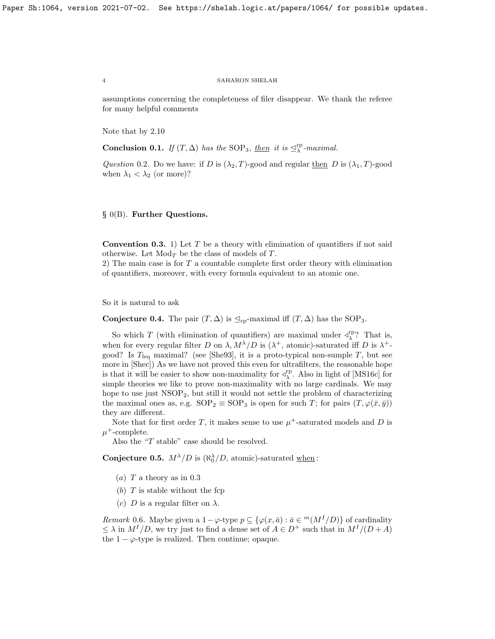assumptions concerning the completeness of filer disappear. We thank the referee for many helpful comments

Note that by [2.10](#page-15-0)

**Conclusion 0.1.** If  $(T, \Delta)$  has the SOP<sub>3</sub>, <u>then</u> it is  $\mathcal{L}_{\lambda}^{\text{rp}}$ -maximal.

Question 0.2. Do we have: if D is  $(\lambda_2, T)$ -good and regular then D is  $(\lambda_1, T)$ -good when  $\lambda_1 < \lambda_2$  (or more)?

§ 0(B). Further Questions.

<span id="page-3-0"></span>**Convention 0.3.** 1) Let T be a theory with elimination of quantifiers if not said otherwise. Let  $Mod<sub>T</sub>$  be the class of models of T.

2) The main case is for T a countable complete first order theory with elimination of quantifiers, moreover, with every formula equivalent to an atomic one.

So it is natural to ask

Conjecture 0.4. The pair  $(T, \Delta)$  is  $\mathcal{L}_{\text{rp}}$ -maximal iff  $(T, \Delta)$  has the SOP<sub>3</sub>.

So which T (with elimination of quantifiers) are maximal under  $\triangleleft^{\text{rp}}_{\lambda}$ ? That is, when for every regular filter D on  $\lambda$ ,  $M^{\lambda}/D$  is  $(\lambda^{+})$ , atomic)-saturated iff D is  $\lambda^{+}$ good? Is  $T_{\text{feq}}$  maximal? (see [\[She93\]](#page-37-15), it is a proto-typical non-sumple T, but see more in [\[Shec\]](#page-37-16)) As we have not proved this even for ultrafilters, the reasonable hope is that it will be easier to show non-maximality for  $\triangleleft^{\text{rp}}_{\lambda}$ . Also in light of [\[MS16c\]](#page-37-5) for simple theories we like to prove non-maximality with no large cardinals. We may hope to use just  $NSOP_2$ , but still it would not settle the problem of characterizing the maximal ones as, e.g.  $SOP_2 \equiv SOP_3$  is open for such T; for pairs  $(T, \varphi(\bar{x}, \bar{y}))$ they are different.

Note that for first order T, it makes sense to use  $\mu^+$ -saturated models and D is  $\mu^+$ -complete.

Also the "T stable" case should be resolved.

**Conjecture 0.5.**  $M^{\lambda}/D$  is  $(\aleph_0^{\lambda}/D, \text{ atomic})$ -saturated when:

- (a)  $T$  a theory as in [0.3](#page-3-0)
- (b)  $T$  is stable without the fcp
- (c) D is a regular filter on  $\lambda$ .

Remark 0.6. Maybe given a  $1-\varphi$ -type  $p \subseteq {\varphi(x, \bar{a}) : \bar{a} \in {}^{m}(M^{I}/D)}$  of cardinality  $\leq \lambda$  in  $M^{I}/D$ , we try just to find a dense set of  $A \in D^{+}$  such that in  $M^{I}/(D+A)$ the  $1 - \varphi$ -type is realized. Then continue; opaque.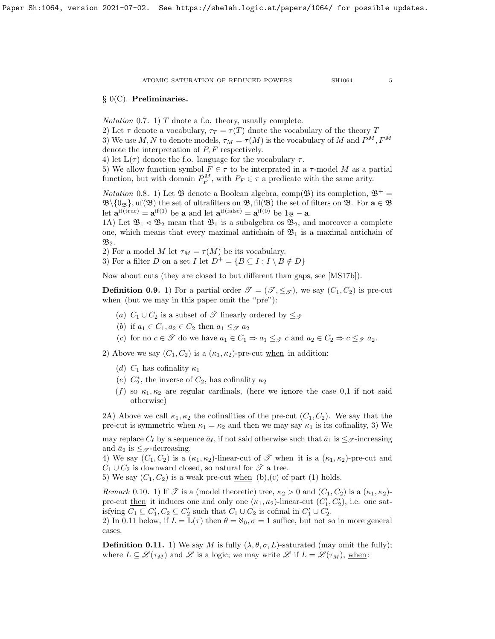# § 0(C). Preliminaries.

*Notation* 0.7. 1)  $T$  dnote a f.o. theory, usually complete.

2) Let  $\tau$  denote a vocabulary,  $\tau_T = \tau(T)$  dnote the vocabulary of the theory T 3) We use M, N to denote models,  $\tau_M = \tau(M)$  is the vocabulary of M and  $P^M, F^M$ denote the interpretation of P, F respectively.

4) let  $\mathbb{L}(\tau)$  denote the f.o. language for the vocabulary  $\tau$ .

5) We allow function symbol  $F \in \tau$  to be interprated in a  $\tau$ -model M as a partial function, but with domain  $P_F^M$ , with  $P_F \in \tau$  a predicate with the same arity.

*Notation* 0.8. 1) Let  $\mathfrak{B}$  denote a Boolean algebra, comp( $\mathfrak{B}$ ) its completion,  $\mathfrak{B}^+=$  $\mathfrak{B}\setminus\{0_{\mathfrak{B}}\}$ , uf $(\mathfrak{B})$  the set of ultrafilters on  $\mathfrak{B}$ , fil $(\mathfrak{B})$  the set of filters on  $\mathfrak{B}$ . For  $\mathbf{a} \in \mathfrak{B}$ let  $\mathbf{a}^{\text{if}(\text{true})} = \mathbf{a}^{\text{if}(1)}$  be  $\mathbf{a}$  and let  $\mathbf{a}^{\text{if}(\text{false})} = \mathbf{a}^{\text{if}(0)}$  be  $1_{\mathfrak{B}} - \mathbf{a}$ .

1A) Let  $\mathfrak{B}_1 \leq \mathfrak{B}_2$  mean that  $\mathfrak{B}_1$  is a subalgebra os  $\mathfrak{B}_2$ , and moreover a complete one, which means that every maximal antichain of  $\mathfrak{B}_1$  is a maximal antichain of  $\mathfrak{B}_2$ .

2) For a model M let  $\tau_M = \tau(M)$  be its vocabulary.

3) For a filter D on a set I let  $D^+ = \{ B \subseteq I : I \setminus B \notin D \}$ 

Now about cuts (they are closed to but different than gaps, see [\[MS17b\]](#page-37-17)).

**Definition 0.9.** 1) For a partial order  $\mathcal{T} = (\mathcal{T}, \leq_{\mathcal{T}})$ , we say  $(C_1, C_2)$  is pre-cut when (but we may in this paper omit the ''pre"):

- (a)  $C_1 \cup C_2$  is a subset of  $\mathscr T$  linearly ordered by  $\leq_{\mathscr T}$
- (b) if  $a_1 \in C_1$ ,  $a_2 \in C_2$  then  $a_1 \leq_{\mathcal{T}} a_2$
- (c) for no  $c \in \mathcal{F}$  do we have  $a_1 \in C_1 \Rightarrow a_1 \leq_{\mathcal{F}} c$  and  $a_2 \in C_2 \Rightarrow c \leq_{\mathcal{F}} a_2$ .

2) Above we say  $(C_1, C_2)$  is a  $(\kappa_1, \kappa_2)$ -pre-cut when in addition:

- (d)  $C_1$  has cofinality  $\kappa_1$
- (e)  $C_2^*$ , the inverse of  $C_2$ , has cofinality  $\kappa_2$
- (f) so  $\kappa_1, \kappa_2$  are regular cardinals, (here we ignore the case 0,1 if not said otherwise)

2A) Above we call  $\kappa_1, \kappa_2$  the cofinalities of the pre-cut  $(C_1, C_2)$ . We say that the pre-cut is symmetric when  $\kappa_1 = \kappa_2$  and then we may say  $\kappa_1$  is its cofinality, 3) We may replace  $C_{\ell}$  by a sequence  $\bar{a}_{\ell}$ , if not said otherwise such that  $\bar{a}_1$  is  $\leq_{\mathcal{F}}$ -increasing

and  $\bar{a}_2$  is  $\leq_{\mathcal{F}}$ -decreasing.

4) We say  $(C_1, C_2)$  is a  $(\kappa_1, \kappa_2)$ -linear-cut of  $\mathscr T$  when it is a  $(\kappa_1, \kappa_2)$ -pre-cut and  $C_1 \cup C_2$  is downward closed, so natural for  $\mathscr{T}$  a tree.

5) We say  $(C_1, C_2)$  is a weak pre-cut when (b),(c) of part (1) holds.

Remark 0.10. 1) If  $\mathscr T$  is a (model theoretic) tree,  $\kappa_2 > 0$  and  $(C_1, C_2)$  is a  $(\kappa_1, \kappa_2)$ pre-cut <u>then</u> it induces one and only one  $(\kappa_1, \kappa_2)$ -linear-cut  $(C'_1, C'_2)$ , i.e. one satisfying  $C_1 \subseteq C_1', C_2 \subseteq C_2'$  such that  $C_1 \cup C_2$  is cofinal in  $C_1' \cup C_2'$ .

2) In [0.11](#page-4-0) below, if  $L = \mathbb{L}(\tau)$  then  $\theta = \aleph_0$ ,  $\sigma = 1$  suffice, but not so in more general cases.

<span id="page-4-0"></span>**Definition 0.11.** 1) We say M is fully  $(\lambda, \theta, \sigma, L)$ -saturated (may omit the fully); where  $L \subseteq \mathscr{L}(\tau_M)$  and  $\mathscr{L}$  is a logic; we may write  $\mathscr{L}$  if  $L = \mathscr{L}(\tau_M)$ , when: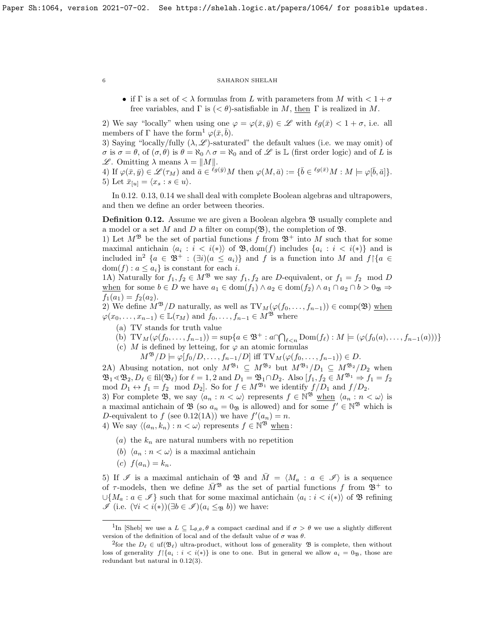• if  $\Gamma$  is a set of  $\langle \lambda \rangle$  formulas from L with parameters from M with  $\langle 1 + \sigma \rangle$ free variables, and  $\Gamma$  is  $( $\theta$ )$ -satisfiable in M, then  $\Gamma$  is realized in M.

2) We say "locally" when using one  $\varphi = \varphi(\bar{x}, \bar{y}) \in \mathscr{L}$  with  $\ell q(\bar{x}) < 1 + \sigma$ , i.e. all members of  $\Gamma$  have the form<sup>[1](#page-5-1)</sup>  $\varphi(\bar{x}, \bar{b})$ .

3) Saying "locally/fully  $(\lambda, \mathscr{L})$ -saturated" the default values (i.e. we may omit) of  $\sigma$  is  $\sigma = \theta$ , of  $(\sigma, \theta)$  is  $\theta = \aleph_0 \wedge \sigma = \aleph_0$  and of  $\mathscr L$  is  $\mathbb L$  (first order logic) and of L is L. Omitting  $\lambda$  means  $\lambda = ||M||$ .

4) If  $\varphi(\bar{x}, \bar{y}) \in \mathscr{L}(\tau_M)$  and  $\bar{a} \in \ell^{\bar{g}(\bar{y})}M$  then  $\varphi(M, \bar{a}) := {\bar{b} \in \ell^{\bar{g}(\bar{x})}}M : M \models \varphi[\bar{b}, \bar{a}]$ . 5) Let  $\bar{x}_{[u]} = \langle x_s : s \in u \rangle$ .

In [0.12.](#page-5-0) [0.13,](#page-6-0) [0.14](#page-6-1) we shall deal with complete Boolean algebras and ultrapowers, and then we define an order between theories.

<span id="page-5-0"></span>**Definition 0.12.** Assume we are given a Boolean algebra  $\mathcal{B}$  usually complete and a model or a set M and D a filter on comp( $\mathfrak{B}$ ), the completion of  $\mathfrak{B}$ .

1) Let  $M^{\mathfrak{B}}$  be the set of partial functions f from  $\mathfrak{B}^+$  into M such that for some maximal antichain  $\langle a_i : i \langle i \rangle \rangle$  of  $\mathfrak{B}, \text{dom}(f)$  includes  $\{a_i : i \langle i \rangle\}$  and is included in<sup>[2](#page-5-2)</sup> { $a \in \mathfrak{B}^+$  :  $(\exists i)(a \leq a_i)$ } and f is a function into M and f \{ $a \in$  $dom(f) : a \leq a_i$  is constant for each *i*.

1A) Naturally for  $f_1, f_2 \in M^{\mathfrak{B}}$  we say  $f_1, f_2$  are D-equivalent, or  $f_1 = f_2 \mod D$ when for some  $b \in D$  we have  $a_1 \in \text{dom}(f_1) \land a_2 \in \text{dom}(f_2) \land a_1 \cap a_2 \cap b > 0$ <sub>B</sub>  $\Rightarrow$  $f_1(a_1) = f_2(a_2).$ 

2) We define  $M^{\mathfrak{B}}/D$  naturally, as well as  $\mathrm{TV}_M(\varphi(f_0, \ldots, f_{n-1})) \in \mathrm{comp}(\mathfrak{B})$  when  $\varphi(x_0,\ldots,x_{n-1})\in \mathbb{L}(\tau_M)$  and  $f_0,\ldots,f_{n-1}\in M^{\mathfrak{B}}$  where

- (a) TV stands for truth value
- (b)  $TV_M(\varphi(f_0, ..., f_{n-1})) = \sup\{a \in \mathfrak{B}^+ : a \cap \bigcap_{\ell < n} \text{Dom}(f_\ell) : M \models (\varphi(f_0(a), ..., f_{n-1}(a)))\}$
- (c) M is defined by letteing, for  $\varphi$  an atomic formulas
	- $M^{\mathfrak{B}}/D \models \varphi[f_0/D, \ldots, f_{n-1}/D]$  iff  $\text{TV}_M(\varphi(f_0, \ldots, f_{n-1})) \in D$ .

2A) Abusing notation, not only  $M^{\mathfrak{B}_1} \subseteq M^{\mathfrak{B}_2}$  but  $M^{\mathfrak{B}_1}/D_1 \subseteq M^{\mathfrak{B}_2}/D_2$  when  $\mathfrak{B}_1 \leq \mathfrak{B}_2, D_\ell \in \text{fil}(\mathfrak{B}_\ell)$  for  $\ell = 1, 2$  and  $D_1 = \mathfrak{B}_1 \cap D_2$ . Also  $[f_1, f_2 \in M^{\mathfrak{B}_1} \Rightarrow f_1 = f_2$ mod  $D_1 \leftrightarrow f_1 = f_2 \mod D_2$ . So for  $f \in M^{\mathfrak{B}_1}$  we identify  $f/D_1$  and  $f/D_2$ . 3) For complete B, we say  $\langle a_n : n < \omega \rangle$  represents  $f \in \mathbb{N}^{\mathfrak{B}}$  when  $\langle a_n : n < \omega \rangle$  is a maximal antichain of  $\mathfrak{B}$  (so  $a_n = 0$  is allowed) and for some  $f' \in \mathbb{N}^{\mathfrak{B}}$  which is D-equivalent to f (see [0.12\(](#page-5-0)1A)) we have  $f'(a_n) = n$ . 4) We say  $\langle (a_n, k_n) : n \langle \omega \rangle$  represents  $f \in \mathbb{N}^{\mathfrak{B}}$  when:

- (a) the  $k_n$  are natural numbers with no repetition
- (b)  $\langle a_n : n < \omega \rangle$  is a maximal antichain
- (c)  $f(a_n) = k_n$ .

5) If  $\mathscr I$  is a maximal antichain of  $\mathfrak B$  and  $\overline M = \langle M_a : a \in \mathscr I \rangle$  is a sequence of  $\tau$ -models, then we define  $\overline{M}^{\mathfrak{B}}$  as the set of partial functions f from  $\mathfrak{B}^+$  to  $\cup \{M_a : a \in \mathscr{I}\}\$  such that for some maximal antichain  $\langle a_i : i \langle i \rangle\rangle$  of  $\mathfrak{B}$  refining  $I(\iota$  (i.e.  $(\forall i < i(*))(\exists b \in I)(a_i \leq_{\mathfrak{B}} b)$ ) we have:

<span id="page-5-1"></span><sup>&</sup>lt;sup>1</sup>In [\[Sheb\]](#page-37-13) we use a  $L \subseteq \mathbb{L}_{\theta,\theta}$ ,  $\theta$  a compact cardinal and if  $\sigma > \theta$  we use a slightly different version of the definition of local and of the default value of  $\sigma$  was  $\theta$ .

<span id="page-5-2"></span><sup>&</sup>lt;sup>2</sup>for the  $D_\ell \in \text{uf}(\mathfrak{B}_\ell)$  ultra-product, without loss of generality  $\mathfrak{B}$  is complete, then without loss of generality  $f\{a_i : i < i(*)\}$  is one to one. But in general we allow  $a_i = 0$ <sub>B</sub>, those are redundant but natural in [0.12\(](#page-5-0)3).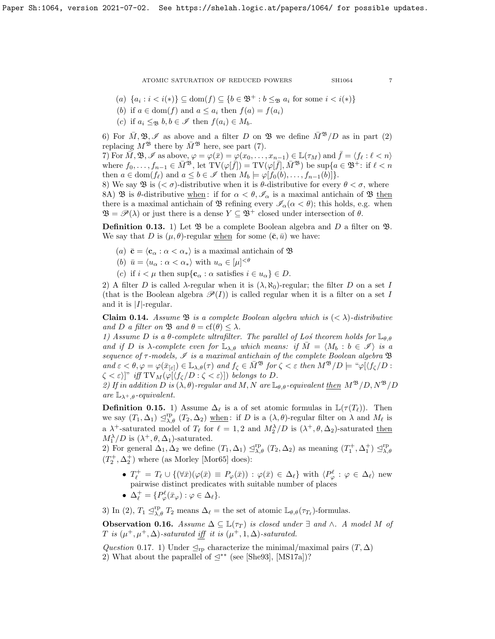(a) 
$$
\{a_i : i < i(*)\} \subseteq \text{dom}(f) \subseteq \{b \in \mathfrak{B}^+ : b \leq_{\mathfrak{B}} a_i \text{ for some } i < i(*)\}
$$

- (b) if  $a \in \text{dom}(f)$  and  $a \leq a_i$  then  $f(a) = f(a_i)$
- (c) if  $a_i \leq_{\mathfrak{B}} b, b \in \mathscr{I}$  then  $f(a_i) \in M_b$ .

6) For  $\overline{M}$ ,  $\mathfrak{B}$ ,  $\mathscr{I}$  as above and a filter D on  $\mathfrak{B}$  we define  $\overline{M}^{\mathfrak{B}}/D$  as in part (2) replacing  $M^{\mathfrak{B}}$  there by  $\bar{M}^{\mathfrak{B}}$  here, see part (7).

7) For  $\overline{M}, \mathfrak{B}, \mathscr{I}$  as above,  $\varphi = \varphi(\overline{x}) = \varphi(x_0, \ldots, x_{n-1}) \in \mathbb{L}(\tau_M)$  and  $\overline{f} = \langle f_\ell : \ell < n \rangle$ where  $f_0, \ldots, f_{n-1} \in \overline{M}^{\mathfrak{B}}, \text{ let } TV(\varphi[\overline{f}]) = TV(\varphi[\overline{f}], \overline{M}^{\mathfrak{B}}) \text{ be } \sup\{a \in \mathfrak{B}^+ : \text{ if } \ell < n\}$ then  $a \in \text{dom}(f_\ell)$  and  $a \leq b \in \mathscr{I}$  then  $M_b \models \varphi[f_0(b), \ldots, f_{n-1}(b)]\}.$ 

8) We say **B** is  $( $\sigma$ )-distributive when it is  $\theta$ -distributive for every  $\theta < \sigma$ , where$ 8A) B is  $\theta$ -distributive when: if for  $\alpha < \theta$ ,  $\mathscr{I}_{\alpha}$  is a maximal antichain of B then there is a maximal antichain of  $\mathfrak{B}$  refining every  $\mathscr{I}_{\alpha}(\alpha < \theta)$ ; this holds, e.g. when  $\mathfrak{B} = \mathscr{P}(\lambda)$  or just there is a dense  $Y \subseteq \mathfrak{B}^+$  closed under intersection of  $\theta$ .

<span id="page-6-0"></span>**Definition 0.13.** 1) Let  $\mathfrak{B}$  be a complete Boolean algebra and D a filter on  $\mathfrak{B}$ . We say that D is  $(\mu, \theta)$ -regular when for some  $(\bar{c}, \bar{u})$  we have:

- (a)  $\bar{\mathbf{c}} = \langle \mathbf{c}_{\alpha} : \alpha < \alpha_* \rangle$  is a maximal antichain of  $\mathfrak{B}$
- (b)  $\bar{u} = \langle u_{\alpha} : \alpha < \alpha_* \rangle$  with  $u_{\alpha} \in [\mu]^{<\theta}$
- (c) if  $i < \mu$  then sup $\{c_{\alpha} : \alpha \text{ satisfies } i \in u_{\alpha}\} \in D$ .

2) A filter D is called  $\lambda$ -regular when it is  $(\lambda, \aleph_0)$ -regular; the filter D on a set I (that is the Boolean algebra  $\mathcal{P}(I)$ ) is called regular when it is a filter on a set I and it is  $|I|$ -regular.

<span id="page-6-1"></span>**Claim 0.14.** Assume  $\mathfrak{B}$  is a complete Boolean algebra which is  $( $\lambda$ )-distributive$ and D a filter on  $\mathfrak{B}$  and  $\theta = \text{cf}(\theta) \leq \lambda$ .

1) Assume D is a  $\theta$ -complete ultrafilter. The parallel of Los theorem holds for  $\mathbb{L}_{\theta,\theta}$ and if D is  $\lambda$ -complete even for  $\mathbb{L}_{\lambda,\theta}$  which means: if  $M = \langle M_b : b \in \mathscr{I} \rangle$  is a sequence of  $\tau$ -models,  $\mathscr I$  is a maximal antichain of the complete Boolean algebra  $\mathfrak B$ and  $\varepsilon < \theta, \varphi = \varphi(\bar{x}_{\lbrack \varepsilon \rbrack}) \in \mathbb{L}_{\lambda,\theta}(\tau)$  and  $f_{\zeta} \in M^{\mathfrak{B}}$  for  $\zeta < \varepsilon$  then  $M^{\mathfrak{B}}/D \models \text{``}\varphi[\langle f_{\zeta}/D :$  $\zeta < \varepsilon$ )]" iff TV<sub>M</sub>( $\varphi$ [ $\langle f_{\zeta}/D : \zeta < \varepsilon$ )]) belongs to D.

2) If in addition D is  $(\lambda, \theta)$ -regular and M, N are  $\mathbb{L}_{\theta, \theta}$ -equivalent then  $M^{\mathfrak{B}}/D$ ,  $N^{\mathfrak{B}}/D$ are  $\mathbb{L}_{\lambda^+, \theta}$ -equivalent.

<span id="page-6-2"></span>**Definition 0.15.** 1) Assume  $\Delta_{\ell}$  is a of set atomic formulas in  $\mathbb{L}(\tau(T_{\ell}))$ . Then we say  $(T_1, \Delta_1) \trianglelefteq^{\text{rp}}_{\lambda, \theta} (T_2, \Delta_2)$  when: if D is a  $(\lambda, \theta)$ -regular filter on  $\lambda$  and  $M_{\ell}$  is a  $\lambda^+$ -saturated model of  $T_\ell$  for  $\ell = 1, 2$  and  $M_2^\lambda/D$  is  $(\lambda^+, \theta, \Delta_2)$ -saturated then  $M_1^{\lambda}/D$  is  $(\lambda^+, \theta, \Delta_1)$ -saturated.

2) For general  $\Delta_1, \Delta_2$  we define  $(T_1, \Delta_1) \trianglelefteq^{\text{rp}}_{\lambda, \theta} (T_2, \Delta_2)$  as meaning  $(T_1^+, \Delta_1^+) \trianglelefteq^{\text{rp}}_{\lambda, \theta}$  $(T_2^+, \Delta_2^+)$  where (as Morley [\[Mor65\]](#page-37-18) does):

- $T_{\ell}^+ = T_{\ell} \cup \{ (\forall \bar{x}) (\varphi(\bar{x}) \equiv P_{\varphi}(\bar{x})) : \varphi(\bar{x}) \in \Delta_{\ell} \}$  with  $\langle P_{\varphi}^{\ell} : \varphi \in \Delta_{\ell} \rangle$  new pairwise distinct predicates with suitable number of places
- $\Delta_{\ell}^{+} = \{ P_{\varphi}^{\ell}(\bar{x}_{\varphi}) : \varphi \in \Delta_{\ell} \}.$

3) In (2),  $T_1 \leq_{\lambda,\theta}^{\text{rp}} T_2$  means  $\Delta_{\ell}$  = the set of atomic  $\mathbb{L}_{\theta,\theta}(\tau_{T_{\ell}})$ -formulas.

**Observation 0.16.** Assume  $\Delta \subseteq \mathbb{L}(\tau_T)$  is closed under  $\exists$  and  $\wedge$ . A model M of T is  $(\mu^+, \mu^+, \Delta)$ -saturated iff it is  $(\mu^+, 1, \Delta)$ -saturated.

Question 0.17. 1) Under  $\mathcal{L}_{\text{rp}}$  characterize the minimal/maximal pairs  $(T, \Delta)$ 2) What about the paprallel of  $\leq^*$  (see [\[She93\]](#page-37-15), [\[MS17a\]](#page-37-9))?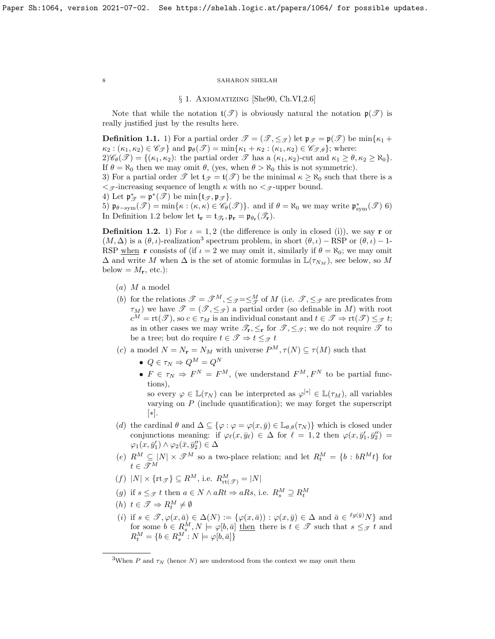#### § 1. Axiomatizing [\[She90,](#page-37-1) Ch.VI,2.6]

Note that while the notation  $\mathfrak{t}(\mathcal{T})$  is obviously natural the notation  $\mathfrak{p}(\mathcal{T})$  is really justified just by the results here.

<span id="page-7-3"></span>**Definition 1.1.** 1) For a partial order  $\mathcal{T} = (\mathcal{T}, \leq_{\mathcal{T}})$  let  $\mathfrak{p}_{\mathcal{T}} = \mathfrak{p}(\mathcal{T})$  be min $\{\kappa_1 + \epsilon_2\}$  $\kappa_2 : (\kappa_1, \kappa_2) \in \mathscr{C}_{\mathscr{T}}\}\$ and  $\mathfrak{p}_{\theta}(\mathscr{T}) = \min{\kappa_1 + \kappa_2 : (\kappa_1, \kappa_2) \in \mathscr{C}_{\mathscr{T}, \theta}}\;$ ; where:

 $2)\mathscr{C}_{\theta}(\mathscr{T}) = \{(\kappa_1, \kappa_2): \text{ the partial order } \mathscr{T} \text{ has a } (\kappa_1, \kappa_2) \text{-cut and } \kappa_1 \geq \theta, \kappa_2 \geq \aleph_0\}.$ If  $\theta = \aleph_0$  then we may omit  $\theta$ , (yes, when  $\theta > \aleph_0$  this is not symmetric).

3) For a partial order  $\mathscr T$  let  $\mathfrak{t}_{\mathscr T} = \mathfrak{t}(\mathscr T)$  be the minimal  $\kappa \geq \aleph_0$  such that there is a  $\langle \mathcal{F}$ -increasing sequence of length  $\kappa$  with no  $\langle \mathcal{F}$ -upper bound.

4) Let 
$$
\mathfrak{p}_{\mathscr{T}}^* = \mathfrak{p}^*(\mathscr{T})
$$
 be  $\min{\{\mathfrak{t}_{\mathscr{T}}, \mathfrak{p}_{\mathscr{T}}\}}$ .

5)  $\mathfrak{p}_{\theta-\text{sym}}(\mathscr{T}) = \min\{\kappa : (\kappa, \kappa) \in \mathscr{C}_{\theta}(\mathscr{T})\}.$  and if  $\theta = \aleph_0$  we may write  $\mathfrak{p}_{sym}^*(\mathscr{T})$  6) In Definition [1.2](#page-7-1) below let  $\mathfrak{t}_{\mathbf{r}} = \mathfrak{t}_{\mathscr{T}_{\mathbf{r}}}, \mathfrak{p}_{\mathbf{r}} = \mathfrak{p}_{\theta_{\mathbf{r}}}(\mathscr{T}_{\mathbf{r}}).$ 

<span id="page-7-1"></span>**Definition 1.2.** 1) For  $\iota = 1, 2$  (the difference is only in closed (i)), we say r or  $(M, \Delta)$  is a  $(\theta, \iota)$ -realization<sup>[3](#page-7-2)</sup> spectrum problem, in short  $(\theta, \iota)$  – RSP or  $(\theta, \iota)$  – 1-RSP when r consists of (if  $\iota = 2$  we may omit it, similarly if  $\theta = \aleph_0$ ; we may omit  $\Delta$  and write M when  $\Delta$  is the set of atomic formulas in  $\mathbb{L}(\tau_{N_M})$ , see below, so M below =  $M_{\mathbf{r}}$ , etc.):

- (a) M a model
- (b) for the relations  $\mathcal{T} = \mathcal{T}^M, \leq_{\mathcal{T}} = \leq_{\mathcal{T}}^M$  of M (i.e.  $\mathcal{T}, \leq_{\mathcal{T}}$  are predicates from  $\tau_M$ ) we have  $\mathscr{T} = (\mathscr{T}, \leq_{\mathscr{T}})$  a partial order (so definable in M) with root  $c^M = \text{rt}(\mathscr{T})$ , so  $c \in \tau_M$  is an individual constant and  $t \in \mathscr{T} \Rightarrow \text{rt}(\mathscr{T}) \leq_{\mathscr{T}} t$ ; as in other cases we may write  $\mathscr{T}_{r}, \leq_{r}$  for  $\mathscr{T}, \leq_{\mathscr{T}}$ ; we do not require  $\mathscr{T}$  to be a tree; but do require  $t \in \mathscr{T} \Rightarrow t \leq_{\mathscr{T}} t$
- (c) a model  $N = N_r = N_M$  with universe  $P^M, \tau(N) \subseteq \tau(M)$  such that
	- $Q \in \tau_N \Rightarrow Q^M = Q^N$
	- $F \in \tau_N \Rightarrow F^N = F^M$ , (we understand  $F^M, F^N$  to be partial functions),

so every  $\varphi \in \mathbb{L}(\tau_N)$  can be interpreted as  $\varphi^{[*]} \in \mathbb{L}(\tau_M)$ , all variables varying on  $P$  (include quantification); we may forget the superscript [∗].

- (d) the cardinal  $\theta$  and  $\Delta \subseteq {\varphi : \varphi = \varphi(x, \bar{y}) \in \mathbb{L}_{\theta, \theta}(\tau_N)}$  which is closed under conjunctions meaning: if  $\varphi_{\ell}(x, \bar{y}_{\ell}) \in \Delta$  for  $\ell = 1, 2$  then  $\varphi(x, \bar{y}'_1, \bar{y}''_2) =$  $\varphi_1(x, \bar{y}_1') \wedge \varphi_2(\bar{x}, \bar{y}_2'') \in \Delta$
- (e)  $R^M \subseteq |N| \times \mathcal{T}^M$  so a two-place relation; and let  $R_t^M = \{b : bR^Mt\}$  for  $t \in \mathscr{T}^M$
- $(f) |N| \times {\text{rt}_{\mathscr{T}}} \subseteq R^M$ , i.e.  $R^M_{\text{rt}(\mathscr{T})} = |N|$
- (g) if  $s \leq_{\mathcal{F}} t$  then  $a \in N \wedge aRt \Rightarrow aRs$ , i.e.  $R_s^M \supseteq R_t^M$
- (*h*)  $t \in \mathcal{T} \Rightarrow R_t^M \neq \emptyset$
- (i) if  $s \in \mathcal{F}, \varphi(x, \bar{a}) \in \Delta(N) := \{ \varphi(x, \bar{a}) : \varphi(x, \bar{y}) \in \Delta \text{ and } \bar{a} \in {^{\ell g(\bar{y})}}N \}$  and for some  $b \in R_s^M, N \models \varphi[b, \bar{a}]$  then there is  $t \in \mathcal{T}$  such that  $s \leq_{\mathcal{T}} t$  and  $R_t^M = \{b \in R_s^M : N \models \varphi[b, \bar{a}]\}$

<span id="page-7-0"></span>

<span id="page-7-2"></span><sup>&</sup>lt;sup>3</sup>When P and  $\tau_N$  (hence N) are understood from the context we may omit them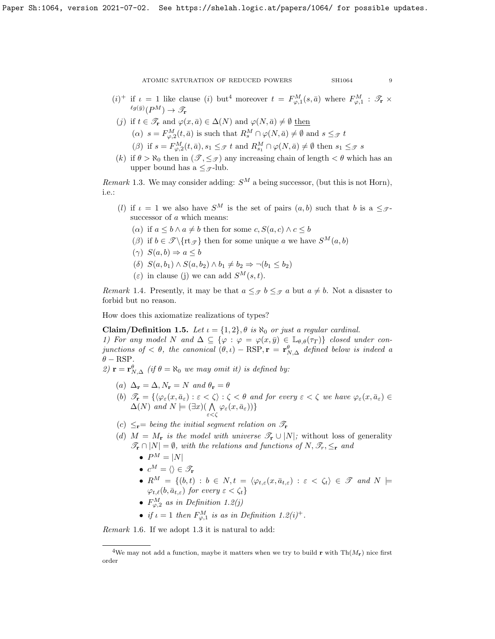- $(i)^+$  if  $\iota = 1$  like clause (i) but<sup>[4](#page-8-0)</sup> moreover  $t = F_{\varphi,1}^M(s, \bar{a})$  where  $F_{\varphi,1}^M$  :  $\mathscr{T}_{\mathbf{r}} \times$  ${}^{\ell g(\bar{y})}(P^M) \rightarrow \mathscr{T}_{\mathbf{r}}$
- (j) if  $t \in \mathscr{T}_{\mathbf{r}}$  and  $\varphi(x,\bar{a}) \in \Delta(N)$  and  $\varphi(N,\bar{a}) \neq \emptyset$  then  $(\alpha)$   $s = F_{\varphi,2}^M(t, \bar{a})$  is such that  $R_s^M \cap \varphi(N, \bar{a}) \neq \emptyset$  and  $s \leq_{\mathcal{F}} t$ 
	- ( $\beta$ ) if  $s = F_{\varphi,2}^M(t, \bar{a}), s_1 \leq_{\mathcal{T}} t$  and  $R_{s_1}^M \cap \varphi(N, \bar{a}) \neq \emptyset$  then  $s_1 \leq_{\mathcal{T}} s$
- (k) if  $\theta > \aleph_0$  then in  $(\mathscr{T}, \leq_{\mathscr{T}})$  any increasing chain of length  $\lt \theta$  which has an upper bound has a  $\leq_{\mathcal{F}}$ -lub.

<span id="page-8-1"></span>Remark 1.3. We may consider adding:  $S^M$  a being successor, (but this is not Horn), i.e.:

- (l) if  $\iota = 1$  we also have  $S^M$  is the set of pairs  $(a, b)$  such that b is a  $\leq_{\mathcal{F}}$ successor of  $a$  which means:
	- ( $\alpha$ ) if  $a \leq b \wedge a \neq b$  then for some  $c, S(a, c) \wedge c \leq b$
	- (β) if  $b \in \mathcal{T} \setminus \{rt_{\mathcal{T}}\}$  then for some unique a we have  $S^M(a, b)$
	- $(\gamma) S(a, b) \Rightarrow a \leq b$
	- (δ)  $S(a, b_1) \wedge S(a, b_2) \wedge b_1 \neq b_2 \Rightarrow \neg(b_1 \leq b_2)$
	- (ε) in clause (j) we can add  $S^M(s,t)$ .

Remark 1.4. Presently, it may be that  $a \leq_{\mathcal{F}} b \leq_{\mathcal{F}} a$  but  $a \neq b$ . Not a disaster to forbid but no reason.

How does this axiomatize realizations of types?

<span id="page-8-2"></span>Claim/Definition 1.5. Let  $\iota = \{1,2\}, \theta$  is  $\aleph_0$  or just a regular cardinal.

1) For any model N and  $\Delta \subseteq {\varphi : \varphi = \varphi(x, \bar{y}) \in \mathbb{L}_{\theta, \theta}(\tau_T)}$  closed under conjunctions of  $< \theta$ , the canonical  $(\theta, \iota) - RSP, r = r^{\theta}_{N, \Delta}$  defined below is indeed a  $\theta$  – RSP.

2)  $\mathbf{r} = \mathbf{r}_{N,\Delta}^{\theta}$  (if  $\theta = \aleph_0$  we may omit it) is defined by:

- (a)  $\Delta_{\mathbf{r}} = \Delta, N_{\mathbf{r}} = N$  and  $\theta_{\mathbf{r}} = \theta$
- (b)  $\mathscr{T}_{\mathbf{r}} = \{ \langle \varphi_{\varepsilon}(x, \bar{a}_{\varepsilon}) : \varepsilon < \zeta \rangle : \zeta < \theta \text{ and for every } \varepsilon < \zeta \text{ we have } \varphi_{\varepsilon}(x, \bar{a}_{\varepsilon}) \in$  $\Delta(N)$  and  $N \models (\exists x) (\bigwedge$  $\bigwedge_{\varepsilon<\zeta}\varphi_\varepsilon(x,\bar a_\varepsilon))\}$
- (c)  $\leq_{\mathbf{r}}$  being the initial segment relation on  $\mathscr{T}_{\mathbf{r}}$
- (d)  $M = M_r$  is the model with universe  $\mathscr{T}_r \cup |N|$ ; without loss of generality  $\mathscr{T}_{\mathbf{r}} \cap |N| = \emptyset$ , with the relations and functions of  $N, \mathscr{T}_{r}, \leq_{\mathbf{r}}$  and
	- $P^M = |N|$
	- $c^M = \langle \rangle \in \mathscr{T}_r$
	- $R^M = \{(b, t) : b \in N, t = \langle \varphi_{t,\varepsilon}(x, \bar{a}_{t,\varepsilon}) : \varepsilon < \zeta_t \rangle \in \mathcal{T} \text{ and } N \models$  $\varphi_{t,\ell}(b, \bar{a}_{t,\varepsilon})$  for every  $\varepsilon < \zeta_t$
	- $F^M_{\varphi,2}$  as in Definition [1.2\(](#page-7-1)j)
	- if  $\iota = 1$  then  $F_{\varphi,1}^M$  is as in Definition [1.2\(](#page-7-1)i)<sup>+</sup>.

Remark 1.6. If we adopt [1.3](#page-8-1) it is natural to add:

<span id="page-8-0"></span><sup>&</sup>lt;sup>4</sup>We may not add a function, maybe it matters when we try to build **r** with Th $(M_r)$  nice first order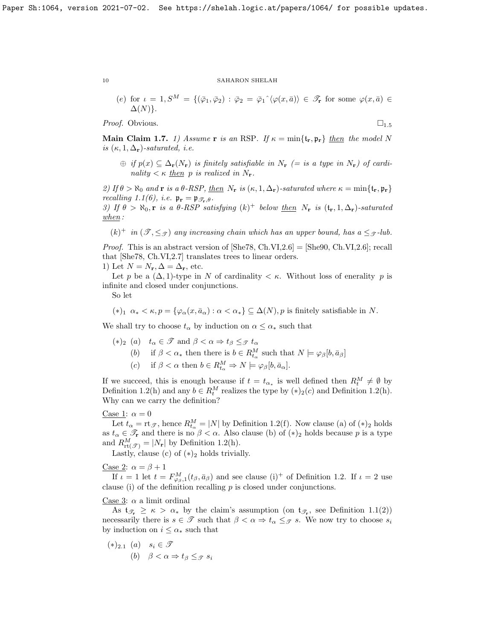(e) for 
$$
\iota = 1
$$
,  $S^M = \{(\bar{\varphi}_1, \bar{\varphi}_2) : \bar{\varphi}_2 = \bar{\varphi}_1 \hat{\langle} \varphi(x, \bar{a}) \rangle \in \mathcal{F}_r \text{ for some } \varphi(x, \bar{a}) \in \Delta(N)\}.$ 

*Proof.* Obvious.  $\Box_{1.5}$  $\Box_{1.5}$  $\Box_{1.5}$ 

<span id="page-9-0"></span>**Main Claim 1.7.** 1) Assume r is an RSP. If  $\kappa = \min\{\mathbf{t}_r, \mathbf{p}_r\}$  then the model N is  $(\kappa, 1, \Delta_r)$ -saturated, i.e.

 $\oplus$  if  $p(x) \subseteq \Delta_{\mathbf{r}}(N_{\mathbf{r}})$  is finitely satisfiable in  $N_{\mathbf{r}}$  (= is a type in  $N_{\mathbf{r}}$ ) of cardinality  $\lt \kappa$  then p is realized in  $N_r$ .

2) If  $\theta > \aleph_0$  and **r** is a  $\theta$ -RSP, then  $N_r$  is  $(\kappa, 1, \Delta_r)$ -saturated where  $\kappa = \min\{\mathfrak{t}_r, \mathfrak{p}_r\}$ recalling [1.1\(](#page-7-3)6), i.e.  $\mathfrak{p}_r = \mathfrak{p}_{\mathcal{F}_r,\theta}$ .

3) If  $\theta > \aleph_0$ , r is a  $\theta$ -RSP satisfying  $(k)^+$  below then  $N_r$  is  $(\mathfrak{t}_r, 1, \Delta_r)$ -saturated  $when:$ 

 $(k)^+$  in  $(\mathcal{T}, \leq_{\mathcal{T}})$  any increasing chain which has an upper bound, has  $a \leq_{\mathcal{T}}$ -lub.

*Proof.* This is an abstract version of  $[\text{She78}, \text{Ch.VI}, 2.6] = [\text{She90}, \text{Ch.VI}, 2.6]$ ; recall that [\[She78,](#page-37-2) Ch.VI,2.7] translates trees to linear orders.

1) Let  $N = N_{\mathbf{r}}, \Delta = \Delta_{\mathbf{r}},$  etc.

Let p be a  $(\Delta, 1)$ -type in N of cardinality  $\lt \kappa$ . Without loss of enerality p is infinite and closed under conjunctions.

So let

$$
(*)_1
$$
  $\alpha_* < \kappa, p = {\varphi_\alpha(x, \bar{a}_\alpha) : \alpha < \alpha_*} \subseteq \Delta(N), p$  is finitely satisfiable in N.

We shall try to choose  $t_{\alpha}$  by induction on  $\alpha \leq \alpha_*$  such that

- (\*)<sub>2</sub> (a)  $t_{\alpha} \in \mathcal{T}$  and  $\beta < \alpha \Rightarrow t_{\beta} \leq_{\mathcal{T}} t_{\alpha}$ 
	- (b) if  $\beta < \alpha_*$  then there is  $b \in R_{t_\alpha}^M$  such that  $N \models \varphi_\beta[b, \bar{a}_\beta]$
	- (c) if  $\beta < \alpha$  then  $b \in R_{t_{\alpha}}^M \Rightarrow N \models \varphi_{\beta}[b, \bar{a}_{\alpha}].$

If we succeed, this is enough because if  $t = t_{\alpha_*}$  is well defined then  $R_t^M \neq \emptyset$  by Definition [1.2\(](#page-7-1)h) and any  $b \in R_t^M$  realizes the type by  $(*)_2(c)$  and Definition 1.2(h). Why can we carry the definition?

# Case 1:  $\alpha = 0$

Let  $t_{\alpha} =$  rt $\mathcal{F}$ , hence  $R_{t_{\alpha}}^M = |N|$  by Definition [1.2\(](#page-7-1)f). Now clause (a) of  $(*)_2$  holds as  $t_{\alpha} \in \mathscr{T}_{r}$  and there is no  $\beta < \alpha$ . Also clause (b) of  $(*)_2$  holds because p is a type and  $R_{\text{rt}(\mathscr{T})}^M = |N_{\mathbf{r}}|$  by Definition [1.2\(](#page-7-1)h).

Lastly, clause (c) of  $(*)_2$  holds trivially.

Case 2:  $\alpha = \beta + 1$ 

If  $\iota = 1$  let  $t = F_{\varphi_{\beta},1}^M(t_\beta, \bar{a}_\beta)$  and see clause (i)<sup>+</sup> of Definition [1.2.](#page-7-1) If  $\iota = 2$  use clause (i) of the definition recalling  $p$  is closed under conjunctions.

# Case 3:  $\alpha$  a limit ordinal

As  $\mathfrak{t}_{\mathscr{T}_{r}} \geq \kappa > \alpha_*$  by the claim's assumption (on  $\mathfrak{t}_{\mathscr{T}_{r}}$ , see Definition [1.1\(](#page-7-3)2)) necessarily there is  $s \in \mathcal{T}$  such that  $\beta < \alpha \Rightarrow t_{\alpha} \leq_{\mathcal{T}} s$ . We now try to choose  $s_i$ by induction on  $i \leq \alpha_*$  such that

 $(*)_{2.1}$  (a)  $s_i \in \mathcal{T}$ (b)  $\beta < \alpha \Rightarrow t_{\beta} \leq_{\mathcal{F}} s_i$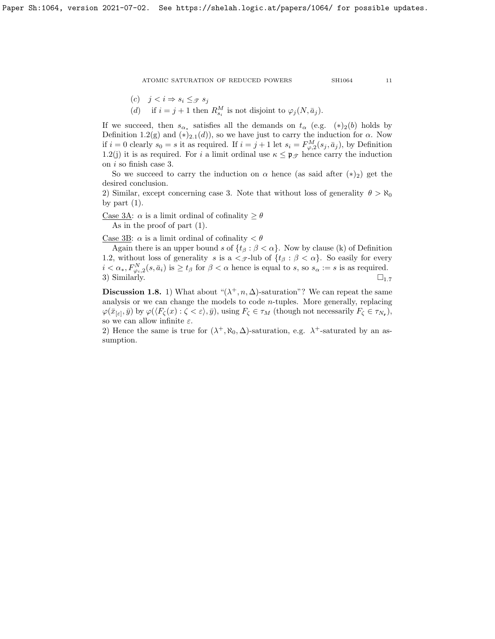$$
f_{\rm{max}}
$$

$$
(c) \quad j < i \Rightarrow s_i \leq_{\mathcal{F}} s_j
$$

(d) if  $i = j + 1$  then  $R_{s_i}^M$  is not disjoint to  $\varphi_j(N, \bar{a}_j)$ .

If we succeed, then  $s_{\alpha^*}$  satisfies all the demands on  $t_{\alpha}$  (e.g.  $(*)_2(b)$  holds by Definition [1.2\(](#page-7-1)g) and (\*)<sub>2.1</sub>(d)), so we have just to carry the induction for  $\alpha$ . Now if  $i = 0$  clearly  $s_0 = s$  it as required. If  $i = j + 1$  let  $s_i = F_{\varphi,2}^M(s_j, \bar{a}_j)$ , by Definition [1.2\(](#page-7-1)j) it is as required. For i a limit ordinal use  $\kappa \leq \mathfrak{p}_{\mathscr{T}}$  hence carry the induction on i so finish case 3.

So we succeed to carry the induction on  $\alpha$  hence (as said after  $(*)_2$ ) get the desired conclusion.

2) Similar, except concerning case 3. Note that without loss of generality  $\theta > \aleph_0$ by part  $(1)$ .

Case 3A:  $\alpha$  is a limit ordinal of cofinality  $\geq \theta$ As in the proof of part (1).

Case 3B:  $\alpha$  is a limit ordinal of cofinality  $\langle \theta \rangle$ 

Again there is an upper bound s of  $\{t_\beta : \beta < \alpha\}$ . Now by clause (k) of Definition [1.2,](#page-7-1) without loss of generality s is a  $\langle \mathcal{S} - \mathcal{A} \rangle$  of  $\{t_\beta : \beta < \alpha\}$ . So easily for every  $i < \alpha_*, F_{\varphi_i,2}^N(s, \bar{a}_i)$  is  $\ge t_\beta$  for  $\beta < \alpha$  hence is equal to s, so  $s_\alpha := s$  is as required. 3) Similarly.  $\square_{1.7}$  $\square_{1.7}$  $\square_{1.7}$ 

**Discussion 1.8.** 1) What about " $(\lambda^+, n, \Delta)$ -saturation"? We can repeat the same analysis or we can change the models to code  $n$ -tuples. More generally, replacing  $\varphi(\bar{x}_{\lbrack \varepsilon \rbrack},\bar{y})$  by  $\varphi(\langle F_{\zeta}(x):\zeta < \varepsilon \rangle,\bar{y}),$  using  $F_{\zeta} \in \tau_M$  (though not necessarily  $F_{\zeta} \in \tau_{N_{\mathbf{r}}}),$ so we can allow infinite  $\varepsilon$ .

2) Hence the same is true for  $(\lambda^+, \aleph_0, \Delta)$ -saturation, e.g.  $\lambda^+$ -saturated by an assumption.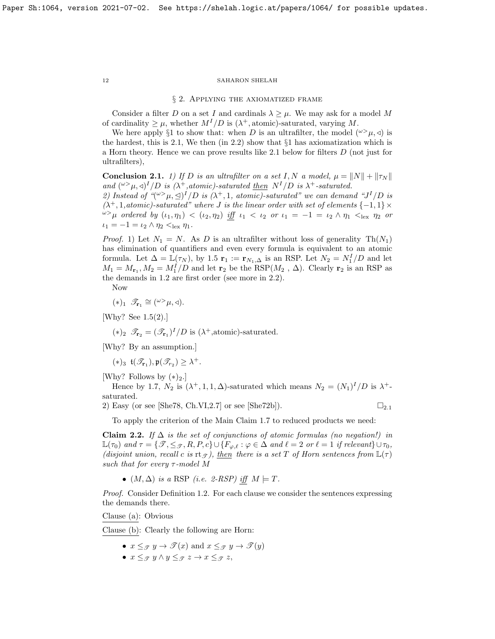#### § 2. Applying the axiomatized frame

Consider a filter D on a set I and cardinals  $\lambda \geq \mu$ . We may ask for a model M of cardinality  $\geq \mu$ , whether  $M^{I}/D$  is  $(\lambda^{+}, \text{atomic})$ -saturated, varying M.

We here apply §1 to show that: when D is an ultrafilter, the model  $({}^{\omega}{}>_{\mu},\triangleleft)$  is the hardest, this is [2.1,](#page-11-1) We then (in [2.2\)](#page-11-2) show that §1 has axiomatization which is a Horn theory. Hence we can prove results like [2.1](#page-11-1) below for filters D (not just for ultrafilters),

<span id="page-11-1"></span>**Conclusion 2.1.** 1) If D is an ultrafilter on a set I, N a model,  $\mu = ||N|| + ||\tau_N||$ and  $({}^{\omega>} \mu, \triangleleft)^I/D$  is  $(\lambda^+, \text{atomic})$ -saturated then  $N^I/D$  is  $\lambda^+$ -saturated.

2) Instead of  $\mathcal{L}(\omega > \mu, \leq)^{I}/D$  is  $(\lambda^{+}, 1, \text{ atomic})$ -saturated" we can demand "J<sup>I</sup>/D is  $(\lambda^+, 1, atomic)$ -saturated" where J is the linear order with set of elements  $\{-1, 1\} \times$  $\omega > \mu$  ordered by  $(\iota_1, \eta_1) < (\iota_2, \eta_2)$  iff  $\iota_1 < \iota_2$  or  $\iota_1 = -1 = \iota_2 \wedge \eta_1 < \iota_{\text{lex}} \eta_2$  or  $\iota_1 = -1 = \iota_2 \wedge \eta_2 <_{\text{lex}} \eta_1.$ 

*Proof.* 1) Let  $N_1 = N$ . As D is an ultrafilter without loss of generality  $Th(N_1)$ has elimination of quantifiers and even every formula is equivalent to an atomic formula. Let  $\Delta = \mathbb{L}(\tau_N)$ , by [1.5](#page-8-2)  $\mathbf{r}_1 := \mathbf{r}_{N_1,\Delta}$  is an RSP. Let  $N_2 = N_1^I/D$  and let  $M_1 = M_{\mathbf{r}_1}, M_2 = M_1^I/D$  and let  $\mathbf{r}_2$  be the RSP( $M_2$ ,  $\Delta$ ). Clearly  $\mathbf{r}_2$  is an RSP as the demands in [1.2](#page-7-1) are first order (see more in [2.2\)](#page-11-2).

Now

$$
(*)_1 \ \mathscr{T}_{\mathbf{r}_1} \cong ({}^{\omega>} \mu, \triangleleft).
$$

[Why? See [1.5\(](#page-8-2)2).]

 $(*)_2$   $\mathscr{T}_{\mathbf{r}_2} = (\mathscr{T}_{\mathbf{r}_1})^I/D$  is  $(\lambda^+, \text{atomic})$ -saturated.

[Why? By an assumption.]

 $(\ast)_3 \mathfrak{t}(\mathscr{T}_{{\bf r}_1}), \mathfrak{p}(\mathscr{T}_{{r}_2}) \geq \lambda^+.$ 

[Why? Follows by  $(*)_2$ .]

Hence by [1.7,](#page-9-0)  $N_2$  is  $(\lambda^+, 1, 1, \Delta)$ -saturated which means  $N_2 = (N_1)^I/D$  is  $\lambda^+$ saturated.

2) Easy (or see [\[She78,](#page-37-2) Ch.VI,2.7] or see [\[She72b\]](#page-37-19)).  $\square_{2,1}$  $\square_{2,1}$  $\square_{2,1}$ 

To apply the criterion of the Main Claim [1.7](#page-9-0) to reduced products we need:

<span id="page-11-2"></span>Claim 2.2. If  $\Delta$  is the set of conjunctions of atomic formulas (no negation!) in  $\mathbb{L}(\tau_0)$  and  $\tau = \{ \mathscr{T}, \leq_{\mathscr{T}}, R, P, c \} \cup \{ F_{\varphi,\ell} : \varphi \in \Delta \text{ and } \ell = 2 \text{ or } \ell = 1 \text{ if relevant} \} \cup \tau_0$ , (disjoint union, recall c is  $\text{rt}_{\mathscr{T}}$ ), then there is a set T of Horn sentences from  $\mathbb{L}(\tau)$ such that for every  $\tau$ -model M

•  $(M, \Delta)$  is a RSP (i.e. 2-RSP) iff  $M \models T$ .

Proof. Consider Definition [1.2.](#page-7-1) For each clause we consider the sentences expressing the demands there.

Clause (a): Obvious

Clause (b): Clearly the following are Horn:

- $x \leq_{\mathcal{T}} y \to \mathcal{T}(x)$  and  $x \leq_{\mathcal{T}} y \to \mathcal{T}(y)$
- $x \leq_{\mathcal{T}} y \wedge y \leq_{\mathcal{T}} z \rightarrow x \leq_{\mathcal{T}} z$ ,

<span id="page-11-0"></span>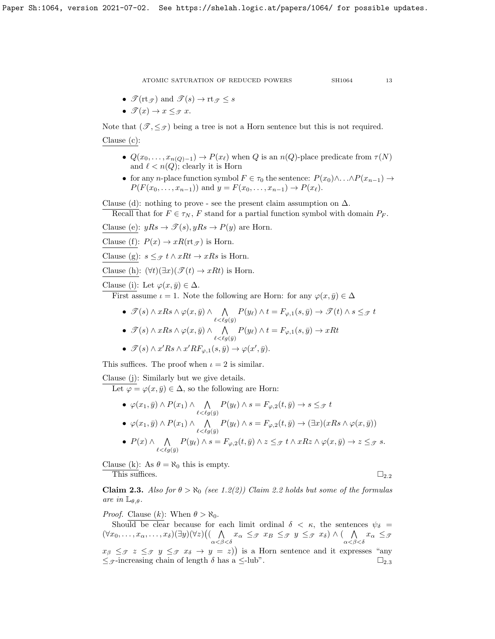$$
f_{\rm{max}}
$$

- $\mathcal{T}(\mathsf{rt}_{\mathcal{T}})$  and  $\mathcal{T}(s) \to \mathsf{rt}_{\mathcal{T}} \leq s$
- $\mathscr{T}(x) \to x \leq_{\mathscr{T}} x$ .

Note that  $(\mathscr{T}, \leq_{\mathscr{T}})$  being a tree is not a Horn sentence but this is not required.

Clause (c):

- $Q(x_0, \ldots, x_{n(Q)-1}) \to P(x_\ell)$  when Q is an  $n(Q)$ -place predicate from  $\tau(N)$ and  $\ell < n(Q)$ ; clearly it is Horn
- for any *n*-place function symbol  $F \in \tau_0$  the sentence:  $P(x_0) \wedge ... \wedge P(x_{n-1}) \rightarrow$  $P(F(x_0, \ldots, x_{n-1}))$  and  $y = F(x_0, \ldots, x_{n-1}) \to P(x_\ell)$ .

Clause (d): nothing to prove - see the present claim assumption on  $\Delta$ .

Recall that for  $F \in \tau_N$ , F stand for a partial function symbol with domain  $P_F$ .

Clause (e):  $yRs \rightarrow \mathcal{T}(s), yRs \rightarrow P(y)$  are Horn.

Clause (f):  $P(x) \rightarrow xR(\text{rt}_{\mathcal{F}})$  is Horn.

Clause (g):  $s \leq_{\mathcal{F}} t \wedge xRt \rightarrow xRs$  is Horn.

Clause (h):  $(\forall t)(\exists x)(\mathscr{T}(t) \rightarrow xRt)$  is Horn.

Clause (i): Let  $\varphi(x,\bar{y}) \in \Delta$ .

First assume  $\iota = 1$ . Note the following are Horn: for any  $\varphi(x, \bar{y}) \in \Delta$ 

- $\mathscr{T}(s) \wedge xRs \wedge \varphi(x,\bar{y}) \wedge \quad \wedge$  $\bigwedge_{\ell < \ell g(\bar{y})} P(y_{\ell}) \wedge t = F_{\varphi,1}(s, \bar{y}) \to \mathscr{T}(t) \wedge s \leq_{\mathscr{T}} t$
- $\mathscr{T}(s) \wedge xRs \wedge \varphi(x,\bar{y}) \wedge \quad \wedge$  $\bigwedge_{\ell < \ell g(\bar{y})} P(y_{\ell}) \wedge t = F_{\varphi,1}(s, \bar{y}) \to xRt$
- $\mathscr{T}(s) \wedge x' Rs \wedge x' R F_{\varphi,1}(s,\bar{y}) \rightarrow \varphi(x',\bar{y}).$

This suffices. The proof when  $\iota = 2$  is similar.

Clause (j): Similarly but we give details.

Let  $\varphi = \varphi(x, \bar{y}) \in \Delta$ , so the following are Horn:

- $\varphi(x_1,\bar{y}) \wedge P(x_1) \wedge \quad \wedge$  $\bigwedge_{\ell < \ell g(\bar{y})} P(y_{\ell}) \wedge s = F_{\varphi,2}(t, \bar{y}) \to s \leq_{\mathcal{F}} t$
- $\varphi(x_1,\bar{y}) \wedge P(x_1) \wedge \quad \wedge$  $\bigwedge_{\ell < \ell g(\bar{y})} P(y_{\ell}) \wedge s = F_{\varphi,2}(t, \bar{y}) \rightarrow (\exists x)(xRs \wedge \varphi(x, \bar{y}))$
- $P(x) \wedge \wedge$  $\bigwedge_{\ell < \ell g(\bar{y})} P(y_{\ell}) \wedge s = F_{\varphi,2}(t, \bar{y}) \wedge z \leq_{\mathcal{F}} t \wedge xRz \wedge \varphi(x, \bar{y}) \rightarrow z \leq_{\mathcal{F}} s.$

Clause (k): As  $\theta = \aleph_0$  this is empty. This suffices.  $\Box_{2,2}$  $\Box_{2,2}$  $\Box_{2,2}$ 

<span id="page-12-0"></span>**Claim 2.3.** Also for  $\theta > \aleph_0$  (see [1.2\(](#page-7-1)2)) Claim [2.2](#page-11-2) holds but some of the formulas are in  $\mathbb{L}_{\theta,\theta}$ .

*Proof.* Clause  $(k)$ : When  $\theta > \aleph_0$ .

Should be clear because for each limit ordinal  $\delta \langle \kappa, \rangle$  the sentences  $\psi_{\delta} =$  $(\forall x_0, \ldots, x_\alpha, \ldots, x_\delta)(\exists y)(\forall z)((\ \ \Lambda$  $\bigwedge_{\alpha<\beta<\delta} x_{\alpha} \leq_{\mathcal{F}} x_{B} \leq_{\mathcal{F}} y \leq_{\mathcal{F}} x_{\delta} \big) \wedge \big( \bigwedge_{\alpha<\beta}$  $\bigwedge_{\alpha<\beta<\delta} x_{\alpha} \leq_{\mathscr{I}}$  $x_{\beta} \leq_{\mathcal{T}} z \leq_{\mathcal{T}} y \leq_{\mathcal{T}} x_{\delta} \rightarrow y = z$ ) is a Horn sentence and it expresses "any  $\leq$   $\sigma$ -increasing chain of length  $\delta$  has a  $\leq$ -lub".  $\Box_{2,3}$  $\Box_{2,3}$  $\Box_{2,3}$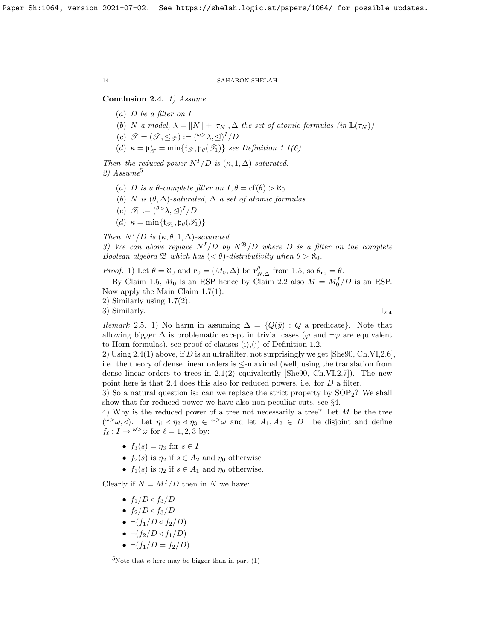# <span id="page-13-1"></span>Conclusion 2.4. 1) Assume

- $(a)$  D be a filter on I
- (b) N a model,  $\lambda = ||N|| + |\tau_N|$ ,  $\Delta$  the set of atomic formulas (in  $\mathbb{L}(\tau_N)$ )
- (c)  $\mathscr{T} = (\mathscr{T}, \leq_{\mathscr{T}}) := ({}^{\omega >} \lambda, \trianglelefteq)^I / D$
- (d)  $\kappa = \mathfrak{p}_{\mathcal{T}}^* = \min\{\mathfrak{t}_{\mathcal{T}}, \mathfrak{p}_{\theta}(\mathcal{T}_1)\}$  see Definition [1.1\(](#page-7-3)6).

Then the reduced power  $N^{I}/D$  is  $(\kappa, 1, \Delta)$ -saturated.  $2) Assume<sup>5</sup>$  $2) Assume<sup>5</sup>$  $2) Assume<sup>5</sup>$ 

- (a) D is a  $\theta$ -complete filter on  $I, \theta = \text{cf}(\theta) > \aleph_0$
- (b) N is  $(\theta, \Delta)$ -saturated,  $\Delta$  a set of atomic formulas
- (c)  $\mathscr{T}_1 := {\binom{\theta > \lambda, \trianglelefteq}}^I/D$
- (d)  $\kappa = \min\{\mathfrak{t}_{\mathscr{T}_1}, \mathfrak{p}_{\theta}(\mathscr{T}_1)\}\$

Then  $N^I/D$  is  $(\kappa, \theta, 1, \Delta)$ -saturated. 3) We can above replace  $N^{I}/D$  by  $N^{B}/D$  where D is a filter on the complete

Boolean algebra  $\mathfrak{B}$  which has  $( $\theta$ )-distributivity when  $\theta > \aleph_0$ .$ 

*Proof.* 1) Let  $\theta = \aleph_0$  and  $\mathbf{r}_0 = (M_0, \Delta)$  be  $\mathbf{r}_{N,\Delta}^{\theta}$  from [1.5,](#page-8-2) so  $\theta_{\mathbf{r}_0} = \theta$ . By Claim [1.5,](#page-8-2)  $M_0$  is an RSP hence by Claim [2.2](#page-11-2) also  $M = M_0^I/D$  is an RSP. Now apply the Main Claim [1.7\(](#page-9-0)1).

2) Similarly using [1.7\(](#page-9-0)2).

3) Similarly.  $\Box_{2.4}$  $\Box_{2.4}$  $\Box_{2.4}$ 

Remark 2.5. 1) No harm in assuming  $\Delta = \{Q(\bar{y}) : Q$  a predicate. Note that allowing bigger  $\Delta$  is problematic except in trivial cases ( $\varphi$  and  $\neg \varphi$  are equivalent to Horn formulas), see proof of clauses (i),(j) of Definition [1.2.](#page-7-1)

2) Using  $2.4(1)$  above, if D is an ultrafilter, not surprisingly we get [\[She90,](#page-37-1) Ch.VI,2.6], i.e. the theory of dense linear orders is  $\leq$ -maximal (well, using the translation from dense linear orders to trees in  $2.1(2)$  equivalently [\[She90,](#page-37-1) Ch.VI,2.7]). The new point here is that [2.4](#page-13-1) does this also for reduced powers, i.e. for D a filter.

3) So a natural question is: can we replace the strict property by  $SOP<sub>2</sub>$ ? We shall show that for reduced power we have also non-peculiar cuts, see  $\S4$ .

4) Why is the reduced power of a tree not necessarily a tree? Let M be the tree  $({}^{\omega\geq}\omega,\triangleleft)$ . Let  $\eta_1\triangleleft\eta_2\triangleleft\eta_3\in{}^{\omega\geq}\omega$  and let  $A_1,A_2\in D^+$  be disjoint and define  $f_{\ell} : I \to \omega > \omega$  for  $\ell = 1, 2, 3$  by:

- $f_3(s) = \eta_3$  for  $s \in I$
- $f_2(s)$  is  $\eta_2$  if  $s \in A_2$  and  $\eta_0$  otherwise
- $f_1(s)$  is  $\eta_2$  if  $s \in A_1$  and  $\eta_0$  otherwise.

Clearly if  $N = M^{I}/D$  then in N we have:

- $f_1/D \triangleleft f_3/D$
- $f_2/D \triangleleft f_3/D$
- $\bullet \ \neg (f_1/D \triangleleft f_2/D)$
- $\bullet \ \neg (f_2/D \triangleleft f_1/D)$
- $\neg(f_1/D = f_2/D).$

<span id="page-13-0"></span><sup>&</sup>lt;sup>5</sup>Note that  $\kappa$  here may be bigger than in part (1)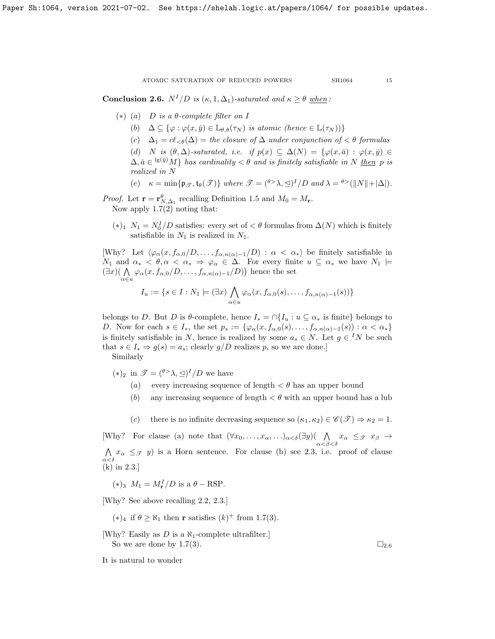<span id="page-14-0"></span>**Conclusion 2.6.**  $N^I/D$  is  $(\kappa, 1, \Delta_1)$ -saturated and  $\kappa \geq \theta$  when:

- (\*) (a) D is a  $\theta$ -complete filter on I
	- (b)  $\Delta \subseteq {\varphi : \varphi(x, \bar{y}) \in \mathbb{L}_{\theta, \theta}(\tau_N) \text{ is atomic (hence } \in \mathbb{L}(\tau_N)) }$
	- (c)  $\Delta_1 = c\ell_{\leq \theta}(\Delta) =$  the closure of  $\Delta$  under conjunction of  $\leq \theta$  formulas
	- (d) N is  $(\theta, \Delta)$ -saturated, i.e. if  $p(x) \subseteq \Delta(N) = \{\varphi(x, \bar{a}) : \varphi(x, \bar{y}) \in$  $\Delta, \bar{a} \in {}^{\lg(\bar{y})}M$  has cardinality  $\lt \theta$  and is finitely satisfiable in N then p is realized in N

(e) 
$$
\kappa = \min{\{ \mathfrak{p}_{\mathscr{T}}, \mathfrak{t}_{\theta}(\mathscr{T}) \}} \text{ where } \mathscr{T} = \binom{\theta > \lambda, \leq 1}{D} \text{ and } \lambda = \frac{\theta > (\|N\| + |\Delta|)}{D}.
$$

*Proof.* Let  $\mathbf{r} = \mathbf{r}_{N,\Delta_1}^{\theta}$  recalling Definition [1.5](#page-8-2) and  $M_0 = M_{\mathbf{r}}$ . Now apply [1.7\(](#page-9-0)2) noting that:

(∗)<sup>1</sup>  $N_1 = N_0^I/D$  satisfies: every set of  $\lt \theta$  formulas from  $\Delta(N)$  which is finitely satisfiable in  $N_1$  is realized in  $N_1$ .

[Why? Let  $\langle \varphi_\alpha(x, f_{\alpha,0}/D, \ldots, f_{\alpha,n(\alpha)-1}/D) : \alpha < \alpha_* \rangle$  be finitely satisfiable in  $N_1$  and  $\alpha_* < \theta, \alpha < \alpha_* \Rightarrow \varphi_\alpha \in \Delta$ . For every finite  $u \subseteq \alpha_*$  we have  $N_1 \models$  $(\exists x)(\bigwedge_{\alpha\in u}\varphi_\alpha(x,f_{\alpha,0}/D,\ldots,f_{\alpha,n(\alpha)-1}/D)\big)$  hence the set

$$
I_u := \{ s \in I : N_1 \models (\exists x) \bigwedge_{\alpha \in u} \varphi_\alpha(x, f_{\alpha,0}(s), \dots, f_{\alpha,n(\alpha)-1}(s)) \}
$$

belongs to D. But D is  $\theta$ -complete, hence  $I_* = \bigcap \{I_u : u \subseteq \alpha_* \text{ is finite}\}\$ belongs to D. Now for each  $s \in I_*$ , the set  $p_s := \{ \varphi_\alpha(x, f_{\alpha,0}(s), \ldots, f_{\alpha,n(\alpha)-1}(s)) : \alpha < \alpha_* \}$ is finitely satisfiable in N, hence is realized by some  $a_s \in N$ . Let  $g \in {}^I N$  be such that  $s \in I_* \Rightarrow g(s) = a_s$ ; clearly  $g/D$  realizes p, so we are done.]

Similarly

(\*)<sub>2</sub> in  $\mathscr{T} = \binom{\theta > \lambda}{\lambda} \leq 1^I/D$  we have

- (a) every increasing sequence of length  $\lt \theta$  has an upper bound
- (b) any increasing sequence of length  $\lt \theta$  with an upper bound has a lub
- (c) there is no infinite decreasing sequence so  $(\kappa_1, \kappa_2) \in \mathscr{C}(\mathscr{T}) \Rightarrow \kappa_2 = 1$ .

[Why? For clause (a) note that  $(\forall x_0, \ldots, x_\alpha, \ldots)_{\alpha < \delta} (\exists y) (\bigwedge x_\alpha \leq_{\mathcal{F}} x_\beta \rightarrow$  $\alpha<\beta<\delta$  $\wedge$  $\bigwedge_{\alpha<\delta} x_{\alpha} \leq_{\mathcal{F}} y$  is a Horn sentence. For clause (b) see [2.3,](#page-12-0) i.e. proof of clause (k) in [2.3.](#page-12-0)]

$$
(*)_3 \ M_1 = M_{\mathbf{r}}^I/D \text{ is a } \theta - RSP.
$$

[Why? See above recalling [2.2,](#page-11-2) [2.3.](#page-12-0)]

(\*)<sub>4</sub> if  $\theta \ge \aleph_1$  then **r** satisfies  $(k)^+$  from [1.7\(](#page-9-0)3).

[Why? Easily as D is a  $\aleph_1$ -complete ultrafilter.] So we are done by [1.7\(](#page-9-0)3).  $\Box_{2.6}$  $\Box_{2.6}$  $\Box_{2.6}$ 

It is natural to wonder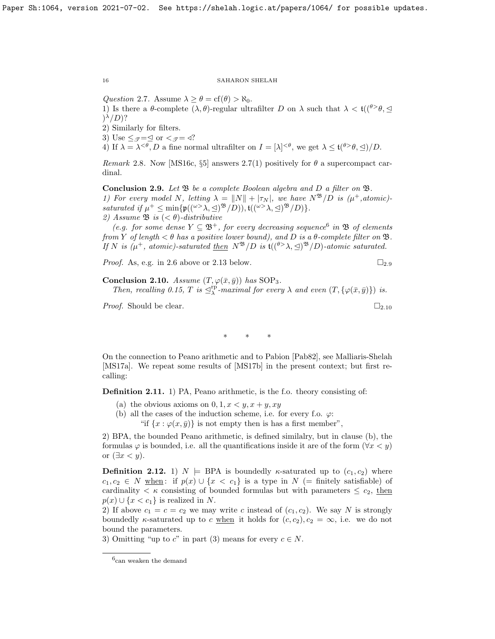<span id="page-15-1"></span>Question 2.7. Assume  $\lambda \geq \theta = \text{cf}(\theta) > \aleph_0$ .

1) Is there a  $\theta$ -complete  $(\lambda, \theta)$ -regular ultrafilter D on  $\lambda$  such that  $\lambda < \mathfrak{t}((\theta > \theta, \leq$  $)^{\lambda}/D$ ?

2) Similarly for filters.

3) Use  $\leq_{\mathscr{T}} = \leq$  or  $\leq_{\mathscr{T}} = \triangleleft?$ 

4) If  $\lambda = \lambda^{<\theta}, D$  a fine normal ultrafilter on  $I = [\lambda]^{<\theta}$ , we get  $\lambda \leq \mathfrak{t}^{(\theta > \theta, \Delta)} / D$ .

Remark 2.8. Now [\[MS16c,](#page-37-5) §5] answers [2.7\(](#page-15-1)1) positively for  $\theta$  a supercompact cardinal.

<span id="page-15-3"></span>Conclusion 2.9. Let  $\mathfrak B$  be a complete Boolean algebra and D a filter on  $\mathfrak B$ . 1) For every model N, letting  $\lambda = ||N|| + |\tau_N|$ , we have  $N^{\mathfrak{B}}/D$  is  $(\mu^+, \text{atomic})$ saturated if  $\mu^+ \leq \min{\{p((\omega^>\lambda,\triangleleft)^{\mathfrak{B}}/D)\}, \mathfrak{t}((\omega^>\lambda,\triangleleft)^{\mathfrak{B}}/D)\}}.$ 2) Assume  $\mathfrak{B}$  is  $( $\theta$ )-distributive$ 

(e.g. for some dense  $Y \subseteq \mathfrak{B}^+$ , for every decreasing sequence<sup>[6](#page-15-2)</sup> in  $\mathfrak{B}$  of elements from Y of length  $\lt \theta$  has a positive lower bound), and D is a  $\theta$ -complete filter on  $\mathfrak{B}$ . If N is  $(\mu^+, \text{ atomic})$ -saturated then  $N^{\mathfrak{B}}/D$  is  $\mathfrak{t}((^{\theta >}\lambda, \trianglelefteq)^{\mathfrak{B}}/D)$ -atomic saturated.

*Proof.* As, e.g. in [2.6](#page-14-0) above or [2.13](#page-16-0) below.  $\square_{2.9}$  $\square_{2.9}$  $\square_{2.9}$ 

<span id="page-15-0"></span>Conclusion 2.10. Assume  $(T, \varphi(\bar{x}, \bar{y}))$  has SOP<sub>3</sub>. Then, recalling [0.15,](#page-6-2) T is  $\exists_{\lambda}^{rp}$ -maximal for every  $\lambda$  and even  $(T, {\varphi(\bar{x}, \bar{y})})$  is.

*Proof.* Should be clear.  $\Box_{2,10}$  $\Box_{2,10}$  $\Box_{2,10}$ 

∗ ∗ ∗

On the connection to Peano arithmetic and to Pabion [\[Pab82\]](#page-37-20), see Malliaris-Shelah [\[MS17a\]](#page-37-9). We repeat some results of [\[MS17b\]](#page-37-17) in the present context; but first recalling:

Definition 2.11. 1) PA, Peano arithmetic, is the f.o. theory consisting of:

(a) the obvious axioms on  $0, 1, x \leq y, x + y, xy$ 

(b) all the cases of the induction scheme, i.e. for every f.o.  $\varphi$ :

"if  $\{x : \varphi(x, \bar{y})\}$  is not empty then is has a first member",

2) BPA, the bounded Peano arithmetic, is defined similalry, but in clause (b), the formulas  $\varphi$  is bounded, i.e. all the quantifications inside it are of the form  $(\forall x < y)$ or  $(\exists x < y)$ .

**Definition 2.12.** 1)  $N \models$  BPA is boundedly  $\kappa$ -saturated up to  $(c_1, c_2)$  where  $c_1, c_2 \in N$  when: if  $p(x) \cup \{x < c_1\}$  is a type in  $N$  (= finitely satisfiable) of cardinality  $\lt \kappa$  consisting of bounded formulas but with parameters  $\leq c_2$ , then  $p(x) \cup \{x < c_1\}$  is realized in N.

2) If above  $c_1 = c = c_2$  we may write c instead of  $(c_1, c_2)$ . We say N is strongly boundedly  $\kappa$ -saturated up to c when it holds for  $(c, c_2), c_2 = \infty$ , i.e. we do not bound the parameters.

3) Omitting "up to c" in part (3) means for every  $c \in N$ .

<span id="page-15-2"></span><sup>6</sup> can weaken the demand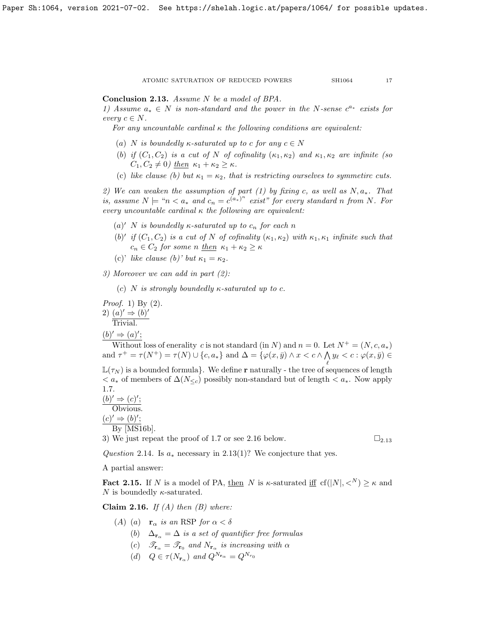<span id="page-16-0"></span>Conclusion 2.13. Assume N be a model of BPA.

1) Assume  $a_* \in N$  is non-standard and the power in the N-sense  $c^{a_*}$  exists for every  $c \in N$ .

For any uncountable cardinal  $\kappa$  the following conditions are equivalent:

- (a) N is boundedly  $\kappa$ -saturated up to c for any  $c \in N$
- (b) if  $(C_1, C_2)$  is a cut of N of cofinality  $(\kappa_1, \kappa_2)$  and  $\kappa_1, \kappa_2$  are infinite (so  $C_1, C_2 \neq 0$ ) then  $\kappa_1 + \kappa_2 \geq \kappa$ .
- (c) like clause (b) but  $\kappa_1 = \kappa_2$ , that is restricting ourselves to symmetirc cuts.

2) We can weaken the assumption of part (1) by fixing c, as well as  $N, a_*$ . That is, assume  $N \models "n \lt a_*$  and  $c_n = c^{(a_*)^n}$  exist" for every standard n from N. For every uncountable cardinal  $\kappa$  the following are equivalent:

- (a)' N is boundedly  $\kappa$ -saturated up to  $c_n$  for each n
- (b)' if  $(C_1, C_2)$  is a cut of N of cofinality  $(\kappa_1, \kappa_2)$  with  $\kappa_1, \kappa_1$  infinite such that  $c_n \in C_2$  for some n then  $\kappa_1 + \kappa_2 \geq \kappa$
- (c)' like clause (b)' but  $\kappa_1 = \kappa_2$ .

3) Moreover we can add in part (2):

(c) N is strongly boundedly  $\kappa$ -saturated up to c.

Proof. 1) By (2). 2)  $(a)' \Rightarrow (b)'$ Trivial.

 $(b)' \Rightarrow (a)';$ 

Without loss of enerality c is not standard (in N) and  $n = 0$ . Let  $N^+ = (N, c, a_*)$ and  $\tau^+ = \tau(N^+) = \tau(N) \cup \{c, a_*\}$  and  $\Delta = \{\varphi(x, \bar{y}) \wedge x < c \wedge \bigwedge y_\ell < c : \varphi(x, \bar{y}) \in$ 

 $\mathbb{L}(\tau_N)$  is a bounded formula}. We define **r** naturally - the tree of sequences of length  $a^* < a^*$  of members of  $\Delta(N_{\leq c})$  possibly non-standard but of length  $a^*$ . Now apply [1.7.](#page-9-0)

 $(b)' \Rightarrow (c)';$ Obvious.  $(c)' \Rightarrow (b)'$ ; By [\[MS16b\]](#page-37-4).

3) We just repeat the proof of [1.7](#page-9-0) or see [2.16](#page-16-1) below.  $\square_{2.13}$  $\square_{2.13}$  $\square_{2.13}$ 

Question 2.14. Is  $a_*$  necessary in [2.13\(](#page-16-0)1)? We conjecture that yes.

A partial answer:

**Fact 2.15.** If N is a model of PA, then N is  $\kappa$ -saturated iff cf( $|N|, \langle N \rangle \ge \kappa$  and N is boundedly  $\kappa$ -saturated.

<span id="page-16-1"></span>Claim 2.16. If  $(A)$  then  $(B)$  where:

- (A) (a)  $\mathbf{r}_{\alpha}$  is an RSP for  $\alpha < \delta$ 
	- (b)  $\Delta_{\mathbf{r}_{\alpha}} = \Delta$  is a set of quantifier free formulas
	- (c)  $\mathscr{T}_{\mathbf{r}_{\alpha}} = \mathscr{T}_{\mathbf{r}_{0}}$  and  $N_{\mathbf{r}_{\alpha}}$  is increasing with  $\alpha$
	- (d)  $Q \in \tau(N_{\mathbf{r}_{\alpha}})$  and  $Q^{N_{\mathbf{r}_{\alpha}}} = Q^{N_{r_0}}$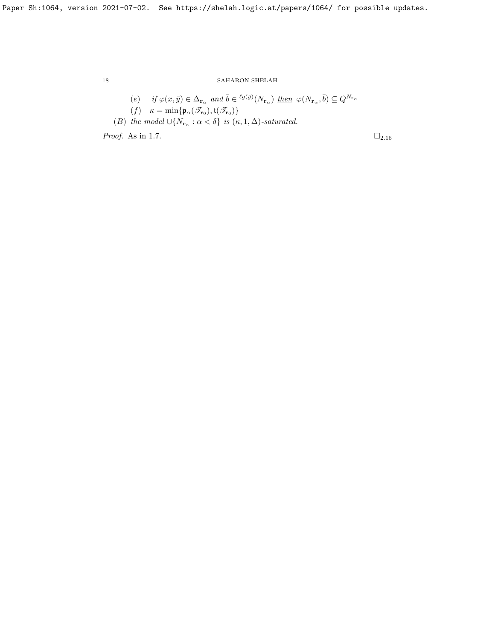\n- (e) if 
$$
\varphi(x,\bar{y}) \in \Delta_{\mathbf{r}_{\alpha}}
$$
 and  $\bar{b} \in {}^{\ell g(\bar{y})}(N_{\mathbf{r}_{\alpha}})$  then  $\varphi(N_{\mathbf{r}_{\alpha}},\bar{b}) \subseteq Q^{N_{\mathbf{r}_{\alpha}}}$
\n- (f)  $\kappa = \min\{\mathfrak{p}_{\alpha}(\mathscr{T}_{\mathbf{r}_{0}}), \mathfrak{t}(\mathscr{T}_{\mathbf{r}_{0}})\}$
\n- (B) the model  $\cup \{N_{\mathbf{r}_{\alpha}} : \alpha < \delta\}$  is  $(\kappa, 1, \Delta)$ -saturated.
\n- Proof. As in 1.7.  $\Box_{2.16}$
\n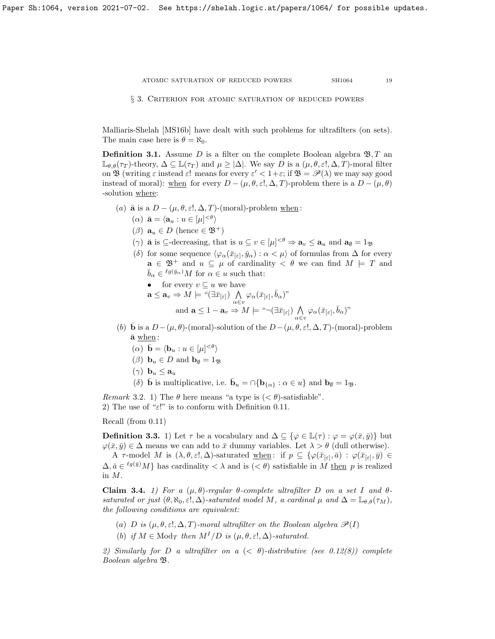<span id="page-18-0"></span>§ 3. Criterion for atomic saturation of reduced powers

Malliaris-Shelah [\[MS16b\]](#page-37-4) have dealt with such problems for ultrafilters (on sets). The main case here is  $\theta = \aleph_0$ .

<span id="page-18-2"></span>**Definition 3.1.** Assume D is a filter on the complete Boolean algebra  $\mathfrak{B}, T$  and  $\mathbb{L}_{\theta,\theta}(\tau)$ -theory,  $\Delta \subseteq \mathbb{L}(\tau)$  and  $\mu \geq |\Delta|$ . We say D is a  $(\mu,\theta,\varepsilon],\Delta,T$ -moral filter on **B** (writing  $\varepsilon$  instead  $\varepsilon$ ! means for every  $\varepsilon' < 1+\varepsilon$ ; if  $\mathfrak{B} = \mathscr{P}(\lambda)$  we may say good instead of moral): when for every  $D - (\mu, \theta, \varepsilon, \Delta, T)$ -problem there is a  $D - (\mu, \theta)$ -solution where:

- (a)  $\bar{a}$  is a  $D (\mu, \theta, \varepsilon!, \Delta, T)$ -(moral)-problem when:
	- $(\alpha) \ \bar{\mathbf{a}} = \langle \mathbf{a}_u : u \in [\mu]^{<\theta} \rangle$
	- $(\beta)$   $\mathbf{a}_u \in D$  (hence  $\in \mathfrak{B}^+$ )
	- ( $\gamma$ ) **a** is  $\subseteq$ -decreasing, that is  $u \subseteq v \in [\mu]^{<\theta} \Rightarrow \mathbf{a}_v \leq \mathbf{a}_u$  and  $\mathbf{a}_\emptyset = 1_\mathfrak{B}$
	- (δ) for some sequence  $\langle \varphi_\alpha(\bar{x}_{[\varepsilon]}, \bar{y}_\alpha) : \alpha < \mu \rangle$  of formulas from  $\Delta$  for every  $\mathbf{a} \in \mathfrak{B}^+$  and  $u \subseteq \mu$  of cardinality  $\lt \theta$  we can find  $M \models T$  and  $\bar{b}_{\alpha} \in {}^{\ell g(\bar{y}_{\alpha})}M$  for  $\alpha \in u$  such that:
		- for every  $v \subseteq u$  we have

$$
\mathbf{a} \leq \mathbf{a}_v \Rightarrow M \models \text{``}(\exists \bar{x}_{[\varepsilon]}) \bigwedge_{\alpha \in v} \varphi_\alpha(\bar{x}_{[\varepsilon]}, \bar{b}_\alpha)\text{''}
$$
  
and  $\mathbf{a} \leq 1 - \mathbf{a}_v \Rightarrow M \models \text{``} \neg (\exists \bar{x}_{[\varepsilon]}) \bigwedge_{\alpha \in v} \varphi_\alpha(\bar{x}_{[\varepsilon]}, \bar{b}_\alpha)\text{''}$ 

- (b)  $\bar{\mathbf{b}}$  is a  $D-(\mu,\theta)$ -(moral)-solution of the  $D-(\mu,\theta,\varepsilon,\Delta,T)$ -(moral)-problem  $\bar{a}$  when:
	- ( $\alpha$ )  $\bar{\mathbf{b}} = \langle \mathbf{b}_u : u \in [\mu]^{<\theta} \rangle$
	- $(\beta)$  **b**<sub>u</sub>  $\in$  *D* and **b**<sub>0</sub>  $= 1_{\mathfrak{B}}$
	- $(\gamma)$   $\mathbf{b}_u \leq \mathbf{a}_u$
	- (δ) **b** is multiplicative, i.e.  $\bar{\mathbf{b}}_u = \cap \{ \mathbf{b}_{\{\alpha\}} : \alpha \in u \}$  and  $\mathbf{b}_{\emptyset} = 1_{\mathfrak{B}}$ .

Remark 3.2. 1) The  $\theta$  here means "a type is  $( $\theta$ )-satisfiable".$ 2) The use of " $\varepsilon$ !" is to conform with Definition [0.11.](#page-4-0)

Recall (from [0.11\)](#page-4-0)

<span id="page-18-3"></span>**Definition 3.3.** 1) Let  $\tau$  be a vocabulary and  $\Delta \subseteq {\varphi \in \mathbb{L}(\tau) : \varphi = \varphi(\bar{x}, \bar{y})}$  but  $\varphi(\bar{x}, \bar{y}) \in \Delta$  means we can add to  $\bar{x}$  dummy variables. Let  $\lambda > \theta$  (dull otherwise).

A  $\tau$ -model M is  $(\lambda, \theta, \varepsilon!, \Delta)$ -saturated when: if  $p \subseteq {\{\varphi(\bar{x}_{[\varepsilon]}, \bar{a}) : \varphi(\bar{x}_{[\varepsilon]}, \bar{y}) \in \Pi\}}$  $\Delta, \bar{a} \in {^{\ell g(\bar{y})}}M$  has cardinality  $\langle \lambda \rangle$  and is  $(\langle \theta \rangle)$  satisfiable in M then p is realized in M.

<span id="page-18-1"></span>Claim 3.4. 1) For a  $(\mu, \theta)$ -regular  $\theta$ -complete ultrafilter D on a set I and  $\theta$ saturated or just  $(\theta, \aleph_0, \epsilon], \triangle)$ -saturated model M, a cardinal  $\mu$  and  $\Delta = \mathbb{L}_{\theta,\theta}(\tau_M)$ , the following conditions are equivalent:

- (a) D is  $(\mu, \theta, \varepsilon], \Delta, T$ -moral ultrafilter on the Boolean algebra  $\mathscr{P}(I)$
- (b) if  $M \in \text{Mod}_T$  then  $M^I/D$  is  $(\mu, \theta, \varepsilon, \Delta)$ -saturated.

2) Similarly for D a ultrafilter on  $a \leq \theta$ -distributive (see [0.12\(](#page-5-0)8)) complete Boolean algebra B.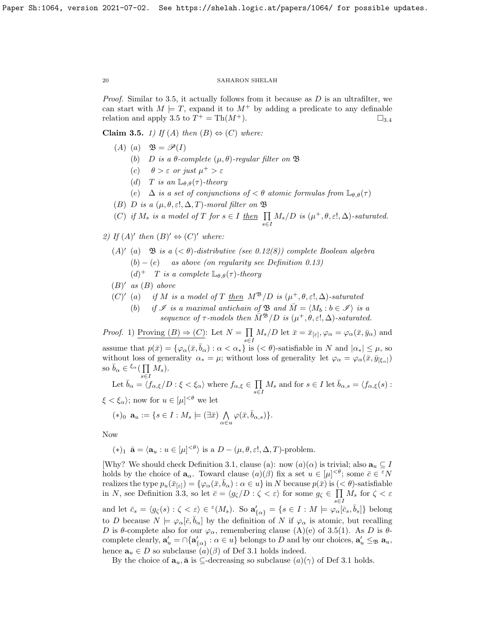*Proof.* Similar to [3.5,](#page-19-0) it actually follows from it because as  $D$  is an ultrafilter, we can start with  $M \models T$ , expand it to  $M^+$  by adding a predicate to any definable relation and apply [3.5](#page-19-0) to  $T^+ = \text{Th}(M^+).$   $\Box_{3.4}$  $\Box_{3.4}$  $\Box_{3.4}$ 

<span id="page-19-0"></span>Claim 3.5. 1) If (A) then  $(B) \Leftrightarrow (C)$  where:

- $(A)$   $(a)$   $\mathfrak{B} = \mathscr{P}(I)$ 
	- (b) D is a  $\theta$ -complete  $(\mu, \theta)$ -regular filter on  $\mathfrak B$
	- (c)  $\theta > \varepsilon$  or just  $\mu^+ > \varepsilon$
	- (d) T is an  $\mathbb{L}_{\theta,\theta}(\tau)$ -theory
	- (e)  $\Delta$  is a set of conjunctions of  $\epsilon \theta$  atomic formulas from  $\mathbb{L}_{\theta,\theta}(\tau)$
- (B) D is a  $(\mu, \theta, \varepsilon], \Delta, T$ -moral filter on  $\mathfrak{B}$

(C) if 
$$
M_s
$$
 is a model of T for  $s \in I$  then  $\prod_{s \in I} M_s/D$  is  $(\mu^+, \theta, \varepsilon!, \Delta)$ -saturated.

2) If  $(A)'$  then  $(B)' \Leftrightarrow (C)'$  where:

- (A)' (a)  $\mathfrak{B}$  is a  $( $\theta$ )-distributive (see [0.12\(](#page-5-0)8)) complete Boolean algebra$  $(b) - (e)$  as above (on regularity see Definition [0.13\)](#page-6-0)  $(d)^+$  *T* is a complete  $\mathbb{L}_{\theta,\theta}(\tau)$ -theory
- $(B)'$  as  $(B)$  above
- (C)' (a) if M is a model of T then  $M^{\mathfrak{B}}/D$  is  $(\mu^+, \theta, \varepsilon], \Delta)$ -saturated
	- (b) if  $\mathscr I$  is a maximal antichain of  $\mathfrak B$  and  $\overline{M} = \langle M_b : b \in \mathscr I \rangle$  is a sequence of  $\tau$ -models then  $\overline{M}^{\mathfrak{B}}/D$  is  $(\mu^+,\theta,\varepsilon,\Delta)$ -saturated.

*Proof.* 1) Proving  $(B) \Rightarrow (C)$ : Let  $N = \prod$  $\prod_{s\in I} M_s/D$  let  $\bar{x} = \bar{x}_{[\varepsilon]}, \varphi_\alpha = \varphi_\alpha(\bar{x}, \bar{y}_\alpha)$  and assume that  $p(\bar{x}) = \{\varphi_\alpha(\bar{x}, \bar{b}_\alpha) : \alpha < \alpha_*\}$  is  $( $\theta$ )$ -satisfiable in N and  $|\alpha_*| \leq \mu$ , so without loss of generality  $\alpha_* = \mu$ ; without loss of generality let  $\varphi_\alpha = \varphi_\alpha(\bar{x}, \bar{y}_{\vert \xi_\alpha \vert})$ so  $\bar{b}_{\alpha} \in {}^{\xi_{\alpha}}(\prod)$  $\prod_{s\in I} M_s$ ).

Let 
$$
\bar{b}_{\alpha} = \langle f_{\alpha,\xi}/D : \xi < \xi_{\alpha} \rangle
$$
 where  $f_{\alpha,\xi} \in \prod_{s \in I} M_s$  and for  $s \in I$  let  $\bar{b}_{\alpha,s} = \langle f_{\alpha,\xi}(s) :$ 

 $\xi < \xi_{\alpha}$ ; now for  $u \in [\mu]^{<\theta}$  we let

$$
(*)_0 \mathbf{a}_u := \{ s \in I : M_s \models (\exists \bar{x}) \bigwedge_{\alpha \in u} \varphi(\bar{x}, \bar{b}_{\alpha, s}) \}.
$$

Now

$$
(*)_1 \ \mathbf{\bar{a}} = \langle \mathbf{a}_u : u \in [\mu]^{<\theta} \rangle \text{ is a } D - (\mu, \theta, \varepsilon!, \Delta, T)\text{-problem}.
$$

[Why? We should check Definition [3.1,](#page-18-2) clause (a): now  $(a)(\alpha)$  is trivial; also  $\mathbf{a}_u \subseteq I$ holds by the choice of  $\mathbf{a}_{\alpha}$ . Toward clause  $(a)(\beta)$  fix a set  $u \in [\mu]^{<\theta}$ ; some  $\bar{c} \in {}^{\varepsilon}N$ realizes the type  $p_u(\bar{x}_{\lbrack \varepsilon \rbrack}) = \{ \varphi_\alpha(\bar{x}, \bar{b}_\alpha) : \alpha \in u \}$  in N because  $p(\bar{x})$  is  $( $\theta$ )-satisfiable$ in N, see Definition [3.3,](#page-18-3) so let  $\bar{c} = \langle g_{\zeta}/D : \zeta < \varepsilon \rangle$  for some  $g_{\zeta} \in \prod$  $\prod_{s\in I} M_s$  for  $\zeta < \varepsilon$ and let  $\bar{c}_s = \langle g_{\zeta}(s) : \zeta < \varepsilon \rangle \in \ell(M_s)$ . So  $\mathbf{a}'_{\{\alpha\}} = \{s \in I : M \models \varphi_{\alpha}[\bar{c}_s, \bar{b}_s]\}\$  belong to D because  $N \models \varphi_\alpha[\bar{c}, \bar{b}_\alpha]$  by the definition of N if  $\varphi_\alpha$  is atomic, but recalling D is  $\theta$ -complete also for our  $\varphi_{\alpha}$ , remembering clause (A)(e) of [3.5\(](#page-19-0)1). As D is  $\theta$ complete clearly,  $\mathbf{a}'_u = \bigcap \{\mathbf{a}'_{\{\alpha\}} : \alpha \in u\}$  belongs to D and by our choices,  $\mathbf{a}'_u \leq_{\mathfrak{B}} \mathbf{a}_u$ , hence  $\mathbf{a}_u \in D$  so subclause  $(a)(\beta)$  of Def [3.1](#page-18-2) holds indeed.

By the choice of  $\mathbf{a}_u$ ,  $\bar{\mathbf{a}}$  is  $\subseteq$ -decreasing so subclause  $(a)(\gamma)$  of Def [3.1](#page-18-2) holds.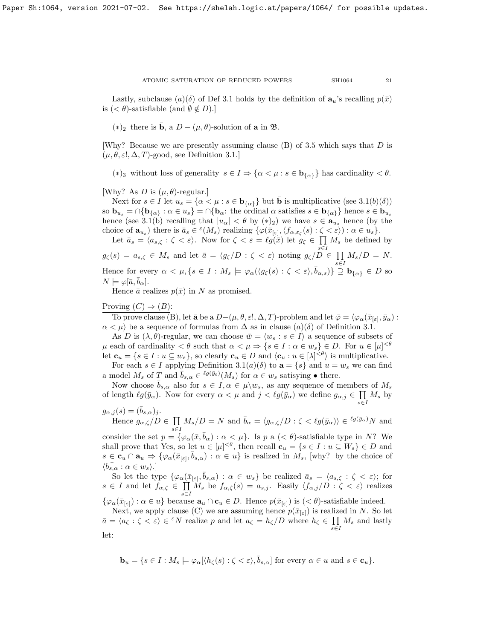Lastly, subclause  $(a)(\delta)$  of Def [3.1](#page-18-2) holds by the definition of  $\mathbf{a}_u$ 's recalling  $p(\bar{x})$ is  $( $\theta$ )-satisfiable (and  $\emptyset \notin D$ ).$ 

(\*)<sub>2</sub> there is **b**, a  $D - (\mu, \theta)$ -solution of **a** in **B**.

[Why? Because we are presently assuming clause  $(B)$  of [3.5](#page-19-0) which says that D is  $(\mu, \theta, \varepsilon!, \Delta, T)$ -good, see Definition [3.1.](#page-18-2)

(\*)<sub>3</sub> without loss of generality  $s \in I \Rightarrow \{\alpha < \mu : s \in \mathbf{b}_{\{\alpha\}}\}\$  has cardinality  $\langle \theta, \xi \rangle$ .

[Why? As D is  $(\mu, \theta)$ -regular.]

Next for  $s \in I$  let  $u_s = \{\alpha < \mu : s \in \mathbf{b}_{\{\alpha\}}\}\$  but **b** is multiplicative (see [3.1\(](#page-18-2)b)( $\delta$ )) so  $\mathbf{b}_{u_s} = \bigcap \{ \mathbf{b}_{\{\alpha\}} : \alpha \in u_s \} = \bigcap \{ \mathbf{b}_{\alpha} : \text{ the ordinal } \alpha \text{ satisfies } s \in \mathbf{b}_{\{\alpha\}} \}$  hence  $s \in \mathbf{b}_{u_s}$ hence (see [3.1\(](#page-18-2)b) recalling that  $|u_{\alpha}| < \theta$  by  $(*)_2$ ) we have  $s \in \mathbf{a}_{u_s}$  hence (by the choice of  $\mathbf{a}_{u_s}$ ) there is  $\bar{a}_s \in {}^{\varepsilon}(M_s)$  realizing  $\{\varphi(\bar{x}_{[\varepsilon]}, \langle f_{\alpha, \varepsilon_{\zeta}}(s) : \zeta \langle \varepsilon \rangle) : \alpha \in u_s\}.$ 

Let  $\bar{a}_s = \langle a_{s,\zeta} : \zeta < \varepsilon \rangle$ . Now for  $\zeta < \varepsilon = \ell g(\bar{x})$  let  $g_{\zeta} \in \prod M_s$  be defined by  $g_{\zeta}(s) = a_{s,\zeta} \in M_s$  and let  $\bar{a} = \langle g_{\zeta}/D : \zeta \langle \varepsilon \rangle$  noting  $g_{\zeta}/\overline{D} \in \prod$  $\prod_{s\in I} M_s/D = N.$ Hence for every  $\alpha < \mu, \{s \in I : M_s \models \varphi_\alpha(\langle g_\zeta(s) : \zeta < \varepsilon \rangle, \bar{b}_{\alpha,s})\} \supseteq {\bf b}_{\{\alpha\}} \in D$  so  $N \models \varphi[\bar{a}, b_{\alpha}].$ 

Hence  $\bar{a}$  realizes  $p(\bar{x})$  in N as promised.

# Proving  $(C) \Rightarrow (B)$ :

To prove clause (B), let  $\bar{\mathbf{a}}$  be a  $D-(\mu, \theta, \varepsilon!, \Delta, T)$ -problem and let  $\bar{\varphi} = \langle \varphi_\alpha(\bar{x}_{[\varepsilon]}, \bar{y}_\alpha) :$  $\alpha < \mu$ ) be a sequence of formulas from  $\Delta$  as in clause  $(a)(\delta)$  of Definition [3.1.](#page-18-2)

As D is  $(\lambda, \theta)$ -regular, we can choose  $\bar{w} = \langle w_s : s \in I \rangle$  a sequence of subsets of  $\mu$  each of cardinality  $\langle \theta \rangle$  such that  $\alpha \langle \mu \rangle \Rightarrow \{ s \in I : \alpha \in w_s \} \in D$ . For  $u \in [\mu]^{< \theta}$ let  $\mathbf{c}_u = \{s \in I : u \subseteq w_s\}$ , so clearly  $\mathbf{c}_u \in D$  and  $\langle \mathbf{c}_u : u \in [\lambda]^{<\theta} \rangle$  is multiplicative.

For each  $s \in I$  applying Definition  $3.1(a)(\delta)$  to  $\mathbf{a} = \{s\}$  and  $u = w_s$  we can find a model  $M_s$  of T and  $\bar{b}_{s,\alpha} \in {}^{\ell g(\bar{y}_\ell)}(M_s)$  for  $\alpha \in w_s$  satisying  $\bullet$  there.

Now choose  $\bar{b}_{s,\alpha}$  also for  $s \in I, \alpha \in \mu \backslash w_s$ , as any sequence of members of  $M_s$ of length  $\ell g(\bar{y}_{\alpha})$ . Now for every  $\alpha < \mu$  and  $j < \ell g(\bar{y}_{\alpha})$  we define  $g_{\alpha,j} \in \prod M_s$  by s∈I

 $g_{\alpha,j}(s) = (\bar{b}_{s,\alpha})_j.$ Hence  $g_{\alpha,\zeta}/D \in \prod$  $\prod_{s\in I} M_s/D = N$  and  $\bar{b}_{\alpha} = \langle g_{\alpha,\zeta}/D : \zeta \langle \lg(g_{\alpha}) \rangle \in {}^{\ell g(\bar{y}_{\alpha})}N$  and

consider the set  $p = {\varphi_\alpha(\bar{x}, \bar{b}_\alpha) : \alpha < \mu}$ . Is p a  $(< \theta)$ -satisfiable type in N? We shall prove that Yes, so let  $u \in [\mu]^{<\theta}$ , then recall  $\mathbf{c}_u = \{s \in I : u \subseteq W_s\} \in D$  and  $s \in \mathbf{c}_u \cap \mathbf{a}_u \Rightarrow \{\varphi_\alpha(\bar{x}_{[\varepsilon]}, \bar{b}_{s,\alpha}) : \alpha \in u\}$  is realized in  $M_s$ , [why? by the choice of  $\langle b_{s,\alpha}^{\dagger} : \alpha \in w_s \rangle.$ 

So let the type  $\{\varphi_\alpha(\bar{x}_{[\varepsilon]}, \bar{b}_{s,\alpha}) : \alpha \in w_s\}$  be realized  $\bar{a}_s = \langle a_{s,\zeta} : \zeta < \varepsilon \rangle$ ; for  $s \in I$  and let  $f_{\alpha,\zeta} \in \prod$  $\prod_{s\in I} M_s$  be  $f_{\alpha,\zeta}(s) = a_{s,j}$ . Easily  $\langle f_{\alpha,j}/D : \zeta < \varepsilon \rangle$  realizes

 $\{\varphi_{\alpha}(\bar{x}_{[\varepsilon]}) : \alpha \in u\}$  because  $\mathbf{a}_u \cap \mathbf{c}_u \in D$ . Hence  $p(\bar{x}_{[\varepsilon]})$  is  $( $\theta$ )-satisfiable indeed.$ 

Next, we apply clause (C) we are assuming hence  $p(\bar{x}_{\lbrack \varepsilon \rbrack})$  is realized in N. So let  $\bar{a} = \langle a_{\zeta} : \zeta < \varepsilon \rangle \in {}^{\varepsilon}N$  realize p and let  $a_{\zeta} = h_{\zeta}/D$  where  $h_{\zeta} \in \prod$  $\prod_{s\in I} M_s$  and lastly let:

$$
\mathbf{b}_u = \{ s \in I : M_s \models \varphi_\alpha [\langle h_\zeta(s) : \zeta < \varepsilon \rangle, \overline{b}_{s,\alpha}] \text{ for every } \alpha \in u \text{ and } s \in \mathbf{c}_u \}.
$$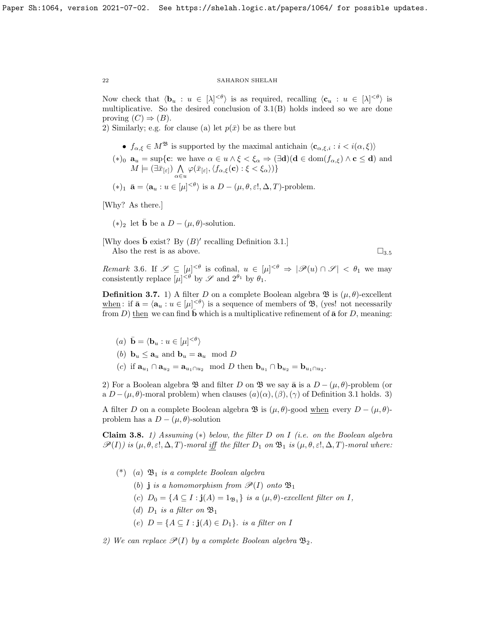Now check that  $\langle \mathbf{b}_u : u \in [\lambda]^{<\theta} \rangle$  is as required, recalling  $\langle \mathbf{c}_u : u \in [\lambda]^{<\theta} \rangle$  is multiplicative. So the desired conclusion of [3.1\(](#page-18-2)B) holds indeed so we are done proving  $(C) \Rightarrow (B)$ .

2) Similarly; e.g. for clause (a) let  $p(\bar{x})$  be as there but

- $f_{\alpha,\xi} \in M^{\mathfrak{B}}$  is supported by the maximal antichain  $\langle \mathbf{c}_{\alpha,\xi,i} : i \langle \alpha, \xi \rangle \rangle$
- (\*)<sub>0</sub>  $\mathbf{a}_u = \sup \{ \mathbf{c} : \text{ we have } \alpha \in u \wedge \xi < \xi_\alpha \Rightarrow (\exists \mathbf{d})(\mathbf{d} \in \text{dom}(f_{\alpha,\xi}) \wedge \mathbf{c} \leq \mathbf{d}) \text{ and }$  $M \models (\exists \bar{x}_{[\varepsilon]}) \; \bigwedge$  $\bigwedge_{\alpha\in u}\varphi(\bar{x}_{[\varepsilon]},\langle f_{\alpha,\xi}(\mathbf{c}) : \xi < \xi_{\alpha} \rangle)\}$
- $(*)_1 \ \bar{\mathbf{a}} = \langle \mathbf{a}_u : u \in [\mu]^{<\theta} \rangle$  is a  $D (\mu, \theta, \varepsilon!, \Delta, T)$ -problem.

[Why? As there.]

 $(*)_2$  let  $\bar{\mathbf{b}}$  be a  $D - (\mu, \theta)$ -solution.

[Why does  $\bar{\mathbf{b}}$  exist? By  $(B)'$  recalling Definition [3.1.](#page-18-2)] Also the rest is as above.  $\Box_{3.5}$  $\Box_{3.5}$  $\Box_{3.5}$ 

Remark 3.6. If  $\mathscr{S} \subseteq [\mu]^{<\theta}$  is cofinal,  $u \in [\mu]^{<\theta} \Rightarrow |\mathscr{P}(u) \cap \mathscr{S}| < \theta_1$  we may consistently replace  $[\mu]^{<\theta}$  by  $\mathscr S$  and  $2^{\theta_1}$  by  $\theta_1$ .

<span id="page-21-0"></span>**Definition 3.7.** 1) A filter D on a complete Boolean algebra  $\mathfrak{B}$  is  $(\mu, \theta)$ -excellent when: if  $\bar{\mathbf{a}} = \langle \mathbf{a}_u : u \in [\mu]^{<\theta} \rangle$  is a sequence of members of  $\mathfrak{B}$ , (yes! not necessarily from D) then we can find **b** which is a multiplicative refinement of  $\bar{a}$  for D, meaning:

- (a)  $\bar{\mathbf{b}} = \langle \mathbf{b}_u : u \in [\mu]^{<\theta} \rangle$
- (b)  $\mathbf{b}_u \leq \mathbf{a}_u$  and  $\mathbf{b}_u = \mathbf{a}_u \mod D$
- (c) if  $\mathbf{a}_{u_1} \cap \mathbf{a}_{u_2} = \mathbf{a}_{u_1 \cap u_2} \mod D$  then  $\mathbf{b}_{u_1} \cap \mathbf{b}_{u_2} = \mathbf{b}_{u_1 \cap u_2}$ .

2) For a Boolean algebra  $\mathfrak B$  and filter D on  $\mathfrak B$  we say  $\bar{\mathfrak a}$  is a  $D - (\mu, \theta)$ -problem (or a  $D-(\mu,\theta)$ -moral problem) when clauses  $(a)(\alpha),(\beta),(\gamma)$  of Definition [3.1](#page-18-2) holds. 3)

A filter D on a complete Boolean algebra  $\mathfrak{B}$  is  $(\mu, \theta)$ -good when every  $D - (\mu, \theta)$ problem has a  $D - (\mu, \theta)$ -solution

<span id="page-21-1"></span>Claim 3.8. 1) Assuming  $(*)$  below, the filter D on I (i.e. on the Boolean algebra  $\mathscr{P}(I)$ ) is  $(\mu, \theta, \varepsilon!, \Delta, T)$ -moral iff the filter  $D_1$  on  $\mathfrak{B}_1$  is  $(\mu, \theta, \varepsilon!, \Delta, T)$ -moral where:

- $(*)$  (a)  $\mathfrak{B}_1$  is a complete Boolean algebra
	- (b) j is a homomorphism from  $\mathscr{P}(I)$  onto  $\mathfrak{B}_1$
	- (c)  $D_0 = \{A \subseteq I : \mathbf{j}(A) = 1_{\mathfrak{B}_1}\}$  is a  $(\mu, \theta)$ -excellent filter on I,
	- (d)  $D_1$  is a filter on  $\mathfrak{B}_1$
	- (e)  $D = \{A \subseteq I : j(A) \in D_1\}$ . is a filter on I

2) We can replace  $\mathscr{P}(I)$  by a complete Boolean algebra  $\mathfrak{B}_2$ .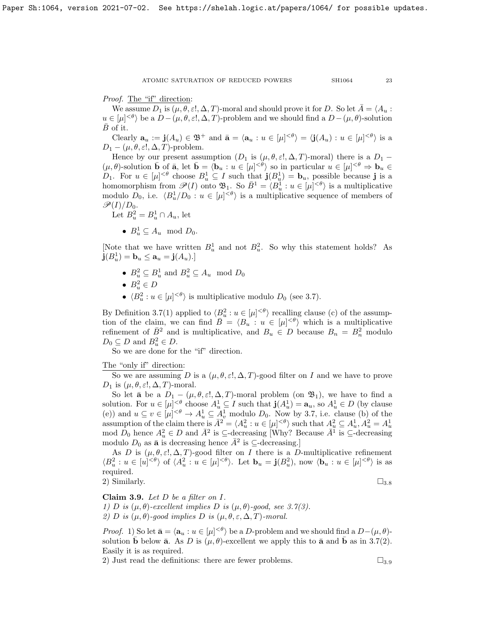Proof. The "if" direction:

We assume  $D_1$  is  $(\mu, \theta, \varepsilon, \Delta, T)$ -moral and should prove it for D. So let  $\overline{A} = \langle A_u :$  $u \in [\mu]^{<\theta}$  be a  $D - (\mu, \theta, \varepsilon, \Delta, T)$ -problem and we should find a  $D - (\mu, \theta)$ -solution  $\overline{B}$  of it.

Clearly  $\mathbf{a}_u := \mathbf{j}(A_u) \in \mathfrak{B}^+$  and  $\bar{\mathbf{a}} = \langle \mathbf{a}_u : u \in [\mu]^{<\theta} \rangle = \langle \mathbf{j}(A_u) : u \in [\mu]^{<\theta} \rangle$  is a  $D_1 - (\mu, \theta, \varepsilon!, \Delta, T)$ -problem.

Hence by our present assumption  $(D_1 \text{ is } (\mu, \theta, \varepsilon!, \Delta, T)$ -moral) there is a  $D_1$  –  $(\mu, \theta)$ -solution  $\bar{\mathbf{b}}$  of  $\bar{\mathbf{a}}$ , let  $\bar{\mathbf{b}} = \langle \mathbf{b}_u : u \in [\mu]^{<\theta} \rangle$  so in particular  $u \in [\mu]^{<\theta} \Rightarrow \mathbf{b}_u \in$  $D_1$ . For  $u \in [\mu]^{<\theta}$  choose  $B^1_u \subseteq I$  such that  $\mathbf{j}(B^1_u) = \mathbf{b}_u$ , possible because j is a homomorphism from  $\mathscr{P}(I)$  onto  $\mathfrak{B}_1$ . So  $\bar{B}^1 = \langle B_u^1 : u \in [\mu]^{<\theta} \rangle$  is a multiplicative modulo  $D_0$ , i.e.  $\langle B_u^1/D_0 : u \in [\mu]^{<\theta} \rangle$  is a multiplicative sequence of members of  $\mathscr{P}(I)/D_0$ .

Let  $B_u^2 = B_u^1 \cap A_u$ , let

•  $B_u^1 \subseteq A_u \mod D_0$ .

[Note that we have written  $B^1_u$  and not  $B^2_u$ . So why this statement holds? As  $\mathbf{j}(B^1_u) = \mathbf{b}_u \leq \mathbf{a}_u = \mathbf{j}(A_u).$ 

- $B_u^2 \subseteq B_u^1$  and  $B_u^2 \subseteq A_u \mod D_0$
- $B_u^2 \in D$
- $\langle B_u^2 : u \in [\mu]^{<\theta} \rangle$  is multiplicative modulo  $D_0$  (see [3.7\)](#page-21-0).

By Definition [3.7\(](#page-21-0)1) applied to  $\langle B_u^2 : u \in [\mu]^{<\theta} \rangle$  recalling clause (c) of the assumption of the claim, we can find  $\overline{B} = \langle B_u : u \in [\mu]^{<\theta} \rangle$  which is a multiplicative refinement of  $\overline{B}^2$  and is multiplicative, and  $B_u \in D$  because  $B_n = B_n^2$  modulo  $D_0 \subseteq D$  and  $B_u^2 \in D$ .

So we are done for the "if" direction.

The "only if" direction:

So we are assuming D is a  $(\mu, \theta, \varepsilon], \Delta, T$ -good filter on I and we have to prove  $D_1$  is  $(\mu, \theta, \varepsilon!, \Delta, T)$ -moral.

So let  $\bar{a}$  be a  $D_1 - (\mu, \theta, \varepsilon, \Delta, T)$ -moral problem (on  $\mathfrak{B}_1$ ), we have to find a solution. For  $u \in [\mu]^{<\theta}$  choose  $A_u^1 \subseteq I$  such that  $\mathbf{j}(A_u^1) = \mathbf{a}_u$ , so  $A_u^1 \in D$  (by clause (e)) and  $u \subseteq v \in [\mu]^{<\theta} \to A_u^1 \subseteq A_v^1$  modulo  $D_0$ . Now by [3.7,](#page-21-0) i.e. clause (b) of the assumption of the claim there is  $\bar{A}^2 = \langle A_u^2 : u \in [\mu]^{<\theta} \rangle$  such that  $A_u^2 \subseteq A_u^1$ ,  $A_u^2 = A_u^1$ <br>mod  $D_0$  hence  $A_u^2 \in D$  and  $\bar{A}^2$  is  $\subseteq$ -decreasing [Why? Because  $\bar{A}^1$  is  $\subseteq$ -decreasing modulo  $D_0$  as  $\bar{\mathbf{a}}$  is decreasing hence  $\bar{A}^2$  is  $\subseteq$ -decreasing.]

As D is  $(\mu, \theta, \varepsilon, \Delta, T)$ -good filter on I there is a D-multiplicative refinement  $\langle B_u^2 : u \in [u]^{<\theta} \rangle$  of  $\langle A_u^2 : u \in [\mu]^{<\theta} \rangle$ . Let  $\mathbf{b}_u = \mathbf{j}(B_u^2)$ , now  $\langle \mathbf{b}_u : u \in [\mu]^{<\theta} \rangle$  is as required.

2) Similarly.  $\square_{3.8}$  $\square_{3.8}$  $\square_{3.8}$ 

<span id="page-22-0"></span>Claim 3.9. Let  $D$  be a filter on  $I$ .

1) D is  $(\mu, \theta)$ -excellent implies D is  $(\mu, \theta)$ -good, see [3.7\(](#page-21-0)3). 2) D is  $(\mu, \theta)$ -good implies D is  $(\mu, \theta, \varepsilon, \Delta, T)$ -moral.

*Proof.* 1) So let  $\bar{\mathbf{a}} = \langle \mathbf{a}_u : u \in [\mu]^{< \theta} \rangle$  be a D-problem and we should find a  $D-(\mu, \theta)$ solution  $\bar{\mathbf{b}}$  below  $\bar{\mathbf{a}}$ . As D is  $(\mu, \theta)$ -excellent we apply this to  $\bar{\mathbf{a}}$  and  $\bar{\mathbf{b}}$  as in [3.7\(](#page-21-0)2). Easily it is as required.

2) Just read the definitions: there are fewer problems.  $\square_{3.9}$  $\square_{3.9}$  $\square_{3.9}$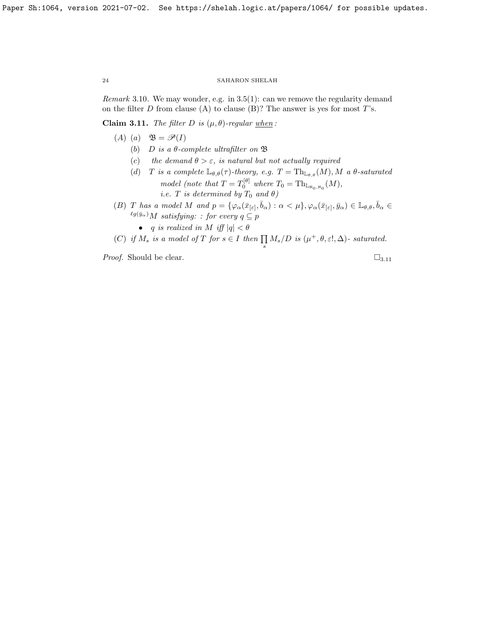Remark 3.10. We may wonder, e.g. in [3.5\(](#page-19-0)1): can we remove the regularity demand on the filter  $D$  from clause (A) to clause (B)? The answer is yes for most  $T$ 's.

<span id="page-23-0"></span>Claim 3.11. The filter D is  $(\mu, \theta)$ -regular when:

- (A) (a)  $\mathfrak{B} = \mathscr{P}(I)$ 
	- (b) D is a  $\theta$ -complete ultrafilter on  $\mathfrak B$
	- (c) the demand  $\theta > \varepsilon$ , is natural but not actually required
	- (d) T is a complete  $\mathbb{L}_{\theta,\theta}(\tau)$ -theory, e.g.  $T = \text{Th}_{\mathbb{L}_{\theta,\theta}}(M), M$  a  $\theta$ -saturated model (note that  $T = T_0^{[\theta]}$  where  $T_0 = \text{Th}_{L_{\aleph_0,\aleph_0}}(M)$ , *i.e.* T is determined by  $T_0$  and  $\theta$ )
- (B) T has a model M and  $p = \{ \varphi_\alpha(\bar{x}_{[\varepsilon]}, \bar{b}_\alpha) : \alpha < \mu \}, \varphi_\alpha(\bar{x}_{[\varepsilon]}, \bar{y}_\alpha) \in \mathbb{L}_{\theta, \theta}, \bar{b}_\alpha \in$  $\ell g(\bar{y}_{\alpha})$ M satisfying: : for every  $q \subseteq p$ 
	- q is realized in M iff  $|q| < \theta$
- (C) if  $M_s$  is a model of T for  $s \in I$  then  $\prod_s M_s/D$  is  $(\mu^+, \theta, \varepsilon!, \Delta)$  saturated.

*Proof.* Should be clear.  $\Box_{3.11}$  $\Box_{3.11}$  $\Box_{3.11}$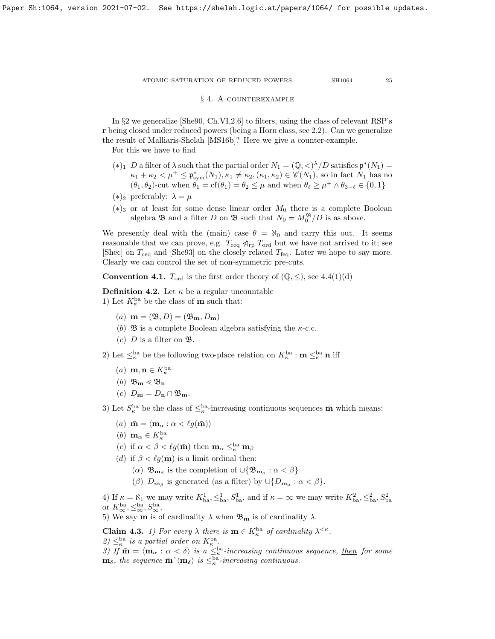# § 4. A counterexample

<span id="page-24-0"></span>In §2 we generalize [\[She90,](#page-37-1) Ch.VI,2.6] to filters, using the class of relevant RSP's r being closed under reduced powers (being a Horn class, see [2.2\)](#page-11-2). Can we generalize the result of Malliaris-Shelah [\[MS16b\]](#page-37-4)? Here we give a counter-example.

For this we have to find

- (\*)<sub>1</sub> D a filter of  $\lambda$  such that the partial order  $N_1 = (\mathbb{Q}, \langle \rangle^{\lambda}/D)$  satisfies  $\mathfrak{p}^*(N_1) =$  $\kappa_1 + \kappa_2 < \mu^+ \leq \mathfrak{p}_{sym}^*(N_1), \kappa_1 \neq \kappa_2, (\kappa_1, \kappa_2) \in \mathscr{C}(N_1)$ , so in fact  $N_1$  has no  $(\theta_1, \theta_2)$ -cut when  $\theta_1 = \text{cf}(\theta_1) = \theta_2 \leq \mu$  and when  $\theta_\ell \geq \mu^+ \wedge \theta_{3-\ell} \in \{0, 1\}$
- $(*)_2$  preferably:  $\lambda = \mu$
- $(*)_3$  or at least for some dense linear order  $M_0$  there is a complete Boolean algebra  $\mathfrak{B}$  and a filter D on  $\mathfrak{B}$  such that  $N_0 = M_0^{\mathfrak{B}}/D$  is as above.

We presently deal with the (main) case  $\theta = \aleph_0$  and carry this out. It seems reasonable that we can prove, e.g.  $T_{\text{ceq}} \nless_{\text{rp}} T_{\text{ord}}$  but we have not arrived to it; see [\[Shec\]](#page-37-16) on  $T_{\text{ceq}}$  and [\[She93\]](#page-37-15) on the closely related  $T_{\text{feq}}$ . Later we hope to say more. Clearly we can control the set of non-symmetric pre-cuts.

**Convention 4.1.**  $T_{\text{ord}}$  is the first order theory of  $(\mathbb{Q}, \leq)$ , see [4.4\(](#page-25-0)1)(d)

<span id="page-24-2"></span>**Definition 4.2.** Let  $\kappa$  be a regular uncountable 1) Let  $K_{\kappa}^{\text{ba}}$  be the class of **m** such that:

- (a)  $\mathbf{m} = (\mathfrak{B}, D) = (\mathfrak{B}_{\mathbf{m}}, D_{\mathbf{m}})$
- (b)  $\mathfrak{B}$  is a complete Boolean algebra satisfying the  $\kappa$ -c.c.
- (c)  $D$  is a filter on  $\mathfrak{B}.$

2) Let  $\leq^{\text{ba}}_{\kappa}$  be the following two-place relation on  $K_{\kappa}^{\text{ba}}$  :  $\mathbf{m} \leq^{\text{ba}}_{\kappa} \mathbf{n}$  iff

- $(a)$  **m**, **n**  $\in K_{\kappa}^{\text{ba}}$
- (b)  $\mathfrak{B}_{\mathbf{m}} \lessdot \mathfrak{B}_{\mathbf{n}}$
- (c)  $D_{\mathbf{m}} = D_{\mathbf{n}} \cap \mathfrak{B}_{\mathbf{m}}$ .
- 3) Let  $S_{\kappa}^{\text{ba}}$  be the class of  $\leq_{\kappa}^{\text{ba}}$ -increasing continuous sequences  $\bar{\mathbf{m}}$  which means:
	- (a)  $\bar{\mathbf{m}} = \langle \mathbf{m}_{\alpha} : \alpha < \ell g(\bar{\mathbf{m}}) \rangle$
	- (b)  $\mathbf{m}_{\alpha} \in K_{\kappa}^{\text{ba}}$
	- (c) if  $\alpha < \beta < \ell g(\bar{m})$  then  $m_\alpha \leq_{\kappa}^{ba} m_\beta$
	- (d) if  $\beta < \ell q(\bar{m})$  is a limit ordinal then:
		- ( $\alpha$ )  $\mathfrak{B}_{\mathbf{m}_{\beta}}$  is the completion of  $\cup {\mathfrak{B}_{\mathbf{m}_{\alpha}}}: \alpha < \beta$
		- ( $\beta$ )  $D_{\mathbf{m}_{\beta}}$  is generated (as a filter) by  $\cup \{D_{\mathbf{m}_{\alpha}} : \alpha < \beta\}.$

4) If  $\kappa = \aleph_1$  we may write  $K_{ba}^1, \leq_{ba}^1, S_{ba}^1$ , and if  $\kappa = \infty$  we may write  $K_{ba}^2, \leq_{ba}^2, S_{ba}^2$ or  $K_\infty^{\text{ba}}, \leq_\infty^{\text{ba}}, S_\infty^{\text{ba}},$ 

5) We say **m** is of cardinality  $\lambda$  when  $\mathfrak{B}_{\mathbf{m}}$  is of cardinality  $\lambda$ .

<span id="page-24-1"></span>**Claim 4.3.** 1) For every  $\lambda$  there is  $\mathbf{m} \in K_{\kappa}^{\text{ba}}$  of cardinality  $\lambda^{\leq \kappa}$ . 2)  $\leq^{\text{ba}}_{\kappa}$  is a partial order on  $K_{\kappa}^{\text{ba}}$ .

3) If  $\bar{\mathbf{m}} = \langle \mathbf{m}_{\alpha} : \alpha < \delta \rangle$  is a  $\leq_{\kappa}^{\text{ba}}$ -increasing continuous sequence, then for some  $\mathbf{m}_{\delta}$ , the sequence  $\bar{\mathbf{m}}^{\,\,\gamma}(\mathbf{m}_{\delta})$  is  $\leq^{\text{ba}}_{\kappa}$ -increasing continuous.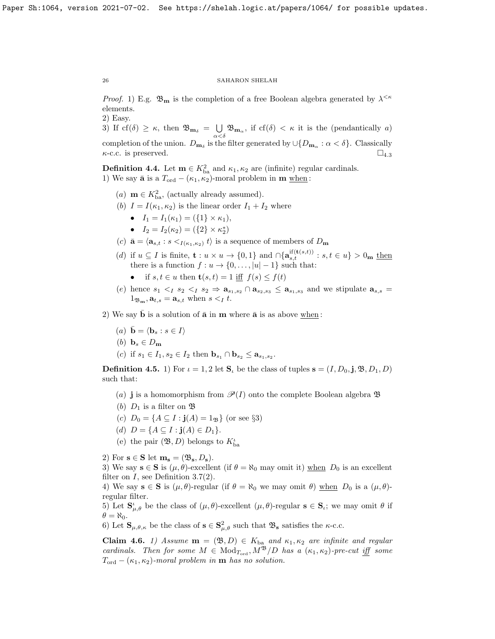*Proof.* 1) E.g.  $\mathfrak{B}_{\mathbf{m}}$  is the completion of a free Boolean algebra generated by  $\lambda^{\leq \kappa}$ elements.

2) Easy.

3) If cf( $\delta$ )  $\geq \kappa$ , then  $\mathfrak{B}_{\mathbf{m}_{\delta}} = \bigcup$  $\bigcup_{\alpha < \delta} \mathfrak{B}_{\mathbf{m}_{\alpha}}$ , if cf( $\delta$ ) <  $\kappa$  it is the (pendantically a) completion of the union.  $D_{\mathbf{m}_{\delta}}$  is the filter generated by  $\cup \{D_{\mathbf{m}_{\alpha}} : \alpha < \delta\}$ . Classically  $\kappa$ -c.c. is preserved.  $\square_{4.3}$  $\square_{4.3}$  $\square_{4.3}$ 

<span id="page-25-0"></span>**Definition 4.4.** Let  $\mathbf{m} \in K_{ba}^2$  and  $\kappa_1, \kappa_2$  are (infinite) regular cardinals. 1) We say  $\bar{\mathbf{a}}$  is a  $T_{\text{ord}} - (\kappa_1, \kappa_2)$ -moral problem in  $\mathbf{m}$  when:

- (*a*) **m**  $\in K_{\text{ba}}^2$ , (actually already assumed).
- (b)  $I = I(\kappa_1, \kappa_2)$  is the linear order  $I_1 + I_2$  where
	- $I_1 = I_1(\kappa_1) = (\{1\} \times \kappa_1),$
	- $I_2 = I_2(\kappa_2) = (\{2\} \times \kappa_2^*)$
- (c)  $\bar{\mathbf{a}} = \langle \mathbf{a}_{s,t} : s \leq_{I(\kappa_1,\kappa_2)} t \rangle$  is a sequence of members of  $D_{\mathbf{m}}$
- (d) if  $u \subseteq I$  is finite,  $\mathbf{t} : u \times u \to \{0,1\}$  and  $\cap \{\mathbf{a}_{s,t}^{\text{if}(\mathbf{t}(s,t))} : s, t \in u\} > 0_{\mathbf{m}}$  then there is a function  $f: u \to \{0, \ldots, |u|-1\}$  such that:
	- if  $s, t \in u$  then  $\mathbf{t}(s,t) = 1$  iff  $f(s) \leq f(t)$
- (e) hence  $s_1 \lt_1 s_2 \lt_1 s_2 \Rightarrow \mathbf{a}_{s_1,s_2} \cap \mathbf{a}_{s_2,s_3} \leq \mathbf{a}_{s_1,s_3}$  and we stipulate  $\mathbf{a}_{s,s} =$  $1_{\mathfrak{B}_{\mathbf{m}}}, \mathbf{a}_{t,s} = \mathbf{a}_{s,t}$  when  $s <_I t$ .

2) We say  $\bar{b}$  is a solution of  $\bar{a}$  in m where  $\bar{a}$  is as above when:

- (a)  $\bar{\mathbf{b}} = \langle \mathbf{b}_s : s \in I \rangle$
- (b)  $\mathbf{b}_s \in D_{\mathbf{m}}$
- (c) if  $s_1 \in I_1, s_2 \in I_2$  then  $\mathbf{b}_{s_1} \cap \mathbf{b}_{s_2} \leq \mathbf{a}_{s_1, s_2}$ .

<span id="page-25-2"></span>**Definition 4.5.** 1) For  $\iota = 1, 2$  let  $S_{\iota}$  be the class of tuples  $s = (I, D_0, j, \mathfrak{B}, D_1, D)$ such that:

- (a) **j** is a homomorphism from  $\mathcal{P}(I)$  onto the complete Boolean algebra  $\mathfrak{B}$
- (b)  $D_1$  is a filter on  $\mathfrak{B}$
- (c)  $D_0 = \{A \subseteq I : j(A) = 1_{\mathfrak{B}}\}$  (or see §3)
- (d)  $D = \{A \subseteq I : j(A) \in D_1\}.$
- (e) the pair  $(\mathfrak{B},D)$  belongs to  $K_{\text{ba}}^{\iota}$

2) For  $\mathbf{s} \in \mathbf{S}$  let  $\mathbf{m}_\mathbf{s} = (\mathfrak{B}_\mathbf{s}, D_\mathbf{s}).$ 

3) We say  $s \in S$  is  $(\mu, \theta)$ -excellent (if  $\theta = \aleph_0$  may omit it) when  $D_0$  is an excellent filter on  $I$ , see Definition [3.7\(](#page-21-0)2).

4) We say  $\mathbf{s} \in \mathbf{S}$  is  $(\mu, \theta)$ -regular (if  $\theta = \aleph_0$  we may omit  $\theta$ ) when  $D_0$  is a  $(\mu, \theta)$ regular filter.

5) Let  $\mathbf{S}_{\mu,\theta}^{\iota}$  be the class of  $(\mu,\theta)$ -excellent  $(\mu,\theta)$ -regular  $\mathbf{s} \in \mathbf{S}_{\iota}$ ; we may omit  $\theta$  if  $\theta = \aleph_0$ .

6) Let  $\mathbf{S}_{\mu,\theta,\kappa}$  be the class of  $\mathbf{s} \in \mathbf{S}^2_{\mu,\theta}$  such that  $\mathfrak{B}_{\mathbf{s}}$  satisfies the  $\kappa$ -c.c.

<span id="page-25-1"></span>Claim 4.6. 1) Assume  $m = (\mathfrak{B}, D) \in K_{ba}$  and  $\kappa_1, \kappa_2$  are infinite and regular cardinals. Then for some  $M \in Mod_{T_{ord}}$ ,  $M^{\mathfrak{B}}/D$  has a  $(\kappa_1, \kappa_2)$ -pre-cut iff some  $T_{\text{ord}} - (\kappa_1, \kappa_2)$ -moral problem in **m** has no solution.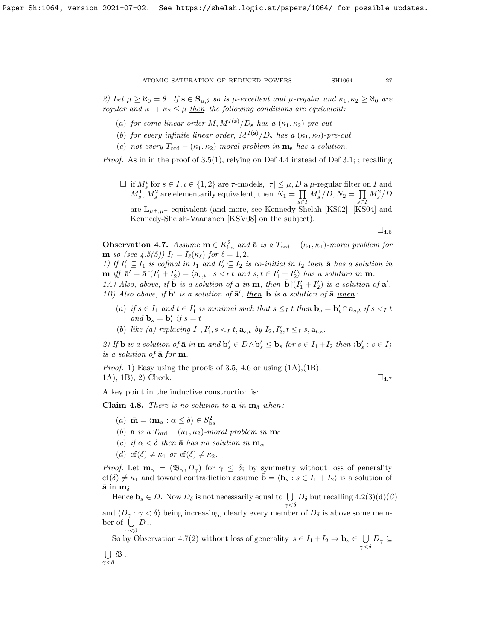2) Let  $\mu \ge \aleph_0 = \theta$ . If  $s \in S_{\mu,\theta}$  so is  $\mu$ -excellent and  $\mu$ -regular and  $\kappa_1, \kappa_2 \ge \aleph_0$  are regular and  $\kappa_1 + \kappa_2 \leq \mu$  then the following conditions are equivalent:

- (a) for some linear order M,  $M^{I(s)}/D_s$  has a  $(\kappa_1, \kappa_2)$ -pre-cut
- (b) for every infinite linear order,  $M^{I(\mathbf{s})}/D_{\mathbf{s}}$  has a  $(\kappa_1, \kappa_2)$ -pre-cut
- (c) not every  $T_{\text{ord}} (\kappa_1, \kappa_2)$ -moral problem in  $\mathbf{m_s}$  has a solution.

*Proof.* As in in the proof of [3.5\(](#page-19-0)1), relying on Def [4.4](#page-25-0) instead of Def [3.1;](#page-18-2) ; recalling

 $\boxplus$  if  $M_s^t$  for  $s \in I, \iota \in \{1,2\}$  are  $\tau$ -models,  $|\tau| \leq \mu, D$  a  $\mu$ -regular filter on I and  $M_s^1, M_s^2$  are elementarily equivalent, then  $N_1 = \prod$ s∈I  $M_s^1/D, N_2 = \prod$ s∈I  $M_s^2/D$ are  $\mathbb{L}_{u^+,u^+}$ -equivalent (and more, see Kennedy-Shelah [\[KS02\]](#page-37-21), [\[KS04\]](#page-37-22) and Kennedy-Shelah-Vaananen [\[KSV08\]](#page-37-23) on the subject).

 $\square_{4.6}$  $\square_{4.6}$  $\square_{4.6}$ 

<span id="page-26-0"></span>**Observation 4.7.** Assume  $\mathbf{m} \in K_{ba}^2$  and  $\bar{\mathbf{a}}$  is a  $T_{ord} - (\kappa_1, \kappa_1)$ -moral problem for **m** so (see [4.5\(](#page-25-2)5))  $I_{\ell} = I_{\ell}(\kappa_{\ell})$  for  $\ell = 1, 2$ .

1) If  $I'_1 \subseteq I_1$  is cofinal in  $I_1$  and  $I'_2 \subseteq I_2$  is co-initial in  $I_2$  then  $\bar{a}$  has a solution in  $\mathbf{m}$  iff  $\mathbf{\bar{a}}' = \mathbf{\bar{a}} \mid (I'_1 + I'_2) = \langle \mathbf{a}_{s,t} : s \leq I_t \text{ and } s,t \in I'_1 + I'_2 \rangle$  has a solution in  $\mathbf{m}$ .

1A) Also, above, if b¯ is a solution of a¯ in m, then b¯(I 0 <sup>1</sup> + I 0 2 ) is a solution of a¯ 0 . 1B) Also above, if  $\bar{\mathbf{b}}'$  is a solution of  $\bar{\mathbf{a}}'$ , then  $\bar{\mathbf{b}}$  is a solution of  $\bar{\mathbf{a}}$  when:

- (a) if  $s \in I_1$  and  $t \in I'_1$  is minimal such that  $s \leq_I t$  then  $\mathbf{b}_s = \mathbf{b}'_t \cap \mathbf{a}_{s,t}$  if  $s <_I t$ and  $\mathbf{b}_s = \mathbf{b}'_t$  if  $s = t$
- (b) like (a) replacing  $I_1, I'_1, s <_I t, \mathbf{a}_{s,t}$  by  $I_2, I'_2, t \leq_I s, \mathbf{a}_{t,s}$ .

2) If  $\bar{\mathbf{b}}$  is a solution of  $\bar{\mathbf{a}}$  in  $\mathbf{m}$  and  $\mathbf{b}'_s \in D \wedge \mathbf{b}'_s \leq \mathbf{b}_s$  for  $s \in I_1 + I_2$  then  $\langle \mathbf{b}'_s : s \in I \rangle$ is a solution of  $\bar{\mathbf{a}}$  for  $\mathbf{m}$ .

*Proof.* 1) Easy using the proofs of [3.5,](#page-19-0) [4.6](#page-25-1) or using  $(1A)$ ,  $(1B)$ . 1A), 1B), 2) Check.  $\Box_{4.7}$  $\Box_{4.7}$  $\Box_{4.7}$ 

A key point in the inductive construction is:.

<span id="page-26-1"></span>Claim 4.8. There is no solution to  $\bar{a}$  in  $m_{\delta}$  when:

- (a)  $\bar{\mathbf{m}} = \langle \mathbf{m}_{\alpha} : \alpha \leq \delta \rangle \in S^2_{\text{ba}}$
- (b)  $\bar{a}$  is a  $T_{ord} (\kappa_1, \kappa_2)$ -moral problem in  $m_0$
- (c) if  $\alpha < \delta$  then  $\bar{\mathbf{a}}$  has no solution in  $\mathbf{m}_{\alpha}$
- (d) cf( $\delta$ )  $\neq \kappa_1$  or cf( $\delta$ )  $\neq \kappa_2$ .

 $\gamma\!<\!\delta$ 

*Proof.* Let  $\mathbf{m}_{\gamma} = (\mathfrak{B}_{\gamma}, D_{\gamma})$  for  $\gamma \leq \delta$ ; by symmetry without loss of generality  $cf(\delta) \neq \kappa_1$  and toward contradiction assume  $\mathbf{b} = \langle \mathbf{b}_s : s \in I_1 + I_2 \rangle$  is a solution of  $\bar{\mathbf{a}}$  in  $\mathbf{m}_{\delta}$ .

Hence  $\mathbf{b}_s \in D$ . Now  $D_\delta$  is not necessarily equal to  $\bigcup D_\delta$  but recalling  $4.2(3)(d)(\beta)$  $\gamma<\delta$ 

and  $\langle D_{\gamma} : \gamma < \delta \rangle$  being increasing, clearly every member of  $D_{\delta}$  is above some member of  $\bigcup D_{\gamma}$ .  $\gamma < \delta$ 

So by Observation [4.7\(](#page-26-0)2) without loss of generality  $s \in I_1 + I_2 \Rightarrow \mathbf{b}_s \in \bigcup$  $\bigcup_{\gamma<\delta} D_\gamma\subseteq$  $\bigcup \mathfrak{B}_{\gamma}$ .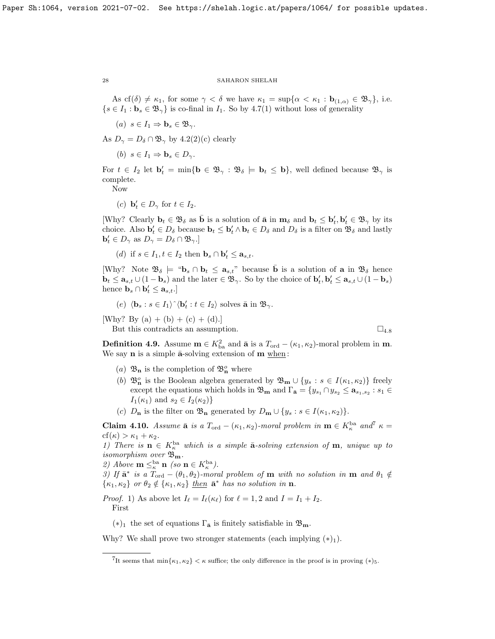As cf( $\delta$ )  $\neq$   $\kappa_1$ , for some  $\gamma < \delta$  we have  $\kappa_1 = \sup{\{\alpha < \kappa_1 : \mathbf{b}_{(1,\alpha)} \in \mathfrak{B}_{\gamma}\}\)$ , i.e.  $\{s \in I_1 : \mathbf{b}_s \in \mathfrak{B}_{\gamma}\}\$ is co-final in  $I_1$ . So by [4.7\(](#page-26-0)1) without loss of generality

(a)  $s \in I_1 \Rightarrow \mathbf{b}_s \in \mathfrak{B}_{\gamma}$ .

As  $D_{\gamma} = D_{\delta} \cap \mathfrak{B}_{\gamma}$  by [4.2\(](#page-24-2)2)(c) clearly

(b)  $s \in I_1 \Rightarrow \mathbf{b}_s \in D_{\gamma}$ .

For  $t \in I_2$  let  $\mathbf{b}'_t = \min{\{\mathbf{b} \in \mathfrak{B}_{\gamma} : \mathfrak{B}_{\delta} \models \mathbf{b}_t \leq \mathbf{b}\}}$ , well defined because  $\mathfrak{B}_{\gamma}$  is complete.

Now

(c)  $\mathbf{b}'_t \in D_\gamma$  for  $t \in I_2$ .

[Why? Clearly  $\mathbf{b}_t \in \mathfrak{B}_{\delta}$  as  $\bar{\mathbf{b}}$  is a solution of  $\bar{\mathbf{a}}$  in  $\mathbf{m}_{\delta}$  and  $\mathbf{b}_t \leq \mathbf{b}'_t, \mathbf{b}'_t \in \mathfrak{B}_{\gamma}$  by its choice. Also  $\mathbf{b}'_t \in D_\delta$  because  $\mathbf{b}_t \leq \mathbf{b}'_t \wedge \mathbf{b}_t \in D_\delta$  and  $D_\delta$  is a filter on  $\mathfrak{B}_\delta$  and lastly  $\mathbf{b}'_t \in D_\gamma$  as  $D_\gamma = D_\delta \cap \mathfrak{B}_\gamma$ .

(d) if  $s \in I_1, t \in I_2$  then  $\mathbf{b}_s \cap \mathbf{b}'_t \leq \mathbf{a}_{s,t}$ .

[Why? Note  $\mathfrak{B}_{\delta} \models \mathfrak{B}_{s} \cap \mathbf{b}_{t} \leq \mathbf{a}_{s,t}$ " because  $\bar{\mathbf{b}}$  is a solution of  $\mathbf{a}$  in  $\mathfrak{B}_{\delta}$  hence  $\mathbf{b}_t \leq \mathbf{a}_{s,t} \cup (1-\mathbf{b}_s)$  and the later  $\in \mathfrak{B}_{\gamma}$ . So by the choice of  $\mathbf{b}'_t, \mathbf{b}'_t \leq \mathbf{a}_{s,t} \cup (1-\mathbf{b}_s)$ hence  $\mathbf{b}_s \cap \mathbf{b}'_t \leq \mathbf{a}_{s,t}$ .]

(e) 
$$
\langle \mathbf{b}_s : s \in I_1 \rangle^{\wedge} \langle \mathbf{b}'_t : t \in I_2 \rangle
$$
 solves  $\bar{\mathbf{a}}$  in  $\mathfrak{B}_{\gamma}$ .

[Why? By (a) + (b) + (c) + (d).]

But this contradicts an assumption.  $\square_{4.8}$  $\square_{4.8}$  $\square_{4.8}$ 

<span id="page-27-1"></span>**Definition 4.9.** Assume  $\mathbf{m} \in K_{ba}^2$  and  $\bar{\mathbf{a}}$  is a  $T_{ord} - (\kappa_1, \kappa_2)$ -moral problem in  $\mathbf{m}$ . We say  $n$  is a simple  $\bar{a}$ -solving extension of  $m \underline{when}$ :

- (a)  $\mathfrak{B}_n$  is the completion of  $\mathfrak{B}_n^o$  where
- (b)  $\mathfrak{B}_n^o$  is the Boolean algebra generated by  $\mathfrak{B}_m \cup \{y_s : s \in I(\kappa_1, \kappa_2)\}\)$  freely except the equations which holds in  $\mathfrak{B}_{\mathbf{m}}$  and  $\Gamma_{\bar{\mathbf{a}}} = \{y_{s_1} \cap y_{s_2} \leq \mathbf{a}_{s_1, s_2} : s_1 \in$  $I_1(\kappa_1)$  and  $s_2 \in I_2(\kappa_2)$
- (c)  $D_{\mathbf{n}}$  is the filter on  $\mathfrak{B}_{\mathbf{n}}$  generated by  $D_{\mathbf{m}} \cup \{y_s : s \in I(\kappa_1, \kappa_2)\}.$

<span id="page-27-2"></span>**Claim 4.10.** Assume  $\bar{\mathbf{a}}$  is a  $T_{\text{ord}} - (\kappa_1, \kappa_2)$ -moral problem in  $\mathbf{m} \in K_{\kappa}^{\text{ba}}$  and<sup>[7](#page-27-0)</sup>  $\kappa =$  $cf(\kappa) > \kappa_1 + \kappa_2$ .

1) There is  $\mathbf{n} \in K_{\kappa}^{\text{ba}}$  which is a simple  $\bar{\mathbf{a}}$ -solving extension of  $\mathbf{m}$ , unique up to isomorphism over  $\mathfrak{B}_{\mathbf{m}}$ .

2) Above  $\mathbf{m} \leq_{\kappa}^{\mathrm{ba}} \mathbf{n}$  (so  $\mathbf{n} \in K_{\kappa}^{\mathrm{ba}}$ ).

3) If  $\bar{\mathbf{a}}^*$  is a  $T_{\text{ord}} - (\theta_1, \theta_2)$ -moral problem of  $\mathbf{m}$  with no solution in  $\mathbf{m}$  and  $\theta_1 \notin$  $\{\kappa_1,\kappa_2\}$  or  $\theta_2 \notin \{\kappa_1,\kappa_2\}$  then  $\bar{\mathbf{a}}^*$  has no solution in  $\mathbf{n}$ .

*Proof.* 1) As above let  $I_\ell = I_\ell(\kappa_\ell)$  for  $\ell = 1, 2$  and  $I = I_1 + I_2$ . First

(\*)<sub>1</sub> the set of equations  $\Gamma_{\bar{\mathbf{a}}}$  is finitely satisfiable in  $\mathfrak{B}_{\mathbf{m}}$ .

Why? We shall prove two stronger statements (each implying  $(*)_1$ ).

<span id="page-27-0"></span><sup>&</sup>lt;sup>7</sup>It seems that  $\min\{\kappa_1, \kappa_2\} < \kappa$  suffice; the only difference in the proof is in proving  $(*)_5$ .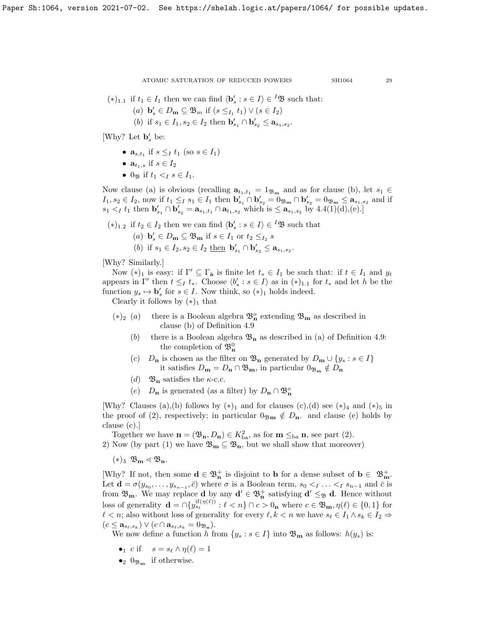$(*)_{1,1}$  if  $t_1 \in I_1$  then we can find  $\langle \mathbf{b}'_s : s \in I \rangle \in {}^I{\mathfrak{B}}$  such that:

- (a)  $\mathbf{b}'_s \in D_\mathbf{m} \subseteq \mathfrak{B}_m$  if  $(s \leq_{I_1} t_1) \vee (s \in I_2)$
- (b) if  $s_1 \in I_1, s_2 \in I_2$  then  $\mathbf{b}'_{s_1} \cap \mathbf{b}'_{s_2} \leq \mathbf{a}_{s_1, s_2}$ .

[Why? Let  $\mathbf{b}'_s$  be:

- $\mathbf{a}_{s,t_1}$  if  $s \leq I_1$  (so  $s \in I_1$ )
- $a_{t_1,s}$  if  $s \in I_2$
- $0_{\Re}$  if  $t_1 < I \leq t \leq I_1$ .

Now clause (a) is obvious (recalling  $\mathbf{a}_{t_1,t_1} = 1_{\mathfrak{B}_{\mathbf{m}}}$  and as for clause (b), let  $s_1 \in$  $I_1, s_2 \in I_2$ , now if  $t_1 \leq_I s_1 \in I_1$  then  $\mathbf{b}_{s_1}' \cap \mathbf{b}_{s_2}' = 0_{\mathfrak{B}_{\mathbf{m}}} \cap \mathbf{b}_{s_2}' = 0_{\mathfrak{B}_{\mathbf{m}}} \leq \mathbf{a}_{s_1, s_2}$  and if  $s_1 <_I t_1$  then  $\mathbf{b}'_{s_1} \cap \mathbf{b}'_{s_2} = \mathbf{a}_{s_1,t_1} \cap \mathbf{a}_{t_1,s_2}$  which is  $\leq \mathbf{a}_{s_1,s_2}$  by  $4.4(1)(d),(e).$ 

 $(*)_{1,2}$  if  $t_2 \in I_2$  then we can find  $\langle \mathbf{b}'_s : s \in I \rangle \in {}^I{\mathfrak{B}}$  such that

- (a)  $\mathbf{b}'_s \in D_{\mathbf{m}} \subseteq \mathfrak{B}_{\mathbf{m}}$  if  $s \in I_1$  or  $t_2 \leq_{I_2} s$
- (b) if  $s_1 \in I_2, s_2 \in I_2$  then  $\mathbf{b}'_{s_1} \cap \mathbf{b}'_{s_2} \leq \mathbf{a}_{s_1, s_2}$ .

[Why? Similarly.]

Now  $(*)_1$  is easy: if  $\Gamma' \subseteq \Gamma_{\bar{a}}$  is finite let  $t_* \in I_1$  be such that: if  $t \in I_1$  and  $y_t$ appears in  $\Gamma'$  then  $t \leq_I t_*$ . Choose  $\langle b'_s : s \in I \rangle$  as in  $(*)_{1,1}$  for  $t_*$  and let h be the function  $y_s \mapsto \mathbf{b}'_s$  for  $s \in I$ . Now think, so  $(*)_1$  holds indeed.

Clearly it follows by  $(*)_1$  that

- $(*)_2$  (*a*) there is a Boolean algebra  $\mathfrak{B}^o_n$  extending  $\mathfrak{B}^m$  as described in clause (b) of Definition [4.9](#page-27-1)
	- (b) there is a Boolean algebra  $\mathfrak{B}_n$  as described in (a) of Definition [4.9:](#page-27-1) the completion of  $\mathfrak{B}^0_{\mathbf{n}}$
	- (c)  $D_{\mathbf{n}}$  is chosen as the filter on  $\mathfrak{B}_{\mathbf{n}}$  generated by  $D_{\mathbf{m}} \cup \{y_s : s \in I\}$ it satisfies  $D_{\mathbf{m}} = D_{\mathbf{n}} \cap \mathfrak{B}_{\mathbf{m}}$ , in particular  $0_{\mathfrak{B}_{\mathbf{m}}} \notin D_{\mathbf{n}}$
	- (d)  $\mathfrak{B}_n$  satisfies the  $\kappa$ -c.c.
	- (e)  $D_{\mathbf{n}}$  is generated (as a filter) by  $D_{\mathbf{n}} \cap \mathfrak{B}_{\mathbf{n}}^o$

[Why? Clauses (a),(b) follows by  $(*)_1$  and for clauses (c),(d) see  $(*)_4$  and  $(*)_5$  in the proof of (2), respectively; in particular  $0_{\mathfrak{Bm}} \notin D_{\mathbf{n}}$  and clause (e) holds by clause (c).]

Together we have  $\mathbf{n} = (\mathfrak{B}_{\mathbf{n}}, D_{\mathbf{n}}) \in K_{ba}^2$ , as for  $\mathbf{m} \leq_{ba} \mathbf{n}$ , see part (2). 2) Now (by part (1) we have  $\mathfrak{B}_{m} \subseteq \mathfrak{B}_{n}$ , but we shall show that moreover)

 $(*)_3 \mathfrak{B}_m \lessdot \mathfrak{B}_n.$ 

[Why? If not, then some  $\mathbf{d} \in \mathfrak{B}_n^+$  is disjoint to **b** for a dense subset of  $\mathbf{b} \in \mathfrak{B}_m^+$ . Let  $\mathbf{d} = \sigma(y_{s_0}, \ldots, y_{s_{n-1}}, \bar{c})$  where  $\sigma$  is a Boolean term,  $s_0 <_I \ldots <_I s_{n-1}$  and  $\bar{c}$  is from  $\mathfrak{B}_{m}$ . We may replace **d** by any  $d' \in \mathfrak{B}_{n}^{+}$  satisfying  $d' \leq_{\mathfrak{B}} d$ . Hence without loss of generality  $\mathbf{d} = \bigcap \{y_{s_\ell}^{\text{if}(\eta(\ell))} : \ell < n\} \cap c > 0_\mathbf{n}$  where  $c \in \mathfrak{B}_\mathbf{m}, \eta(\ell) \in \{0, 1\}$  for  $\ell < n$ ; also without loss of generality for every  $\ell, k < n$  we have  $s_{\ell} \in I_1 \wedge s_k \in I_2 \Rightarrow$  $(c \leq \mathbf{a}_{s_{\ell}, s_k}) \vee (c \cap \mathbf{a}_{s_{\ell}, s_k} = 0_{\mathfrak{B}_{\mathbf{n}}}).$ 

We now define a function h from  $\{y_s : s \in I\}$  into  $\mathfrak{B}_{\mathbf{m}}$  as follows:  $h(y_s)$  is:

- c if  $s = s_\ell \wedge \eta(\ell) = 1$
- $\bullet_2$   $0_{\mathfrak{B}_m}$  if otherwise.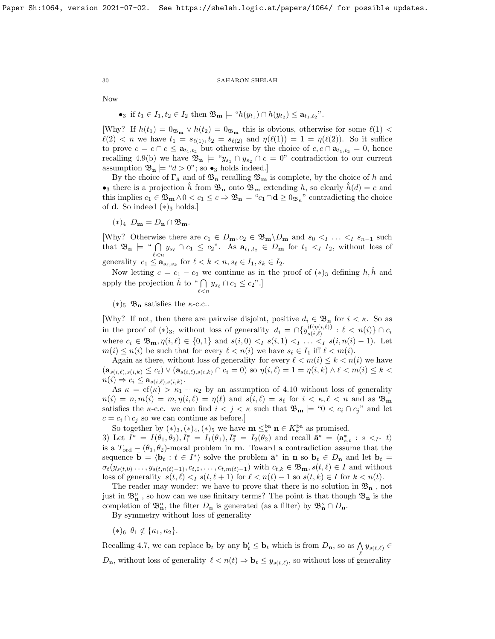Now

•<sub>3</sub> if 
$$
t_1 \in I_1, t_2 \in I_2
$$
 then  $\mathfrak{B}_{m} \models "h(y_{t_1}) \cap h(y_{t_2}) \leq a_{t_1, t_2}''$ .

[Why? If  $h(t_1) = 0_{\mathfrak{B}_m} \vee h(t_2) = 0_{\mathfrak{B}_m}$  this is obvious, otherwise for some  $\ell(1)$  <  $\ell(2) < n$  we have  $t_1 = s_{\ell(1)}, t_2 = s_{\ell(2)}$  and  $\eta(\ell(1)) = 1 = \eta(\ell(2)).$  So it suffice to prove  $c = c \cap c \le \mathbf{a}_{t_1,t_2}$  but otherwise by the choice of  $c, c \cap \mathbf{a}_{t_1,t_2} = 0$ , hence recalling [4.9\(](#page-27-1)b) we have  $\mathfrak{B}_n \models "y_{s_1} \cap y_{s_2} \cap c = 0"$  contradiction to our current assumption  $\mathfrak{B}_n \models \text{``}d > 0$ "; so  $\bullet_3$  holds indeed.]

By the choice of  $\Gamma_{\bar{\mathbf{a}}}$  and of  $\mathfrak{B}_{\mathbf{n}}$  recalling  $\mathfrak{B}_{\mathbf{m}}$  is complete, by the choice of h and •<sub>3</sub> there is a projection  $\hat{h}$  from  $\mathfrak{B}_n$  onto  $\mathfrak{B}_m$  extending h, so clearly  $\hat{h}(d) = c$  and this implies  $c_1 \in \mathfrak{B}_m \wedge 0 < c_1 \leq c \Rightarrow \mathfrak{B}_n \models "c_1 \cap \mathbf{d} \geq 0_{\mathfrak{B}_n}"$  contradicting the choice of **d**. So indeed  $(*)_3$  holds.]

 $(*)_4$   $D_{\mathbf{m}} = D_{\mathbf{n}} \cap \mathfrak{B}_{\mathbf{m}}$ .

[Why? Otherwise there are  $c_1 \in D_m$ ,  $c_2 \in \mathfrak{B}_m \backslash D_m$  and  $s_0 <_I \ldots <_I s_{n-1}$  such that  $\mathfrak{B}_n \models \text{`` } \bigcap_{\ell < n} y_{s_\ell} \cap c_1 \leq c_2$ ". As  $a_{t_1,t_2} \in D_m$  for  $t_1 <_I t_2$ , without loss of

generality  $c_1 \leq \mathbf{a}_{s_\ell,s_k}$  for  $\ell < k < n, s_\ell \in I_1, s_k \in I_2$ .

Now letting  $c = c_1 - c_2$  we continue as in the proof of  $(*)_3$  defining h, h and apply the projection  $\hat{h}$  to "  $\bigcap y_{s_{\ell}} \cap c_1 \leq c_2$ ".  $_{\ell < n}$ 

 $(*)_5 \mathfrak{B}_n$  satisfies the  $\kappa$ -c.c..

[Why? If not, then there are pairwise disjoint, positive  $d_i \in \mathfrak{B}_n$  for  $i < \kappa$ . So as in the proof of  $(*)_3$ , without loss of generality  $d_i = \bigcap \{y_{s(i)}^{\text{if}(\eta(i,\ell))}\}$  $s(i,\ell) \atop s(i,\ell)}$  :  $\ell < n(i) \} \cap c_i$ where  $c_i \in \mathfrak{B}_m$ ,  $\eta(i, \ell) \in \{0, 1\}$  and  $s(i, 0) < I$   $s(i, 1) < I$ .  $\ldots < I$   $s(i, n(i) - 1)$ . Let  $m(i) \leq n(i)$  be such that for every  $\ell < n(i)$  we have  $s_{\ell} \in I_1$  iff  $\ell < m(i)$ .

Again as there, without loss of generality for every  $\ell < m(i) \leq k < n(i)$  we have  $(a_{s(i,\ell),s(i,k)} \leq c_i) \vee (a_{s(i,\ell),s(i,k)} \cap c_i = 0)$  so  $\eta(i,\ell) = 1 = \eta(i,k) \wedge \ell < m(i) \leq k <$  $n(i) \Rightarrow c_i \leq \mathbf{a}_{s(i,\ell),s(i,k)}.$ 

As  $\kappa = cf(\kappa) > \kappa_1 + \kappa_2$  by an assumption of [4.10](#page-27-2) without loss of generality  $n(i) = n, m(i) = m, \eta(i, \ell) = \eta(\ell)$  and  $s(i, \ell) = s_{\ell}$  for  $i < \kappa, \ell < n$  and as  $\mathfrak{B}_{\mathbf{m}}$ satisfies the  $\kappa$ -c.c. we can find  $i < j < \kappa$  such that  $\mathfrak{B}_{\mathbf{m}} \models \mathfrak{B}_{\mathbf{m}} \models \mathfrak{B}_{\mathbf{m}}$  and let  $c = c_i \cap c_j$  so we can continue as before.]

So together by  $(*)_3, (*)_4, (*)_5$  we have  $\mathbf{m} \leq_{\kappa}^{\text{ba}} \mathbf{n} \in K_{\kappa}^{\text{ba}}$  as promised.

3) Let  $I^* = I(\theta_1, \theta_2), I_1^* = I_1(\theta_1), I_2^* = I_2(\theta_2)$  and recall  $\bar{\mathbf{a}}^* = \langle \mathbf{a}_{s,t}^* : s \langle I^* | I_1(\theta_1), I_2(\theta_2) \rangle$ is a  $T_{\text{ord}} - (\theta_1, \theta_2)$ -moral problem in **m**. Toward a contradiction assume that the sequence  $\bar{\mathbf{b}} = \langle \mathbf{b}_t : t \in I^* \rangle$  solve the problem  $\bar{\mathbf{a}}^*$  in **n** so  $\mathbf{b}_t \in D_{\mathbf{n}}$  and let  $\mathbf{b}_t =$  $\sigma_t(y_{s(t,0)},\ldots,y_{s(t,n(t)-1)},c_{t,0},\ldots,c_{t,m(t)-1})$  with  $c_{t,k}\in\mathfrak{B}_m$ ,  $s(t,\ell)\in I$  and without loss of generality  $s(t, \ell) < I$   $s(t, \ell + 1)$  for  $\ell < n(t) - 1$  so  $s(t, k) \in I$  for  $k < n(t)$ .

The reader may wonder: we have to prove that there is no solution in  $\mathfrak{B}_n$ , not just in  $\mathfrak{B}^o_n$  , so how can we use finitary terms? The point is that though  $\mathfrak{B}_n$  is the completion of  $\mathfrak{B}_n^o$ , the filter  $D_n$  is generated (as a filter) by  $\mathfrak{B}_n^o \cap D_n$ .

By symmetry without loss of generality

 $(*)_6$   $\theta_1 \notin {\kappa_1, \kappa_2}.$ 

Recalling [4.7,](#page-26-0) we can replace  $\mathbf{b}_t$  by any  $\mathbf{b}'_t \leq \mathbf{b}_t$  which is from  $D_{\mathbf{n}}$ , so as  $\bigwedge_{\ell} y_{s(t,\ell)} \in$  $D_n$ , without loss of generality  $\ell < n(t) \Rightarrow \mathbf{b}_t \leq y_{s(t,\ell)}$ , so without loss of generality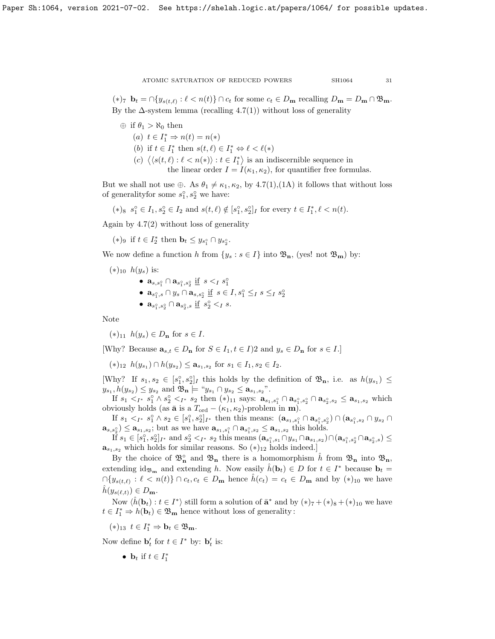$(*)_7$   $\mathbf{b}_t = \bigcap \{y_{s(t,\ell)} : \ell < n(t)\} \cap c_t$  for some  $c_t \in D_\mathbf{m}$  recalling  $D_\mathbf{m} = D_\mathbf{m} \cap \mathfrak{B}_\mathbf{m}$ . By the  $\Delta$ -system lemma (recalling [4.7\(](#page-26-0)1)) without loss of generality

- $\oplus$  if  $\theta_1 > \aleph_0$  then
	- (a)  $t \in I_1^* \Rightarrow n(t) = n(*)$

(b) if  $t \in I_1^*$  then  $s(t, \ell) \in I_1^* \Leftrightarrow \ell < \ell(*)$ 

(c)  $\langle s(t,\ell): \ell < n(*) \rangle : t \in I_1^* \rangle$  is an indiscernible sequence in the linear order  $I = I(\kappa_1, \kappa_2)$ , for quantifier free formulas.

But we shall not use  $\oplus$ . As  $\theta_1 \neq \kappa_1, \kappa_2$ , by [4.7\(](#page-26-0)1),(1A) it follows that without loss of generality<br>for some  $s_1^{\circ}, s_2^{\circ}$  we have:

 $(*)_8 \ s_1^{\circ} \in I_1, s_2^{\circ} \in I_2 \text{ and } s(t, \ell) \notin [s_1^{\circ}, s_2^{\circ}]_I \text{ for every } t \in I_1^*, \ell < n(t)$ .

Again by [4.7\(](#page-26-0)2) without loss of generality

(\*)<sup>9</sup> if  $t \in I_2^*$  then  $\mathbf{b}_t \leq y_{s_1^{\circ}} \cap y_{s_2^{\circ}}$ .

We now define a function h from  $\{y_s : s \in I\}$  into  $\mathfrak{B}_{\mathbf{n}}$ , (yes! not  $\mathfrak{B}_{\mathbf{m}}$ ) by:

$$
(*)_{10} h(y_s)
$$
 is:

- $\mathbf{a}_{s,s_1^{\circ}} \cap \mathbf{a}_{s_1^{\circ},s_2^{\circ}} \underline{\text{if}} \ s <_I s_1^{\circ}$
- $\mathbf{a}_{s_1^{\circ},s} \cap y_s \cap \mathbf{a}_{s,s_2^{\circ}} \text{ if } s \in I, s_1^{\circ} \leq_I s \leq_I s_2^{\circ}$
- $a_{s_1^{\circ}, s_2^{\circ}} \cap a_{s_2^{\circ}, s} \underline{if} s_2^{\circ} <_{I} s.$

Note

 $(*)_{11}$   $h(y_s) \in D_n$  for  $s \in I$ .

[Why? Because  $\mathbf{a}_{s,t} \in D_n$  for  $S \in I_1, t \in I$ ] and  $y_s \in D_n$  for  $s \in I$ .]

 $(*)_{12}$   $h(y_{s_1}) \cap h(y_{s_2}) \le a_{s_1,s_2}$  for  $s_1 \in I_1, s_2 \in I_2$ .

[Why? If  $s_1, s_2 \in [s_1^{\circ}, s_2^{\circ}]_I$  this holds by the definition of  $\mathfrak{B}_n$ , i.e. as  $h(y_{s_1}) \leq$  $y_{s_1}, h(y_{s_2}) \leq y_{s_2}$  and  $\mathfrak{B}_n \models \text{``} y_{s_1} \cap y_{s_2} \leq \mathbf{a}_{s_1, s_2}$ ."

If  $s_1 <_{I^*} s_1^{\circ} \wedge s_2^{\circ} <_{I^*} s_2$  then  $(*)_{11}$  says:  $\mathbf{a}_{s_1, s_1^{\circ}} \cap \mathbf{a}_{s_1^{\circ}, s_2^{\circ}} \cap \mathbf{a}_{s_2^{\circ}, s_2} \leq \mathbf{a}_{s_1, s_2}$  which obviously holds (as  $\bar{\mathbf{a}}$  is a  $T_{\text{ord}} - (\kappa_1, \kappa_2)$ -problem in **m**).

If  $s_1 <_{I^*} s_1^{\circ} \wedge s_2 \in [s_1^{\circ}, s_2^{\circ}]_{I^*}$  then this means:  $(\mathbf{a}_{s_1, s_1^{\circ}} \cap \mathbf{a}_{s_1^{\circ}, s_2^{\circ}}) \cap (\mathbf{a}_{s_1^{\circ}, s_2} \cap y_{s_2} \cap y_{s_3^{\circ}})$  $\mathbf{a}_{s,s_2^{\circ}} \leq \mathbf{a}_{s_1,s_2}$ ; but as we have  $\mathbf{a}_{s_1,s_1^{\circ}} \cap \mathbf{a}_{s_1^{\circ},s_2} \leq \mathbf{a}_{s_1,s_2}$  this holds.

 $\tilde{\text{If}} s_1 \in [s_1^{\circ}, s_2^{\circ}]_{I^*} \text{ and } s_2^{\circ} <_{I^*} s_2 \text{ this means } (\mathbf{a}_{s_1^{\circ}, s_1} \cap y_{s_1} \cap \mathbf{a}_{s_1, s_2}) \cap (\mathbf{a}_{s_1^{\circ}, s_2^{\circ}} \cap \mathbf{a}_{s_2^{\circ}, s}) \leq$  $\mathbf{a}_{s_1,s_2}$  which holds for similar reasons. So  $(*)_{12}$  holds indeed.]

By the choice of  $\mathfrak{B}_n^{\circ}$  and  $\mathfrak{B}_n$  there is a homomorphism  $\hat{h}$  from  $\mathfrak{B}_n$  into  $\mathfrak{B}_n$ , extending id<sub> $\mathfrak{B}_{m}$ </sub> and extending h. Now easily  $\hat{h}(\mathbf{b}_{t}) \in D$  for  $t \in I^*$  because  $\mathbf{b}_{t} =$  $\bigcap \{y_{s(t,\ell)} : \ell < n(t)\} \cap c_t, c_t \in D_{\mathbf{m}} \text{ hence } \hat{h}(c_t) = c_t \in D_{\mathbf{m}} \text{ and by } (*)_{10} \text{ we have }$  $h(y_{s(\ell,t)}) \in D_{\mathbf{m}}.$ 

Now  $\langle \hat{h}(\mathbf{b}_t) : t \in I^* \rangle$  still form a solution of  $\bar{\mathbf{a}}^*$  and by  $(*)_7 + (*)_8 + (*)_{10}$  we have  $t \in I_1^* \Rightarrow h(\mathbf{b}_t) \in \mathfrak{B}_\mathbf{m}$  hence without loss of generality:

 $(*)_{13} \t t \in I_1^* \Rightarrow \mathbf{b}_t \in \mathfrak{B}_{\mathbf{m}}.$ 

Now define  $\mathbf{b}'_t$  for  $t \in I^*$  by:  $\mathbf{b}'_t$  is:

•  $\mathbf{b}_t$  if  $t \in I_1^*$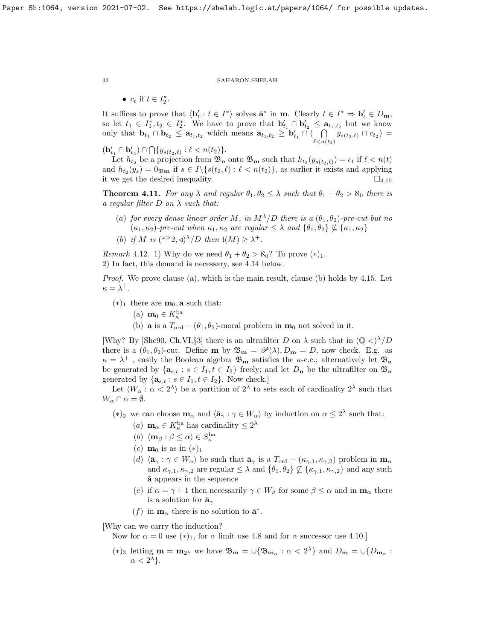•  $c_t$  if  $t \in I_2^*$ .

It suffices to prove that  $\langle \mathbf{b}_t': t \in I^* \rangle$  solves  $\bar{\mathbf{a}}^*$  in **m**. Clearly  $t \in I^* \Rightarrow \mathbf{b}_t' \in D_{\mathbf{m}}$ , so let  $t_1 \in I_1^*, t_2 \in I_2^*$ . We have to prove that  $\mathbf{b}'_{t_1} \cap \mathbf{b}'_{t_2} \leq \mathbf{a}_{t_1, t_2}$  but we know only that  $\mathbf{b}_{t_1} \cap \mathbf{b}_{t_2} \leq \mathbf{a}_{t_1,t_2}$  which means  $\mathbf{a}_{t_1,t_2} \geq \mathbf{b}'_{t_1} \cap ( \bigcap)$  $\bigcap_{\ell < n(t_2)} y_{s(t_2,\ell)} \cap c_{t_2} =$ 

 $(\mathbf{b}'_{t_1} \cap \mathbf{b}'_{t_2}) \cap \bigcap \{y_{s(t_2,\ell)} : \ell < n(t_2)\}.$ 

Let  $h_{t_2}$  be a projection from  $\mathfrak{B}_n$  onto  $\mathfrak{B}_m$  such that  $h_{t_2}(y_{s(t_2,\ell)}) = c_t$  if  $\ell < n(t)$ and  $h_{t_2}(y_s) = 0$  if  $s \in I \setminus \{s(t_2, \ell) : \ell < n(t_2)\}\$ , as earlier it exists and applying it we get the desired inequality.  $\Box_{4.10}$  $\Box_{4.10}$  $\Box_{4.10}$ 

<span id="page-31-0"></span>**Theorem 4.11.** For any  $\lambda$  and regular  $\theta_1, \theta_2 \leq \lambda$  such that  $\theta_1 + \theta_2 > \aleph_0$  there is a regular filter  $D$  on  $\lambda$  such that:

- (a) for every dense linear order M, in  $M^{\lambda}/D$  there is a  $(\theta_1, \theta_2)$ -pre-cut but no  $(\kappa_1, \kappa_2)$ -pre-cut when  $\kappa_1, \kappa_2$  are regular  $\leq \lambda$  and  $\{\theta_1, \theta_2\} \nsubseteq {\kappa_1, \kappa_2}$
- (b) if M is  $({}^{\omega>2},\triangleleft)^{\lambda}/D$  then  $\mathfrak{t}(M) \geq \lambda^+$ .

Remark 4.12. 1) Why do we need  $\theta_1 + \theta_2 > \aleph_0$ ? To prove  $(*)_1$ . 2) In fact, this demand is necessary, see [4.14](#page-32-0) below.

Proof. We prove clause (a), which is the main result, clause (b) holds by [4.15.](#page-32-1) Let  $\kappa = \lambda^+$ .

- $(*)_1$  there are  $m_0$ , **a** such that:
	- (a)  $\mathbf{m}_0 \in K_{\kappa}^{\text{ba}}$
	- (b) **a** is a  $T_{\text{ord}} (\theta_1, \theta_2)$ -moral problem in  $m_0$  not solved in it.

[Why? By [\[She90,](#page-37-1) Ch.VI,§3] there is an ultrafilter D on  $\lambda$  such that in  $(\mathbb{Q} \langle \rangle^{\lambda}/D)$ there is a  $(\theta_1, \theta_2)$ -cut. Define **m** by  $\mathfrak{B}_{\mathbf{m}} = \mathscr{P}(\lambda), D_{\mathbf{m}} = D$ , now check. E.g. as  $\kappa = \lambda^+$ , easily the Boolean algebra  $\mathfrak{B}_m$  satisfies the  $\kappa$ -c.c.; alternatively let  $\mathfrak{B}_n$ be generated by  $\{a_{s,t} : s \in I_1, t \in I_2\}$  freely; and let  $D_n$  be the ultrafilter on  $\mathfrak{B}_n$ generated by  $\{a_{s,t} : s \in I_1, t \in I_2\}$ . Now check.]

Let  $\langle W_\alpha : \alpha < 2^{\lambda} \rangle$  be a partition of  $2^{\lambda}$  to sets each of cardinality  $2^{\lambda}$  such that  $W_{\alpha} \cap \alpha = \emptyset.$ 

(\*)<sub>2</sub> we can choose  $\mathbf{m}_{\alpha}$  and  $\langle \bar{\mathbf{a}}_{\gamma} : \gamma \in W_{\alpha} \rangle$  by induction on  $\alpha \leq 2^{\lambda}$  such that:

- (*a*)  $\mathbf{m}_{\alpha} \in K_{\kappa}^{\text{ba}}$  has cardinality  $\leq 2^{\lambda}$
- (b)  $\langle \mathbf{m}_{\beta} : \beta \leq \alpha \rangle \in S_{\kappa}^{\mathrm{ba}}$
- (c)  $\mathbf{m}_0$  is as in  $(*)_1$
- (d)  $\langle \bar{\mathbf{a}}_\gamma : \gamma \in W_\alpha \rangle$  be such that  $\bar{\mathbf{a}}_\gamma$  is a  $T_{\text{ord}} (\kappa_{\gamma,1}, \kappa_{\gamma,2})$  problem in  $\mathbf{m}_\alpha$ and  $\kappa_{\gamma,1}, \kappa_{\gamma,2}$  are regular  $\leq \lambda$  and  $\{\theta_1, \theta_2\} \nsubseteq {\kappa_{\gamma,1}, \kappa_{\gamma,2}}$  and any such  $\bar{a}$  appears in the sequence
- (e) if  $\alpha = \gamma + 1$  then necessarily  $\gamma \in W_\beta$  for some  $\beta \leq \alpha$  and in  $\mathbf{m}_\alpha$  there is a solution for  $\bar{\mathbf{a}}_{\gamma}$
- (f) in  $\mathbf{m}_{\alpha}$  there is no solution to  $\bar{\mathbf{a}}^*$ .

[Why can we carry the induction?

Now for  $\alpha = 0$  use  $(*)_1$ , for  $\alpha$  limit use [4.8](#page-26-1) and for  $\alpha$  successor use [4.10.](#page-27-2)]

(\*)<sub>3</sub> letting  $\mathbf{m} = \mathbf{m}_{2}$  we have  $\mathfrak{B}_{\mathbf{m}} = \cup \{\mathfrak{B}_{\mathbf{m}_{\alpha}} : \alpha < 2^{\lambda}\}\$ and  $D_{\mathbf{m}} = \cup\{D_{\mathbf{m}_{\alpha}} : \alpha < 2^{\lambda}\}\$  $\alpha < 2^{\lambda}$ .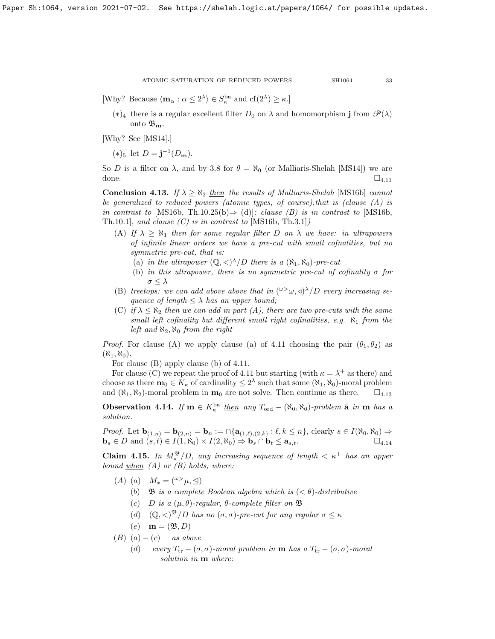[Why? Because  $\langle \mathbf{m}_{\alpha} : \alpha \leq 2^{\lambda} \rangle \in S_{\kappa}^{\text{ba}}$  and  $cf(2^{\lambda}) \geq \kappa$ .]

(\*)<sub>4</sub> there is a regular excellent filter  $D_0$  on  $\lambda$  and homomorphism **j** from  $\mathscr{P}(\lambda)$ onto  $\mathfrak{B}_{\mathbf{m}}$ .

[Why? See [\[MS14\]](#page-37-24).]

(\*)<sub>5</sub> let  $D = j^{-1}(D_m)$ .

So D is a filter on  $\lambda$ , and by [3.8](#page-21-1) for  $\theta = \aleph_0$  (or Malliaris-Shelah [\[MS14\]](#page-37-24)) we are done.  $\square_{4.11}$  $\square_{4.11}$  $\square_{4.11}$ 

<span id="page-32-2"></span>**Conclusion 4.13.** If  $\lambda \geq \aleph_2$  then the results of Malliaris-Shelah [\[MS16b\]](#page-37-4) cannot be generalized to reduced powers (atomic types, of course),that is (clause (A) is in contrast to [\[MS16b,](#page-37-4) Th.10.25(b) $\Rightarrow$  (d)]; clause (B) is in contrast to [MS16b, Th.10.1], and clause  $(C)$  is in contrast to [\[MS16b,](#page-37-4) Th.3.1])

(A) If  $\lambda \geq \aleph_1$  then for some regular filter D on  $\lambda$  we have: in ultrapowers of infinite linear orders we have a pre-cut with small cofnalities, but no symmetric pre-cut, that is:

(a) in the ultrapower  $(\mathbb{Q}, \langle \rangle^{\lambda}/D)$  there is a  $(\aleph_1, \aleph_0)$ -pre-cut

- (b) in this ultrapower, there is no symmetric pre-cut of cofinality  $\sigma$  for  $\sigma \leq \lambda$
- (B) treetops: we can add above above that in  $({}^{\omega\geq}\omega,\triangleleft)^{\lambda}/D$  every increasing sequence of length  $\leq \lambda$  has an upper bound;
- (C) if  $\lambda \leq \aleph_2$  then we can add in part (A), there are two pre-cuts with the same small left cofinality but different small right cofinalities, e.g.  $\aleph_1$  from the left and  $\aleph_2$ ,  $\aleph_0$  from the right

*Proof.* For clause (A) we apply clause (a) of [4.11](#page-31-0) choosing the pair  $(\theta_1, \theta_2)$  as  $(\aleph_1, \aleph_0)$ .

For clause (B) apply clause (b) of [4.11.](#page-31-0)

For clause (C) we repeat the proof of [4.11](#page-31-0) but starting (with  $\kappa = \lambda^+$  as there) and choose as there  $\mathbf{m}_0 \in K_{\kappa}$  of cardinality  $\leq 2^{\lambda}$  such that some  $(\aleph_1, \aleph_0)$ -moral problem and  $(\aleph_1, \aleph_2)$ -moral problem in  $\mathbf{m}_0$  are not solve. Then continue as there.  $\square_{4.13}$  $\square_{4.13}$  $\square_{4.13}$ 

<span id="page-32-0"></span>**Observation 4.14.** If  $m \in K_{\kappa}^{ba}$  then any  $T_{ord} - (\aleph_0, \aleph_0)$ -problem  $\bar{a}$  in  $m$  has a solution.

*Proof.* Let  $\mathbf{b}_{(1,n)} = \mathbf{b}_{(2,n)} = \mathbf{b}_n := \bigcap \{ \mathbf{a}_{(1,\ell),(2,k)} : \ell, k \leq n \}, \text{ clearly } s \in I(\aleph_0, \aleph_0) \Rightarrow$  $\mathbf{b}_s \in D$  and  $(s, t) \in I(1, \aleph_0) \times I(2, \aleph_0) \Rightarrow \mathbf{b}_s \cap \mathbf{b}_t \le \mathbf{a}_{s,t}.$ 

<span id="page-32-1"></span>**Claim 4.15.** In  $M_*^{\mathfrak{B}}/D$ , any increasing sequence of length  $\lt \kappa^+$  has an upper bound  $when (A)$  or  $(B)$  holds, where:

- $(A)$  (a)  $M_* = (\omega^> \mu, \triangleleft)$ 
	- (b)  $\mathfrak{B}$  is a complete Boolean algebra which is  $( $\theta$ )-distributive$
	- (c) D is a  $(\mu, \theta)$ -regular,  $\theta$ -complete filter on  $\mathfrak B$
	- (d)  $(\mathbb{Q}, \langle)^{\mathfrak{B}}/D$  has no  $(\sigma, \sigma)$ -pre-cut for any regular  $\sigma \leq \kappa$
	- $(e)$  **m** =  $(\mathfrak{B}, D)$
- (B)  $(a) (c)$  as above
	- (d) every  $T_{tr} (\sigma, \sigma)$ -moral problem in **m** has a  $T_{tr} (\sigma, \sigma)$ -moral solution in  $m$  where: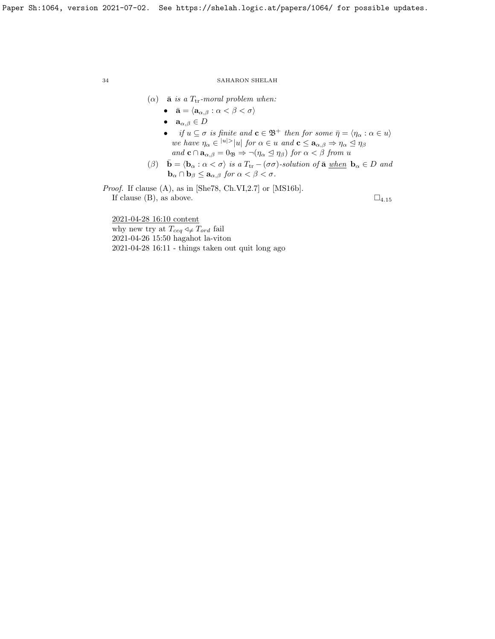- ( $\alpha$ ) **a** is a T<sub>tr</sub>-moral problem when:
	- $\bar{\mathbf{a}} = \langle \mathbf{a}_{\alpha,\beta} : \alpha < \beta < \sigma \rangle$
	- $\mathbf{a}_{\alpha,\beta} \in D$
	- if  $u \subseteq \sigma$  is finite and  $\mathbf{c} \in \mathfrak{B}^+$  then for some  $\bar{\eta} = \langle \eta_\alpha : \alpha \in u \rangle$ we have  $\eta_{\alpha} \in |u| > |u|$  for  $\alpha \in u$  and  $\mathbf{c} \leq \mathbf{a}_{\alpha,\beta} \Rightarrow \eta_{\alpha} \leq \eta_{\beta}$ and  $\mathbf{c} \cap \mathbf{a}_{\alpha,\beta} = 0$   $\Rightarrow \neg(\eta_{\alpha} \leq \eta_{\beta})$  for  $\alpha < \beta$  from u
- (β)  $\bar{\mathbf{b}} = \langle \mathbf{b}_{\alpha} : \alpha < \sigma \rangle$  is a  $T_{tr} (\sigma \sigma)$ -solution of  $\bar{\mathbf{a}}$  when  $\mathbf{b}_{\alpha} \in D$  and  $\mathbf{b}_{\alpha} \cap \mathbf{b}_{\beta} \leq \mathbf{a}_{\alpha,\beta}$  for  $\alpha < \beta < \sigma$ .

Proof. If clause (A), as in [\[She78,](#page-37-2) Ch.VI,2.7] or [\[MS16b\]](#page-37-4). If clause (B), as above.  $\square_{4.15}$  $\square_{4.15}$  $\square_{4.15}$ 

2021-04-28 16:10 content

why new try at  $T_{ceq} \triangleleft \neq T_{ord}$  fail 2021-04-26 15:50 hagahot la-viton 2021-04-28 16:11 - things taken out quit long ago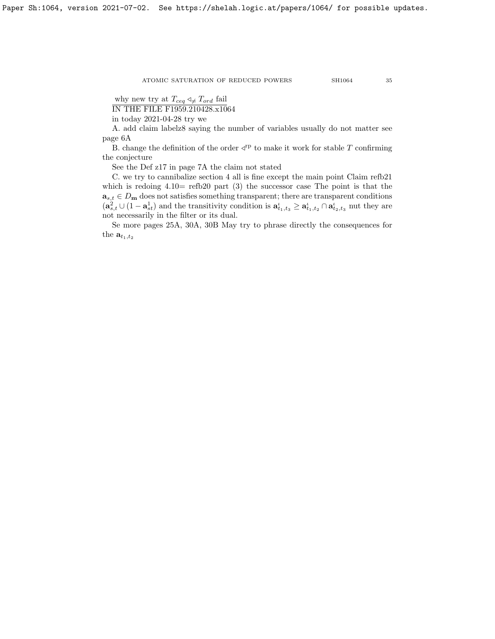Paper Sh:1064, version 2021-07-02. See https://shelah.logic.at/papers/1064/ for possible updates.

ATOMIC SATURATION OF REDUCED POWERS SH1064 35

why new try at  $T_{ceq} \triangleleft \neq T_{ord}$  fail

IN THE FILE F1959.210428.x1064

in today 2021-04-28 try we

A. add claim labelz8 saying the number of variables usually do not matter see page 6A

B. change the definition of the order  $\prec^{rp}$  to make it work for stable T confirming the conjecture

See the Def z17 in page 7A the claim not stated

C. we try to cannibalize section 4 all is fine except the main point Claim refb21 which is redoing  $4.10=$  refb20 part  $(3)$  the successor case. The point is that the  $\mathbf{a}_{s,t} \in D_{\mathbf{m}}$  does not satisfies something transparent; there are transparent conditions  $(a_{s,t}^2 \cup (1-a_{st}^1))$  and the transitivity condition is  $a_{t_1,t_3}^{\iota} \ge a_{t_1,t_2}^{\iota} \cap a_{t_2,t_3}^{\iota}$  nut they are not necessarily in the filter or its dual.

Se more pages 25A, 30A, 30B May try to phrase directly the consequences for the  $\mathbf{a}_{t_1,t_2}$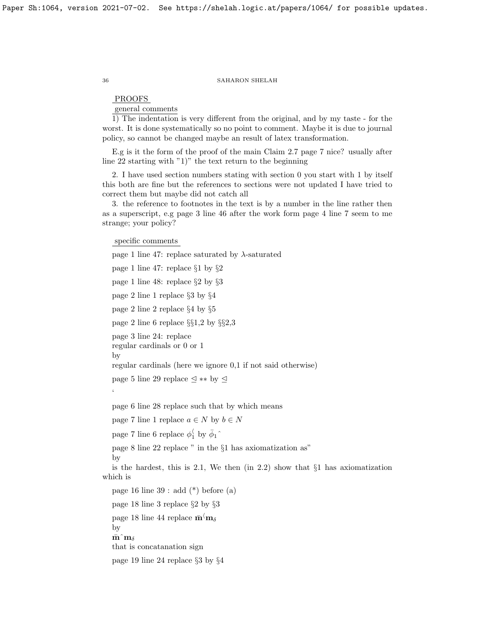# PROOFS

general comments

1) The indentation is very different from the original, and by my taste - for the worst. It is done systematically so no point to comment. Maybe it is due to journal policy, so cannot be changed maybe an result of latex transformation.

E.g is it the form of the proof of the main Claim 2.7 page 7 nice? usually after line 22 starting with "1)" the text return to the beginning

2. I have used section numbers stating with section 0 you start with 1 by itself this both are fine but the references to sections were not updated I have tried to correct them but maybe did not catch all

3. the reference to footnotes in the text is by a number in the line rather then as a superscript, e.g page 3 line 46 after the work form page 4 line 7 seem to me strange; your policy?

specific comments

```
page 1 line 47: replace saturated by \lambda-saturated
   page 1 line 47: replace §1 by §2
   page 1 line 48: replace §2 by §3
   page 2 line 1 replace §3 by §4
   page 2 line 2 replace §4 by §5
   page 2 line 6 replace §§1,2 by §§2,3
   page 3 line 24: replace
   regular cardinals or 0 or 1
   by
   regular cardinals (here we ignore 0,1 if not said otherwise)
   page 5 line 29 replace \lhd ∗∗ by \lhd\zetapage 6 line 28 replace such that by which means
   page 7 line 1 replace a \in N by b \in Npage 7 line 6 replace \phi_1^{\langle} by \bar{\phi}_1^{\gamma}page 8 line 22 replace " in the §1 has axiomatization as"
   by
   is the hardest, this is 2.1, We then (in 2.2) show that §1 has axiomatization
which is
   page 16 line 39: add (*) before (a)
   page 18 line 3 replace §2 by §3
   page 18 line 44 replace \bar{\mathbf{m}}^{\langle} \mathbf{m}_{\delta}by
   \bar{\mathbf{m}}\hat{\mathbf{m}}that is concatanation sign
   page 19 line 24 replace §3 by §4
```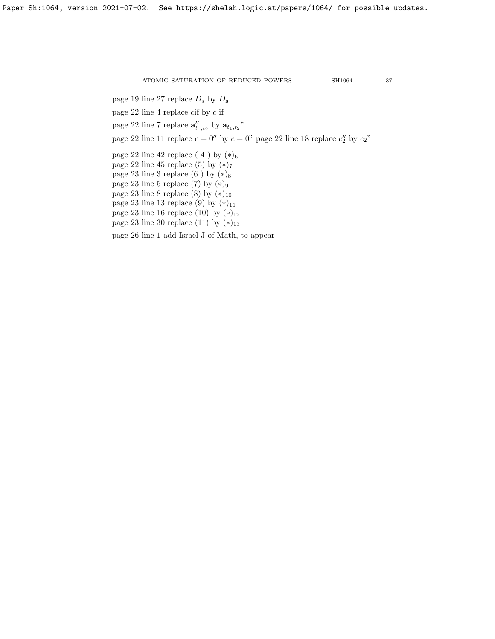page 19 line 27 replace  $D_s$  by  $D_s$ 

page 22 line 4 replace cif by c if

page 22 line 7 replace  $\mathbf{a}''_{t_1,t_2}$  by  $\mathbf{a}_{t_1,t_2}$ "

page 22 line 11 replace  $c = 0''$  by  $c = 0''$  page 22 line 18 replace  $c''_2$  by  $c_2$ "

page 22 line 42 replace (4) by  $(*)_6$ 

page 22 line 45 replace (5) by  $(*)_7$ 

page 23 line 3 replace  $(6)$  by  $(*)_8$ 

page 23 line 5 replace (7) by  $(*)_9$ 

page 23 line 8 replace (8) by  $(*)_{10}$ 

page 23 line 13 replace (9) by  $(*)_{11}$ 

page 23 line 16 replace (10) by  $(*)_{12}$ 

page 23 line 30 replace (11) by  $(*)_{13}$ 

page 26 line 1 add Israel J of Math, to appear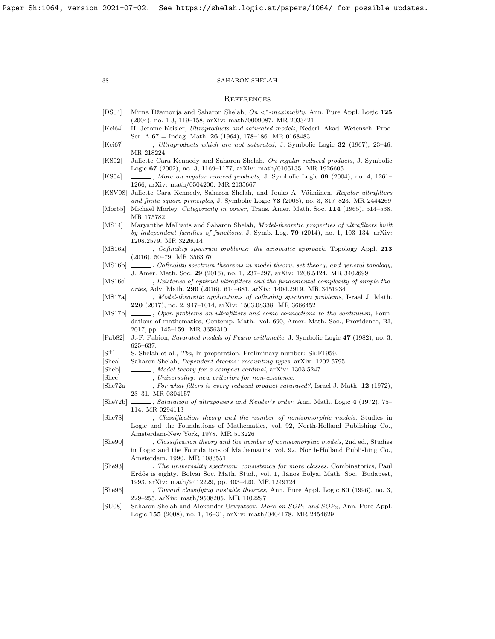#### **REFERENCES**

- <span id="page-37-10"></span>[DS04] Mirna Džamonja and Saharon Shelah,  $On \leq^*$ -maximality, Ann. Pure Appl. Logic 125 (2004), no. 1-3, 119–158, [arXiv: math/0009087.](https://arxiv.org/abs/math/0009087) MR 2033421
- <span id="page-37-6"></span>[Kei64] H. Jerome Keisler, Ultraproducts and saturated models, Nederl. Akad. Wetensch. Proc. Ser. A 67 = Indag. Math. 26 (1964), 178–186. MR 0168483
- <span id="page-37-3"></span>[Kei67] , Ultraproducts which are not saturated, J. Symbolic Logic 32 (1967), 23–46. MR 218224
- <span id="page-37-21"></span>[KS02] Juliette Cara Kennedy and Saharon Shelah, On regular reduced products, J. Symbolic Logic 67 (2002), no. 3, 1169–1177, [arXiv: math/0105135.](https://arxiv.org/abs/math/0105135) MR 1926605
- <span id="page-37-22"></span>[KS04] , More on regular reduced products, J. Symbolic Logic 69 (2004), no. 4, 1261– 1266, [arXiv: math/0504200.](https://arxiv.org/abs/math/0504200) MR 2135667
- <span id="page-37-23"></span>[KSV08] Juliette Cara Kennedy, Saharon Shelah, and Jouko A. Väänänen, Regular ultrafilters and finite square principles, J. Symbolic Logic 73 (2008), no. 3, 817–823. MR 2444269
- <span id="page-37-18"></span>[Mor65] Michael Morley, *Categoricity in power*, Trans. Amer. Math. Soc. 114 (1965), 514-538. MR 175782
- <span id="page-37-24"></span>[MS14] Maryanthe Malliaris and Saharon Shelah, Model-theoretic properties of ultrafilters built by independent families of functions, J. Symb. Log. 79 (2014), no. 1, 103–134, [arXiv:](https://arxiv.org/abs/1208.2579) [1208.2579.](https://arxiv.org/abs/1208.2579) MR 3226014
- <span id="page-37-12"></span>[MS16a]  $\_\_\_\_\$ cofinality spectrum problems: the axiomatic approach, Topology Appl. 213 (2016), 50–79. MR 3563070
- <span id="page-37-4"></span>[MS16b] , Cofinality spectrum theorems in model theory, set theory, and general topology, J. Amer. Math. Soc. 29 (2016), no. 1, 237–297, [arXiv: 1208.5424.](https://arxiv.org/abs/1208.5424) MR 3402699
- <span id="page-37-5"></span>[MS16c] , Existence of optimal ultrafilters and the fundamental complexity of simple theories, Adv. Math. 290 (2016), 614–681, [arXiv: 1404.2919.](https://arxiv.org/abs/1404.2919) MR 3451934
- <span id="page-37-9"></span>[MS17a]  $\_\_\_\_\$ n Model-theoretic applications of cofinality spectrum problems, Israel J. Math. 220 (2017), no. 2, 947–1014, [arXiv: 1503.08338.](https://arxiv.org/abs/1503.08338) MR 3666452
- <span id="page-37-17"></span>[MS17b]  $\ldots$ , Open problems on ultrafilters and some connections to the continuum, Foundations of mathematics, Contemp. Math., vol. 690, Amer. Math. Soc., Providence, RI, 2017, pp. 145–159. MR 3656310
- <span id="page-37-20"></span>[Pab82] J.-F. Pabion, Saturated models of Peano arithmetic, J. Symbolic Logic 47 (1982), no. 3, 625–637.
- <span id="page-37-14"></span>[S<sup>+</sup>] S. Shelah et al., *Tba*, In preparation. Preliminary number: Sh:F1959.
- <span id="page-37-0"></span>[Shea] Saharon Shelah, Dependent dreams: recounting types, [arXiv: 1202.5795.](https://arxiv.org/abs/1202.5795)
- <span id="page-37-13"></span>[Sheb] , Model theory for a compact cardinal, [arXiv: 1303.5247.](https://arxiv.org/abs/1303.5247)
- <span id="page-37-16"></span>[Shec]  $\qquad \qquad \qquad$ , Universality: new criterion for non-existence.
- <span id="page-37-8"></span>[She72a] , For what filters is every reduced product saturated?, Israel J. Math. 12 (1972), 23–31. MR 0304157
- <span id="page-37-19"></span>[She72b] , Saturation of ultrapowers and Keisler's order, Ann. Math. Logic 4 (1972), 75– 114. MR 0294113
- <span id="page-37-2"></span>[She78] , Classification theory and the number of nonisomorphic models, Studies in Logic and the Foundations of Mathematics, vol. 92, North-Holland Publishing Co., Amsterdam-New York, 1978. MR 513226
- <span id="page-37-1"></span>[She90] , Classification theory and the number of nonisomorphic models, 2nd ed., Studies in Logic and the Foundations of Mathematics, vol. 92, North-Holland Publishing Co., Amsterdam, 1990. MR 1083551
- <span id="page-37-15"></span>[She93] , The universality spectrum: consistency for more classes, Combinatorics, Paul Erdős is eighty, Bolyai Soc. Math. Stud., vol. 1, János Bolyai Math. Soc., Budapest, 1993, [arXiv: math/9412229,](https://arxiv.org/abs/math/9412229) pp. 403–420. MR 1249724
- <span id="page-37-7"></span>[She96] , Toward classifying unstable theories, Ann. Pure Appl. Logic 80 (1996), no. 3, 229–255, [arXiv: math/9508205.](https://arxiv.org/abs/math/9508205) MR 1402297
- <span id="page-37-11"></span>[SU08] Saharon Shelah and Alexander Usvyatsov, More on SOP<sub>1</sub> and SOP<sub>2</sub>, Ann. Pure Appl. Logic 155 (2008), no. 1, 16–31, [arXiv: math/0404178.](https://arxiv.org/abs/math/0404178) MR 2454629